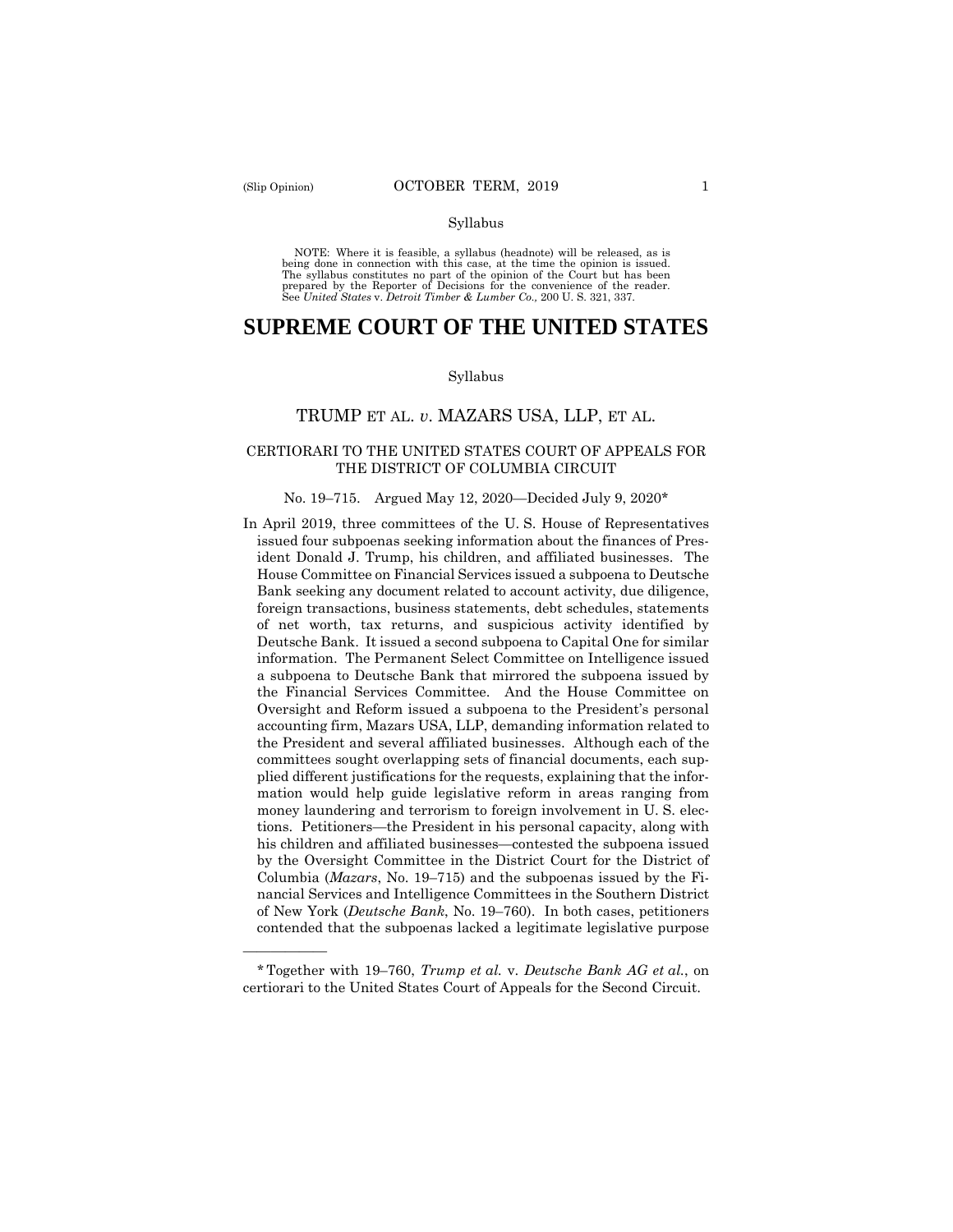——————

### Syllabus

 NOTE: Where it is feasible, a syllabus (headnote) will be released, as is being done in connection with this case, at the time the opinion is issued. The syllabus constitutes no part of the opinion of the Court but has been<br>prepared by the Reporter of Decisions for the convenience of the reader.<br>See United States v. Detroit Timber & Lumber Co., 200 U.S. 321, 337.

# **SUPREME COURT OF THE UNITED STATES**

### Syllabus

### TRUMP ET AL. *v*. MAZARS USA, LLP, ET AL.

### CERTIORARI TO THE UNITED STATES COURT OF APPEALS FOR THE DISTRICT OF COLUMBIA CIRCUIT

### No. 19–715. Argued May 12, 2020—Decided July 9, 2020\*

In April 2019, three committees of the U. S. House of Representatives issued four subpoenas seeking information about the finances of President Donald J. Trump, his children, and affiliated businesses. The House Committee on Financial Services issued a subpoena to Deutsche Bank seeking any document related to account activity, due diligence, foreign transactions, business statements, debt schedules, statements of net worth, tax returns, and suspicious activity identified by Deutsche Bank. It issued a second subpoena to Capital One for similar information. The Permanent Select Committee on Intelligence issued a subpoena to Deutsche Bank that mirrored the subpoena issued by the Financial Services Committee. And the House Committee on Oversight and Reform issued a subpoena to the President's personal accounting firm, Mazars USA, LLP, demanding information related to the President and several affiliated businesses. Although each of the committees sought overlapping sets of financial documents, each supplied different justifications for the requests, explaining that the information would help guide legislative reform in areas ranging from money laundering and terrorism to foreign involvement in U. S. elections. Petitioners—the President in his personal capacity, along with his children and affiliated businesses—contested the subpoena issued by the Oversight Committee in the District Court for the District of Columbia (*Mazars*, No. 19–715) and the subpoenas issued by the Financial Services and Intelligence Committees in the Southern District of New York (*Deutsche Bank*, No. 19–760). In both cases, petitioners contended that the subpoenas lacked a legitimate legislative purpose

<sup>\*</sup> Together with 19–760, *Trump et al.* v. *Deutsche Bank AG et al.*, on certiorari to the United States Court of Appeals for the Second Circuit.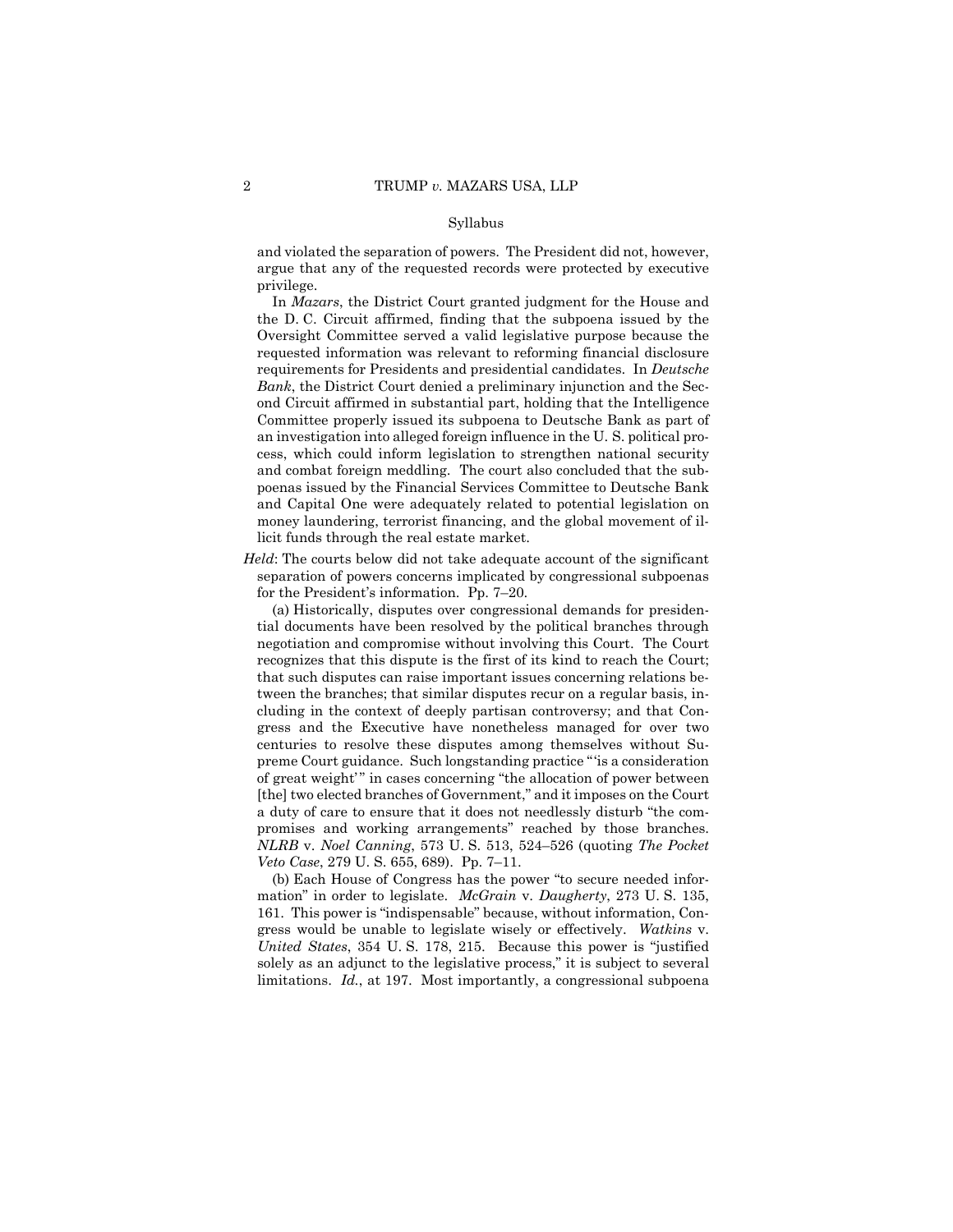and violated the separation of powers. The President did not, however, argue that any of the requested records were protected by executive privilege.

In *Mazars*, the District Court granted judgment for the House and the D. C. Circuit affirmed, finding that the subpoena issued by the Oversight Committee served a valid legislative purpose because the requested information was relevant to reforming financial disclosure requirements for Presidents and presidential candidates. In *Deutsche Bank*, the District Court denied a preliminary injunction and the Second Circuit affirmed in substantial part, holding that the Intelligence Committee properly issued its subpoena to Deutsche Bank as part of an investigation into alleged foreign influence in the U. S. political process, which could inform legislation to strengthen national security and combat foreign meddling. The court also concluded that the subpoenas issued by the Financial Services Committee to Deutsche Bank and Capital One were adequately related to potential legislation on money laundering, terrorist financing, and the global movement of illicit funds through the real estate market.

*Held*: The courts below did not take adequate account of the significant separation of powers concerns implicated by congressional subpoenas for the President's information. Pp. 7–20.

(a) Historically, disputes over congressional demands for presidential documents have been resolved by the political branches through negotiation and compromise without involving this Court. The Court recognizes that this dispute is the first of its kind to reach the Court; that such disputes can raise important issues concerning relations between the branches; that similar disputes recur on a regular basis, including in the context of deeply partisan controversy; and that Congress and the Executive have nonetheless managed for over two centuries to resolve these disputes among themselves without Supreme Court guidance. Such longstanding practice "'is a consideration of great weight" in cases concerning "the allocation of power between [the] two elected branches of Government," and it imposes on the Court a duty of care to ensure that it does not needlessly disturb "the compromises and working arrangements" reached by those branches. *NLRB* v. *Noel Canning*, 573 U. S. 513, 524–526 (quoting *The Pocket Veto Case*, 279 U. S. 655, 689). Pp. 7–11.

(b) Each House of Congress has the power "to secure needed information" in order to legislate. *McGrain* v. *Daugherty*, 273 U. S. 135, 161. This power is "indispensable" because, without information, Congress would be unable to legislate wisely or effectively. *Watkins* v. *United States*, 354 U. S. 178, 215. Because this power is "justified solely as an adjunct to the legislative process," it is subject to several limitations. *Id.*, at 197. Most importantly, a congressional subpoena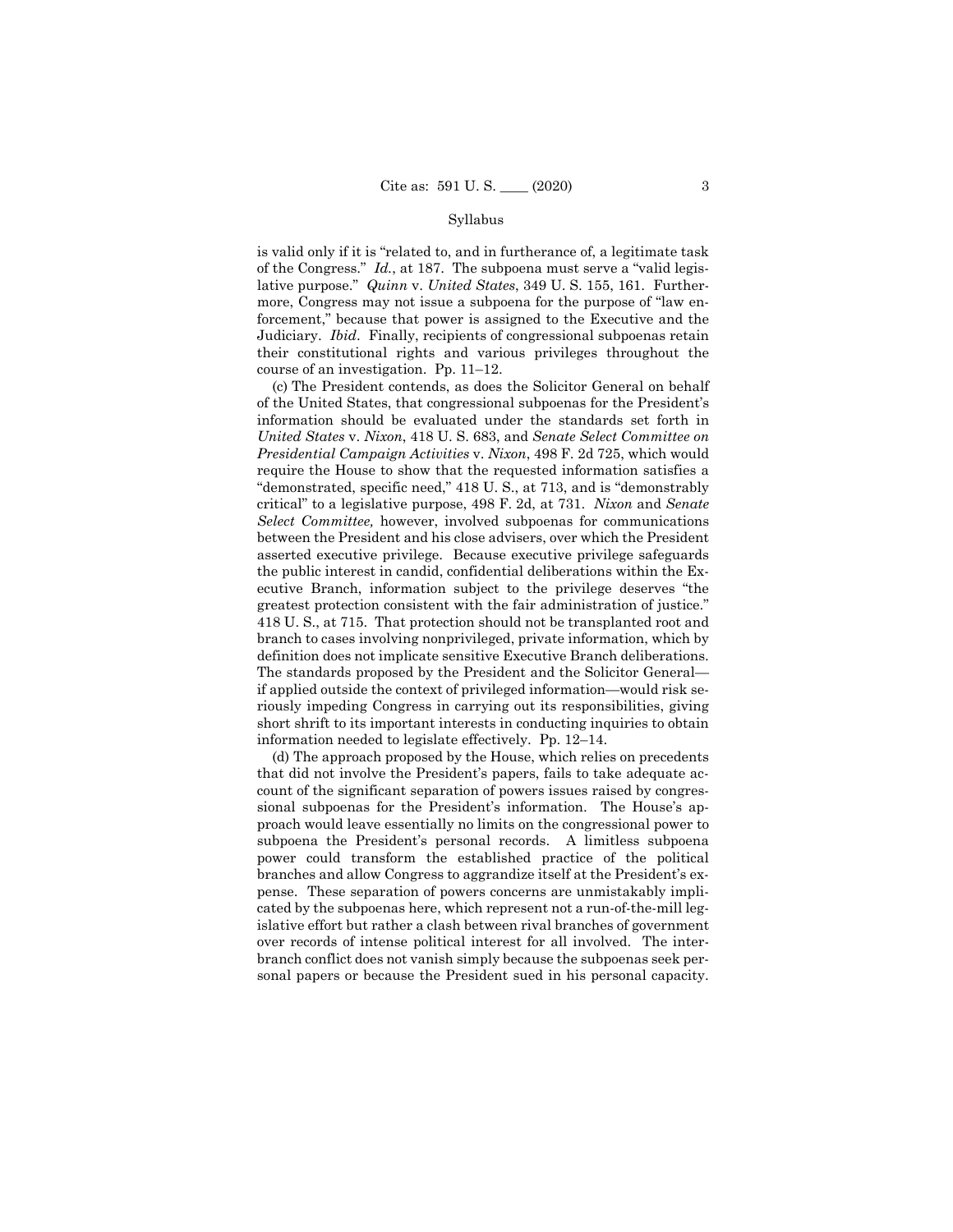Judiciary. *Ibid*. Finally, recipients of congressional subpoenas retain is valid only if it is "related to, and in furtherance of, a legitimate task of the Congress." *Id.*, at 187. The subpoena must serve a "valid legislative purpose." *Quinn* v. *United States*, 349 U. S. 155, 161. Furthermore, Congress may not issue a subpoena for the purpose of "law enforcement," because that power is assigned to the Executive and the their constitutional rights and various privileges throughout the course of an investigation. Pp. 11–12.

 require the House to show that the requested information satisfies a definition does not implicate sensitive Executive Branch deliberations. (c) The President contends, as does the Solicitor General on behalf of the United States, that congressional subpoenas for the President's information should be evaluated under the standards set forth in *United States* v. *Nixon*, 418 U. S. 683, and *Senate Select Committee on Presidential Campaign Activities* v. *Nixon*, 498 F. 2d 725, which would "demonstrated, specific need," 418 U. S., at 713, and is "demonstrably critical" to a legislative purpose, 498 F. 2d, at 731. *Nixon* and *Senate Select Committee,* however, involved subpoenas for communications between the President and his close advisers, over which the President asserted executive privilege. Because executive privilege safeguards the public interest in candid, confidential deliberations within the Executive Branch, information subject to the privilege deserves "the greatest protection consistent with the fair administration of justice." 418 U. S., at 715. That protection should not be transplanted root and branch to cases involving nonprivileged, private information, which by The standards proposed by the President and the Solicitor General if applied outside the context of privileged information—would risk seriously impeding Congress in carrying out its responsibilities, giving short shrift to its important interests in conducting inquiries to obtain information needed to legislate effectively. Pp. 12–14.

 sonal papers or because the President sued in his personal capacity. (d) The approach proposed by the House, which relies on precedents that did not involve the President's papers, fails to take adequate account of the significant separation of powers issues raised by congressional subpoenas for the President's information. The House's approach would leave essentially no limits on the congressional power to subpoena the President's personal records. A limitless subpoena power could transform the established practice of the political branches and allow Congress to aggrandize itself at the President's expense. These separation of powers concerns are unmistakably implicated by the subpoenas here, which represent not a run-of-the-mill legislative effort but rather a clash between rival branches of government over records of intense political interest for all involved. The interbranch conflict does not vanish simply because the subpoenas seek per-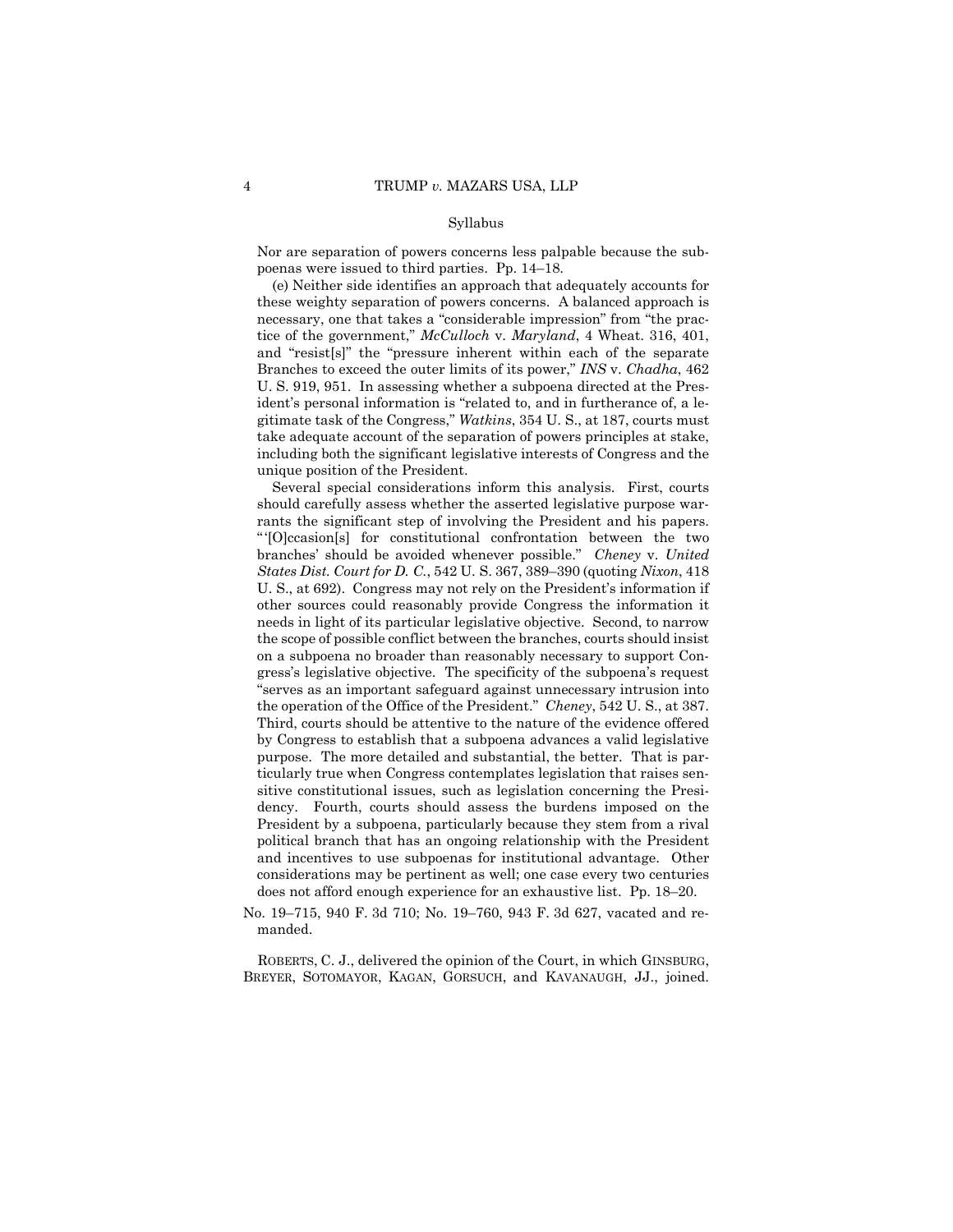Nor are separation of powers concerns less palpable because the subpoenas were issued to third parties. Pp. 14–18.

(e) Neither side identifies an approach that adequately accounts for these weighty separation of powers concerns. A balanced approach is necessary, one that takes a "considerable impression" from "the practice of the government," *McCulloch* v. *Maryland*, 4 Wheat. 316, 401, and "resist[s]" the "pressure inherent within each of the separate Branches to exceed the outer limits of its power," *INS* v. *Chadha*, 462 U. S. 919, 951. In assessing whether a subpoena directed at the President's personal information is "related to, and in furtherance of, a legitimate task of the Congress," *Watkins*, 354 U. S., at 187, courts must take adequate account of the separation of powers principles at stake, including both the significant legislative interests of Congress and the unique position of the President.

Several special considerations inform this analysis. First, courts should carefully assess whether the asserted legislative purpose warrants the significant step of involving the President and his papers. " '[O]ccasion[s] for constitutional confrontation between the two branches' should be avoided whenever possible." *Cheney* v. *United States Dist. Court for D. C.*, 542 U. S. 367, 389–390 (quoting *Nixon*, 418 U. S., at 692). Congress may not rely on the President's information if other sources could reasonably provide Congress the information it needs in light of its particular legislative objective. Second, to narrow the scope of possible conflict between the branches, courts should insist on a subpoena no broader than reasonably necessary to support Congress's legislative objective. The specificity of the subpoena's request "serves as an important safeguard against unnecessary intrusion into the operation of the Office of the President." *Cheney*, 542 U. S., at 387. Third, courts should be attentive to the nature of the evidence offered by Congress to establish that a subpoena advances a valid legislative purpose. The more detailed and substantial, the better. That is particularly true when Congress contemplates legislation that raises sensitive constitutional issues, such as legislation concerning the Presidency. Fourth, courts should assess the burdens imposed on the President by a subpoena, particularly because they stem from a rival political branch that has an ongoing relationship with the President and incentives to use subpoenas for institutional advantage. Other considerations may be pertinent as well; one case every two centuries does not afford enough experience for an exhaustive list. Pp. 18–20.

 manded. No. 19–715, 940 F. 3d 710; No. 19–760, 943 F. 3d 627, vacated and re-

 BREYER, SOTOMAYOR, KAGAN, GORSUCH, and KAVANAUGH, JJ., joined. ROBERTS, C. J., delivered the opinion of the Court, in which GINSBURG,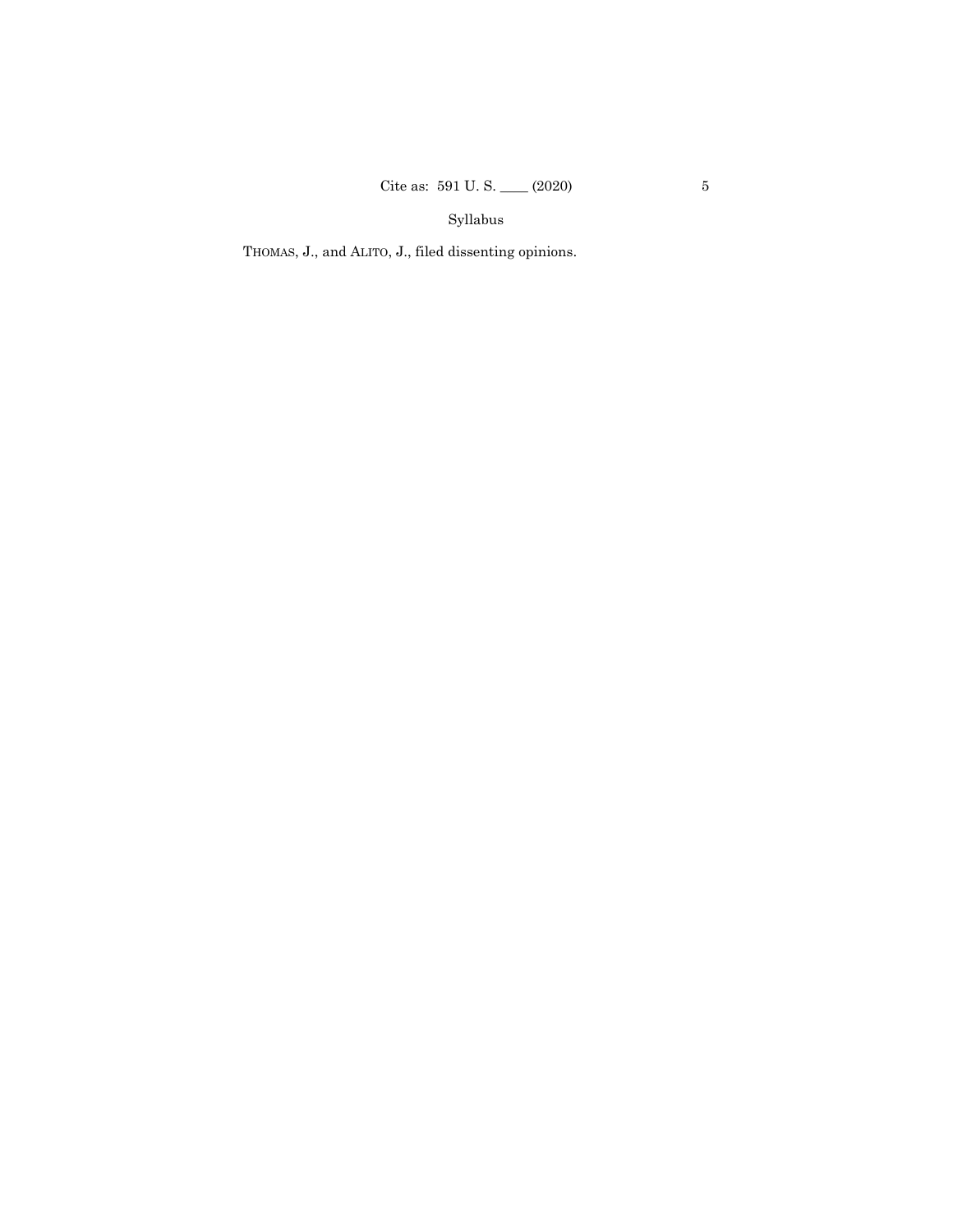THOMAS, J., and ALITO, J., filed dissenting opinions.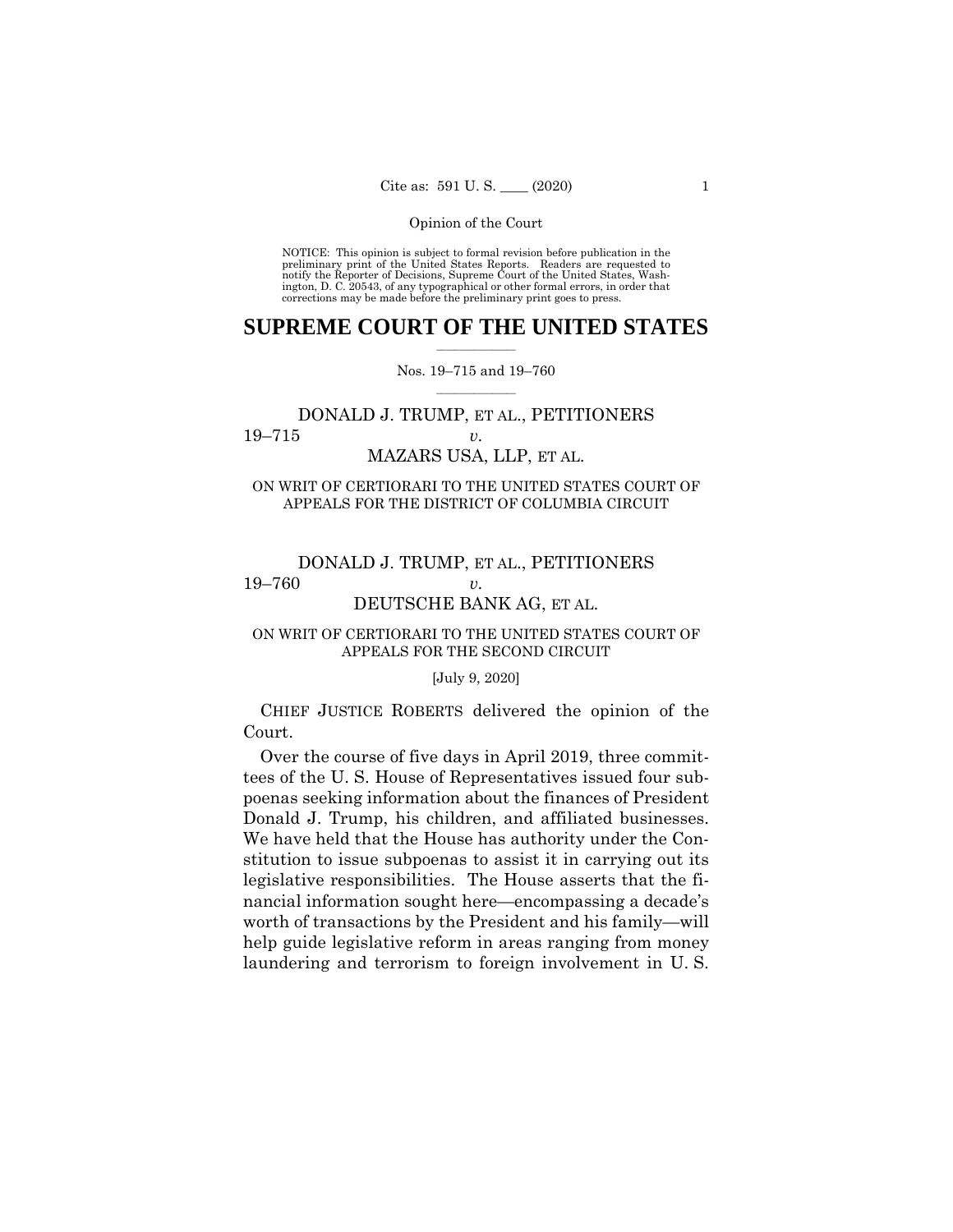NOTICE: This opinion is subject to formal revision before publication in the preliminary print of the United States Reports. Readers are requested to notify the Reporter of Decisions, Supreme Court of the United States, Wash-ington, D. C. 20543, of any typographical or other formal errors, in order that corrections may be made before the preliminary print goes to press.

### $\frac{1}{2}$  ,  $\frac{1}{2}$  ,  $\frac{1}{2}$  ,  $\frac{1}{2}$  ,  $\frac{1}{2}$  ,  $\frac{1}{2}$  ,  $\frac{1}{2}$ **SUPREME COURT OF THE UNITED STATES**

### $\frac{1}{2}$  ,  $\frac{1}{2}$  ,  $\frac{1}{2}$  ,  $\frac{1}{2}$  ,  $\frac{1}{2}$  ,  $\frac{1}{2}$ Nos. 19–715 and 19–760

# DONALD J. TRUMP, ET AL., PETITIONERS 19–715 *v.*

## MAZARS USA, LLP, ET AL.

### ON WRIT OF CERTIORARI TO THE UNITED STATES COURT OF APPEALS FOR THE DISTRICT OF COLUMBIA CIRCUIT

## DONALD J. TRUMP, ET AL., PETITIONERS 19–760 *v.*

## DEUTSCHE BANK AG, ET AL.

### ON WRIT OF CERTIORARI TO THE UNITED STATES COURT OF APPEALS FOR THE SECOND CIRCUIT

### [July 9, 2020]

 CHIEF JUSTICE ROBERTS delivered the opinion of the Court.

Over the course of five days in April 2019, three committees of the U. S. House of Representatives issued four subpoenas seeking information about the finances of President Donald J. Trump, his children, and affiliated businesses. We have held that the House has authority under the Constitution to issue subpoenas to assist it in carrying out its legislative responsibilities. The House asserts that the financial information sought here—encompassing a decade's worth of transactions by the President and his family—will help guide legislative reform in areas ranging from money laundering and terrorism to foreign involvement in U. S.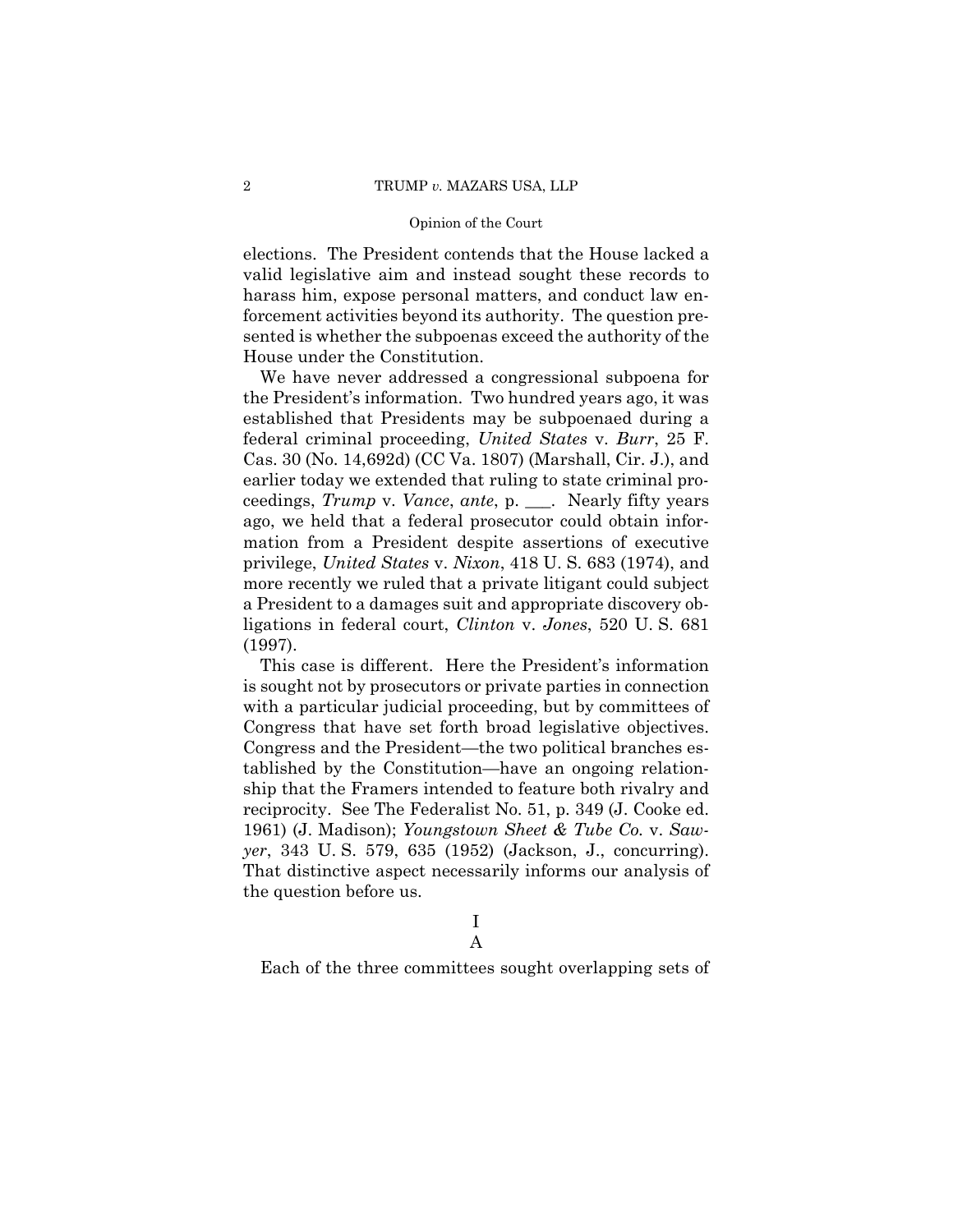elections. The President contends that the House lacked a valid legislative aim and instead sought these records to harass him, expose personal matters, and conduct law enforcement activities beyond its authority. The question presented is whether the subpoenas exceed the authority of the House under the Constitution.

We have never addressed a congressional subpoena for the President's information. Two hundred years ago, it was established that Presidents may be subpoenaed during a federal criminal proceeding, *United States* v. *Burr*, 25 F. Cas. 30 (No. 14,692d) (CC Va. 1807) (Marshall, Cir. J.), and earlier today we extended that ruling to state criminal proceedings, *Trump* v. *Vance*, *ante*, p. \_\_\_. Nearly fifty years ago, we held that a federal prosecutor could obtain information from a President despite assertions of executive privilege, *United States* v. *Nixon*, 418 U. S. 683 (1974), and more recently we ruled that a private litigant could subject a President to a damages suit and appropriate discovery obligations in federal court, *Clinton* v. *Jones*, 520 U. S. 681 (1997).

This case is different. Here the President's information is sought not by prosecutors or private parties in connection with a particular judicial proceeding, but by committees of Congress that have set forth broad legislative objectives. Congress and the President—the two political branches established by the Constitution—have an ongoing relationship that the Framers intended to feature both rivalry and reciprocity. See The Federalist No. 51, p. 349 (J. Cooke ed. 1961) (J. Madison); *Youngstown Sheet & Tube Co.* v. *Sawyer*, 343 U. S. 579, 635 (1952) (Jackson, J., concurring). That distinctive aspect necessarily informs our analysis of the question before us.

> I A

Each of the three committees sought overlapping sets of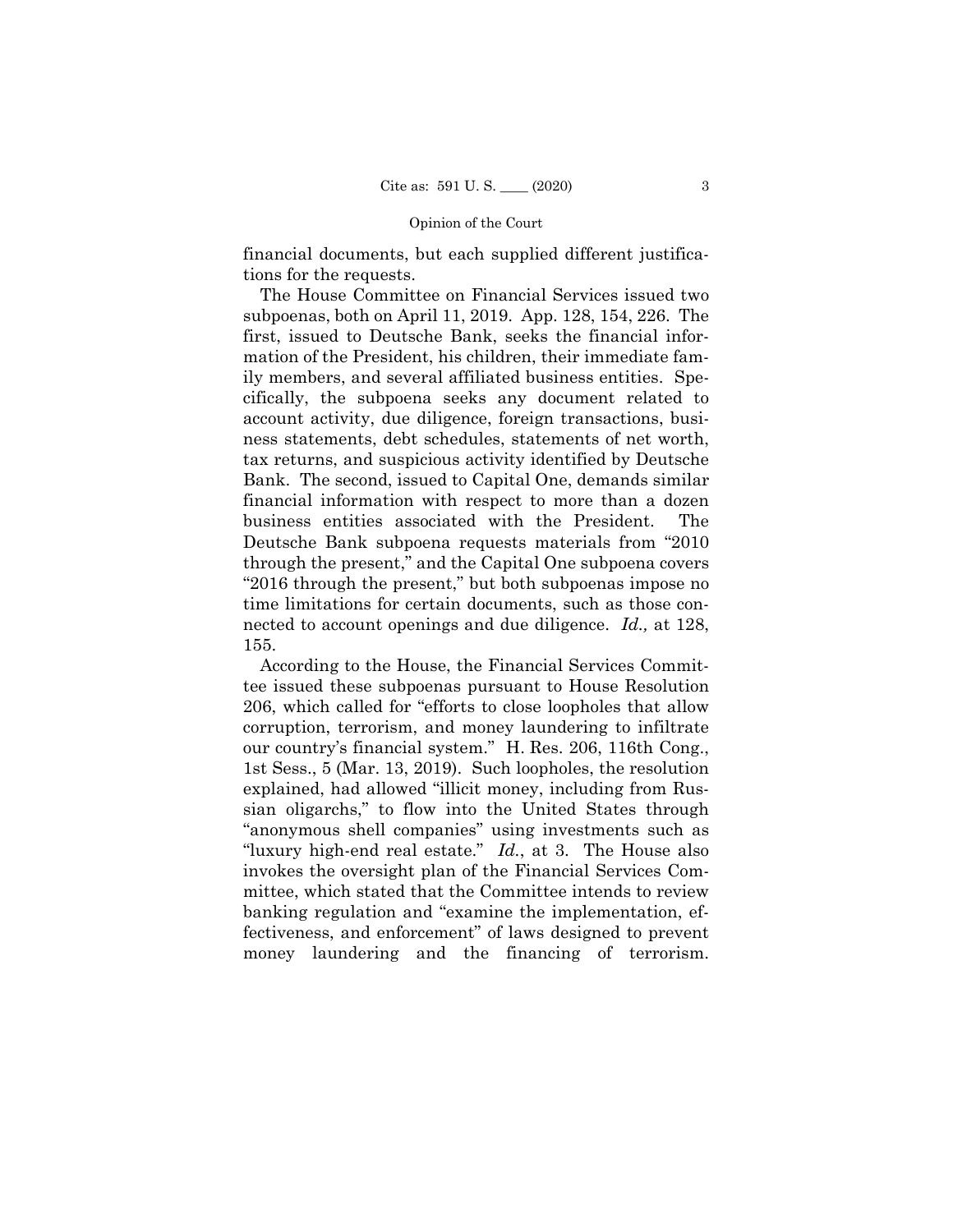financial documents, but each supplied different justifications for the requests.

The House Committee on Financial Services issued two subpoenas, both on April 11, 2019. App. 128, 154, 226. The first, issued to Deutsche Bank, seeks the financial information of the President, his children, their immediate family members, and several affiliated business entities. Specifically, the subpoena seeks any document related to account activity, due diligence, foreign transactions, business statements, debt schedules, statements of net worth, tax returns, and suspicious activity identified by Deutsche Bank. The second, issued to Capital One, demands similar financial information with respect to more than a dozen business entities associated with the President. The Deutsche Bank subpoena requests materials from "2010 through the present," and the Capital One subpoena covers "2016 through the present," but both subpoenas impose no time limitations for certain documents, such as those connected to account openings and due diligence. *Id.,* at 128, 155.

 money laundering and the financing of terrorism. According to the House, the Financial Services Committee issued these subpoenas pursuant to House Resolution 206, which called for "efforts to close loopholes that allow corruption, terrorism, and money laundering to infiltrate our country's financial system." H. Res. 206, 116th Cong., 1st Sess., 5 (Mar. 13, 2019). Such loopholes, the resolution explained, had allowed "illicit money, including from Russian oligarchs," to flow into the United States through "anonymous shell companies" using investments such as "luxury high-end real estate." *Id.*, at 3. The House also invokes the oversight plan of the Financial Services Committee, which stated that the Committee intends to review banking regulation and "examine the implementation, effectiveness, and enforcement" of laws designed to prevent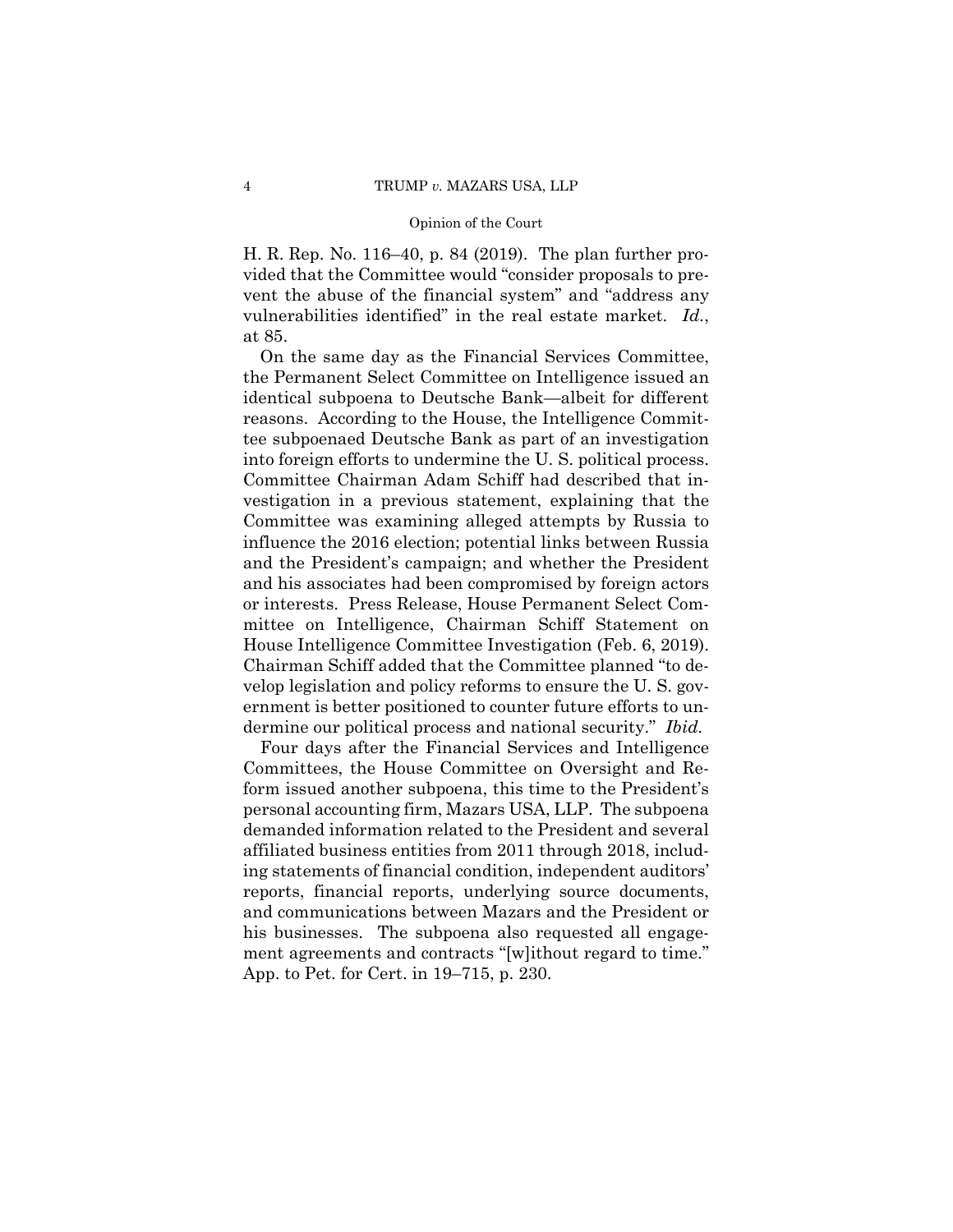H. R. Rep. No. 116–40, p. 84 (2019). The plan further provided that the Committee would "consider proposals to prevent the abuse of the financial system" and "address any vulnerabilities identified" in the real estate market. *Id.*, at 85.

On the same day as the Financial Services Committee, the Permanent Select Committee on Intelligence issued an identical subpoena to Deutsche Bank—albeit for different reasons. According to the House, the Intelligence Committee subpoenaed Deutsche Bank as part of an investigation into foreign efforts to undermine the U. S. political process. Committee Chairman Adam Schiff had described that investigation in a previous statement, explaining that the Committee was examining alleged attempts by Russia to influence the 2016 election; potential links between Russia and the President's campaign; and whether the President and his associates had been compromised by foreign actors or interests. Press Release, House Permanent Select Committee on Intelligence, Chairman Schiff Statement on House Intelligence Committee Investigation (Feb. 6, 2019). Chairman Schiff added that the Committee planned "to develop legislation and policy reforms to ensure the U. S. government is better positioned to counter future efforts to undermine our political process and national security." *Ibid.* 

 personal accounting firm, Mazars USA, LLP. The subpoena Four days after the Financial Services and Intelligence Committees, the House Committee on Oversight and Reform issued another subpoena, this time to the President's demanded information related to the President and several affiliated business entities from 2011 through 2018, including statements of financial condition, independent auditors' reports, financial reports, underlying source documents, and communications between Mazars and the President or his businesses. The subpoena also requested all engagement agreements and contracts "[w]ithout regard to time." App. to Pet. for Cert. in 19–715, p. 230.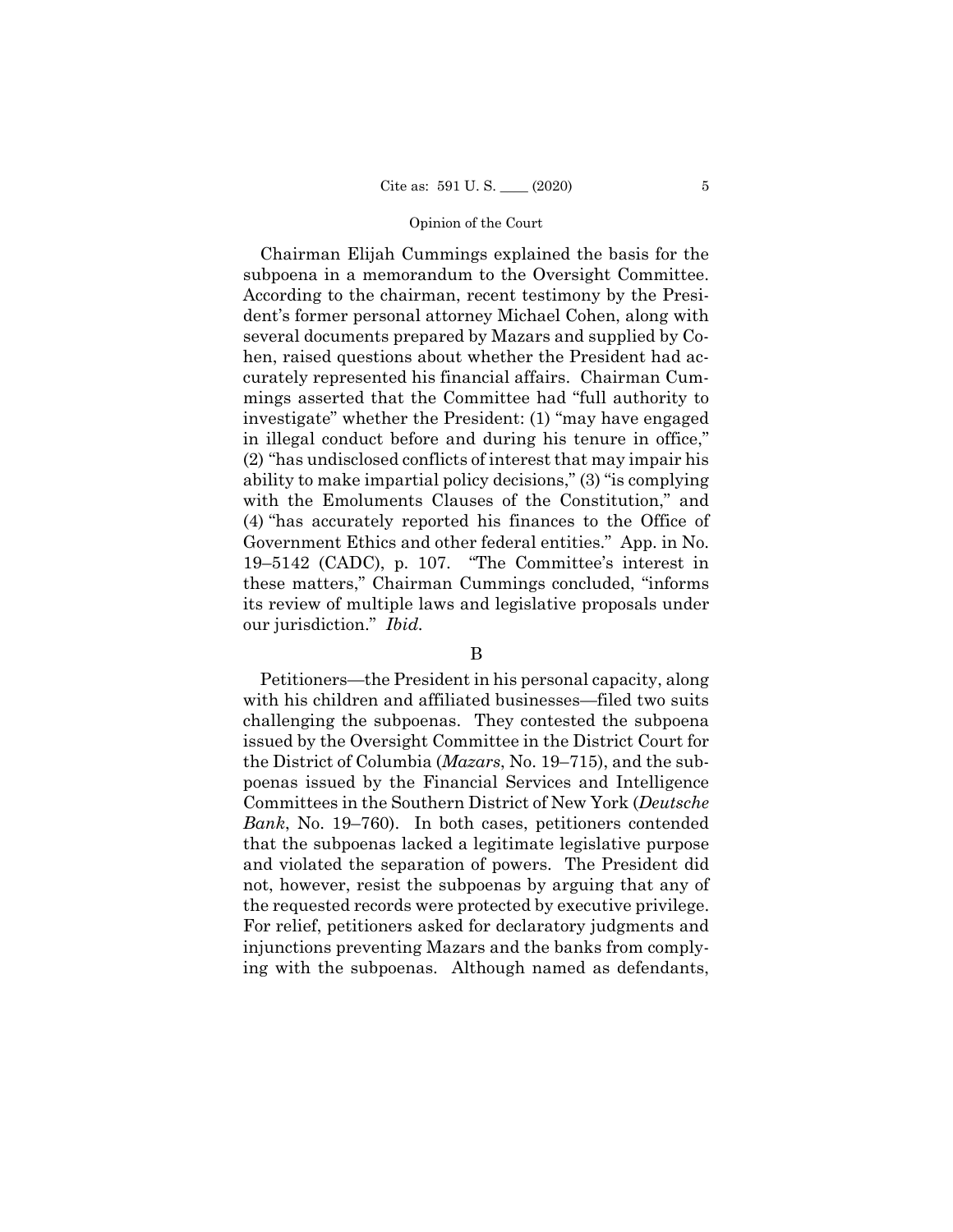Chairman Elijah Cummings explained the basis for the subpoena in a memorandum to the Oversight Committee. According to the chairman, recent testimony by the President's former personal attorney Michael Cohen, along with several documents prepared by Mazars and supplied by Cohen, raised questions about whether the President had accurately represented his financial affairs. Chairman Cummings asserted that the Committee had "full authority to investigate" whether the President: (1) "may have engaged in illegal conduct before and during his tenure in office," (2) "has undisclosed conflicts of interest that may impair his ability to make impartial policy decisions," (3) "is complying with the Emoluments Clauses of the Constitution," and (4) "has accurately reported his finances to the Office of Government Ethics and other federal entities." App. in No. 19–5142 (CADC), p. 107. "The Committee's interest in these matters," Chairman Cummings concluded, "informs its review of multiple laws and legislative proposals under our jurisdiction." *Ibid.* 

## B

Petitioners—the President in his personal capacity, along with his children and affiliated businesses—filed two suits challenging the subpoenas. They contested the subpoena issued by the Oversight Committee in the District Court for the District of Columbia (*Mazars*, No. 19–715), and the subpoenas issued by the Financial Services and Intelligence Committees in the Southern District of New York (*Deutsche Bank*, No. 19–760). In both cases, petitioners contended that the subpoenas lacked a legitimate legislative purpose and violated the separation of powers. The President did not, however, resist the subpoenas by arguing that any of the requested records were protected by executive privilege. For relief, petitioners asked for declaratory judgments and injunctions preventing Mazars and the banks from complying with the subpoenas. Although named as defendants,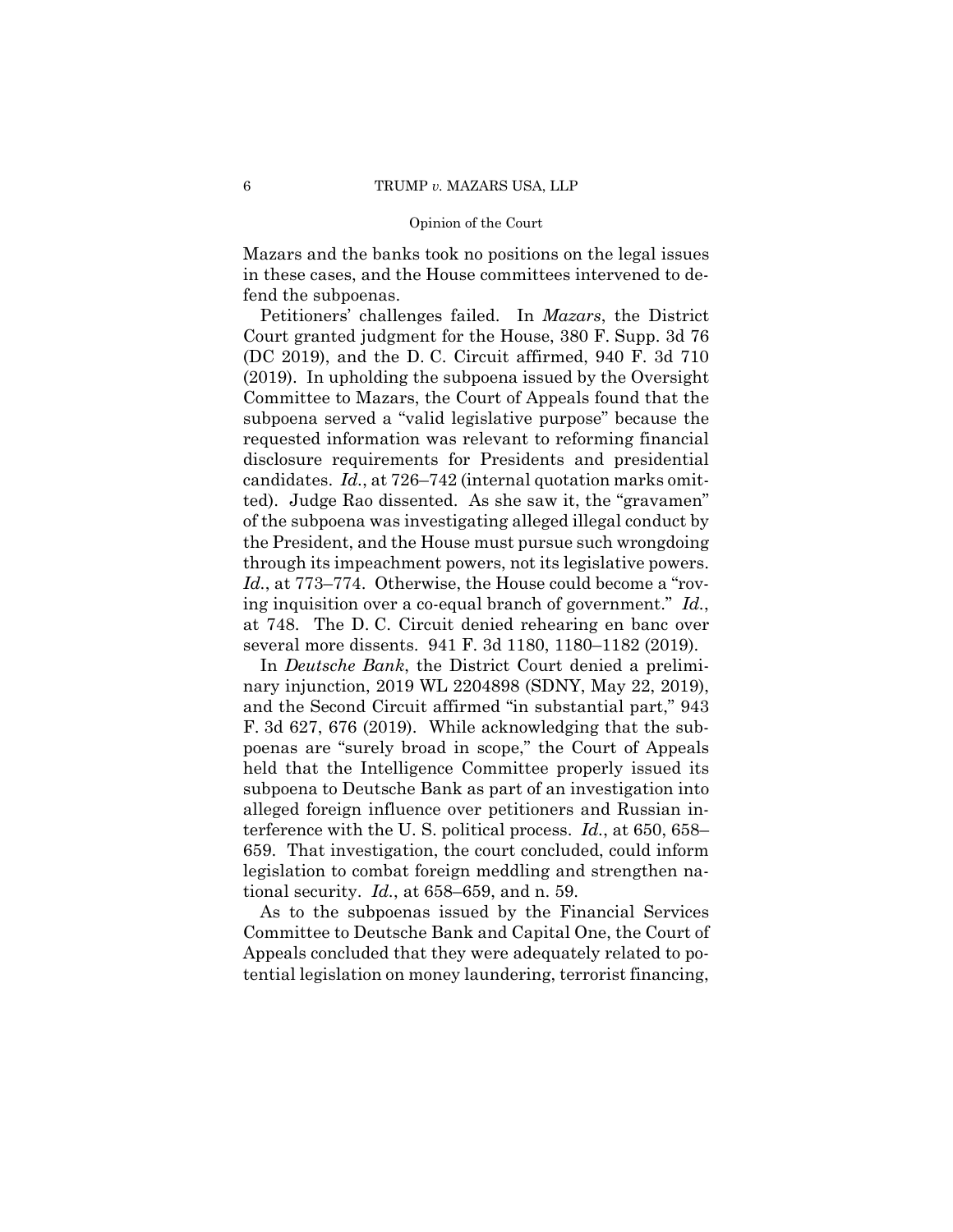Mazars and the banks took no positions on the legal issues in these cases, and the House committees intervened to defend the subpoenas.

Petitioners' challenges failed. In *Mazars*, the District Court granted judgment for the House, 380 F. Supp. 3d 76 (DC 2019), and the D. C. Circuit affirmed, 940 F. 3d 710 (2019). In upholding the subpoena issued by the Oversight Committee to Mazars, the Court of Appeals found that the subpoena served a "valid legislative purpose" because the requested information was relevant to reforming financial disclosure requirements for Presidents and presidential candidates. *Id.*, at 726–742 (internal quotation marks omitted). Judge Rao dissented. As she saw it, the "gravamen" of the subpoena was investigating alleged illegal conduct by the President, and the House must pursue such wrongdoing through its impeachment powers, not its legislative powers. *Id.*, at 773–774. Otherwise, the House could become a "roving inquisition over a co-equal branch of government." *Id.*, at 748. The D. C. Circuit denied rehearing en banc over several more dissents. 941 F. 3d 1180, 1180–1182 (2019).

In *Deutsche Bank*, the District Court denied a preliminary injunction, 2019 WL 2204898 (SDNY, May 22, 2019), and the Second Circuit affirmed "in substantial part," 943 F. 3d 627, 676 (2019). While acknowledging that the subpoenas are "surely broad in scope," the Court of Appeals held that the Intelligence Committee properly issued its subpoena to Deutsche Bank as part of an investigation into alleged foreign influence over petitioners and Russian interference with the U. S. political process. *Id.*, at 650, 658– 659. That investigation, the court concluded, could inform legislation to combat foreign meddling and strengthen national security. *Id.*, at 658–659, and n. 59.

As to the subpoenas issued by the Financial Services Committee to Deutsche Bank and Capital One, the Court of Appeals concluded that they were adequately related to potential legislation on money laundering, terrorist financing,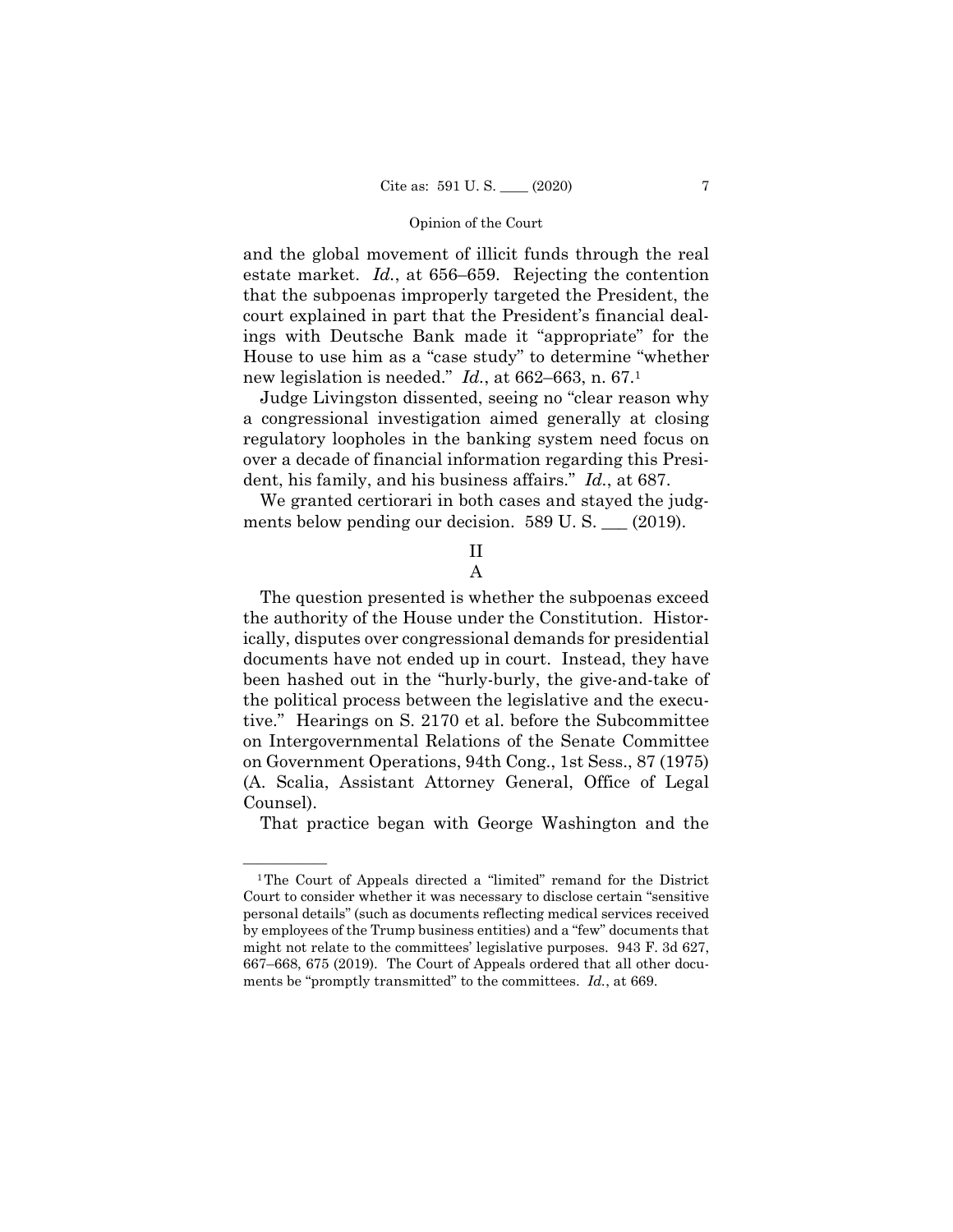and the global movement of illicit funds through the real estate market. *Id.*, at 656–659. Rejecting the contention that the subpoenas improperly targeted the President, the court explained in part that the President's financial dealings with Deutsche Bank made it "appropriate" for the House to use him as a "case study" to determine "whether new legislation is needed." *Id.*, at 662–663, n. 67.1

Judge Livingston dissented, seeing no "clear reason why a congressional investigation aimed generally at closing regulatory loopholes in the banking system need focus on over a decade of financial information regarding this President, his family, and his business affairs." *Id.*, at 687.

We granted certiorari in both cases and stayed the judgments below pending our decision. 589 U.S.  $\qquad$  (2019).

## II A

The question presented is whether the subpoenas exceed the authority of the House under the Constitution. Historically, disputes over congressional demands for presidential documents have not ended up in court. Instead, they have been hashed out in the "hurly-burly, the give-and-take of the political process between the legislative and the executive." Hearings on S. 2170 et al. before the Subcommittee on Intergovernmental Relations of the Senate Committee on Government Operations, 94th Cong., 1st Sess., 87 (1975) (A. Scalia, Assistant Attorney General, Office of Legal Counsel).

That practice began with George Washington and the

 personal details" (such as documents reflecting medical services received <sup>1</sup>The Court of Appeals directed a "limited" remand for the District Court to consider whether it was necessary to disclose certain "sensitive by employees of the Trump business entities) and a "few" documents that might not relate to the committees' legislative purposes. 943 F. 3d 627, 667–668, 675 (2019). The Court of Appeals ordered that all other documents be "promptly transmitted" to the committees. *Id.*, at 669.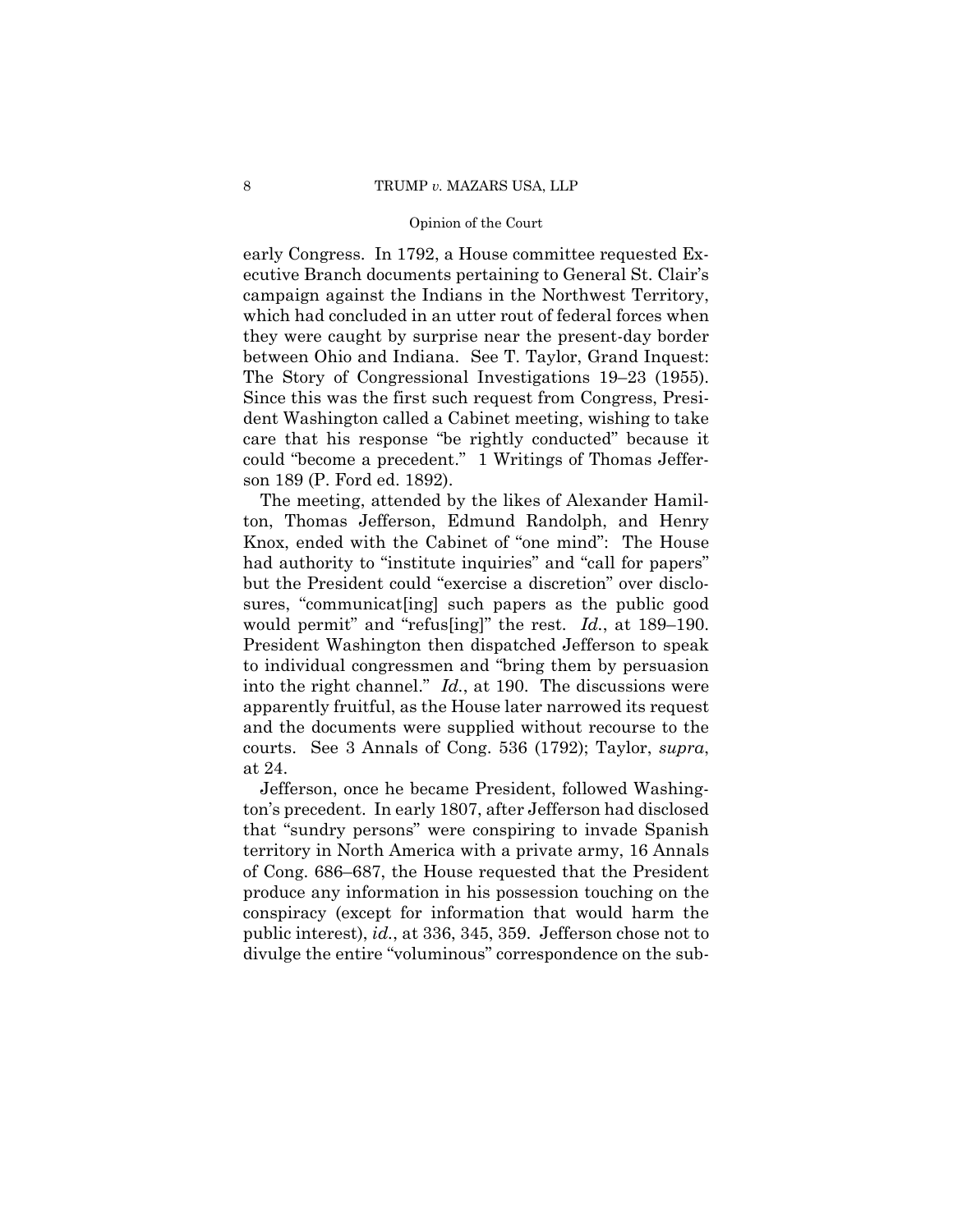early Congress. In 1792, a House committee requested Executive Branch documents pertaining to General St. Clair's campaign against the Indians in the Northwest Territory, which had concluded in an utter rout of federal forces when they were caught by surprise near the present-day border between Ohio and Indiana. See T. Taylor, Grand Inquest: The Story of Congressional Investigations 19–23 (1955). Since this was the first such request from Congress, President Washington called a Cabinet meeting, wishing to take care that his response "be rightly conducted" because it could "become a precedent." 1 Writings of Thomas Jefferson 189 (P. Ford ed. 1892).

The meeting, attended by the likes of Alexander Hamilton, Thomas Jefferson, Edmund Randolph, and Henry Knox, ended with the Cabinet of "one mind": The House had authority to "institute inquiries" and "call for papers" but the President could "exercise a discretion" over disclosures, "communicat[ing] such papers as the public good would permit" and "refus[ing]" the rest. *Id.*, at 189–190. President Washington then dispatched Jefferson to speak to individual congressmen and "bring them by persuasion into the right channel." *Id.*, at 190. The discussions were apparently fruitful, as the House later narrowed its request and the documents were supplied without recourse to the courts. See 3 Annals of Cong. 536 (1792); Taylor, *supra*, at 24.

Jefferson, once he became President, followed Washington's precedent. In early 1807, after Jefferson had disclosed that "sundry persons" were conspiring to invade Spanish territory in North America with a private army, 16 Annals of Cong. 686–687, the House requested that the President produce any information in his possession touching on the conspiracy (except for information that would harm the public interest), *id.*, at 336, 345, 359. Jefferson chose not to divulge the entire "voluminous" correspondence on the sub-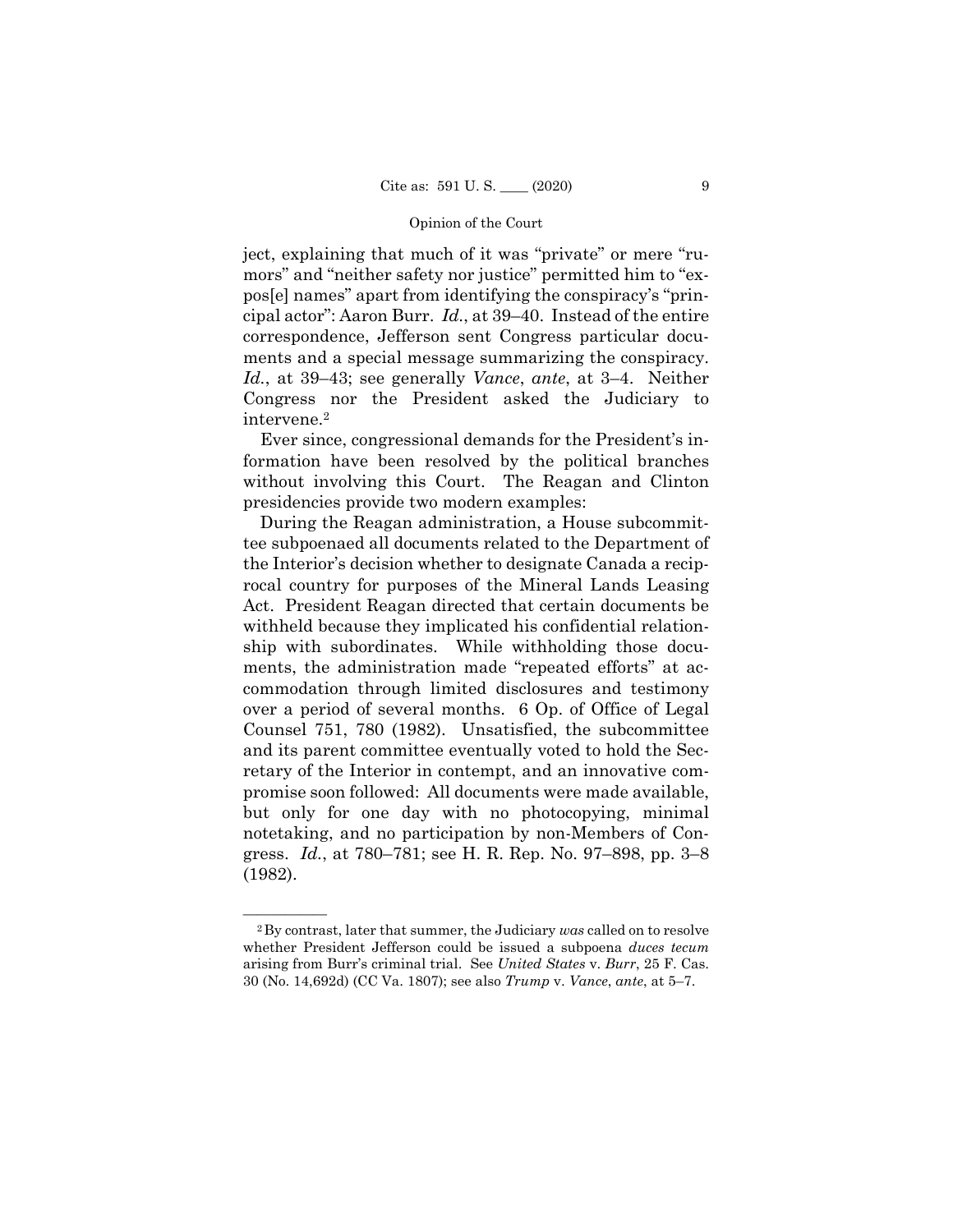ject, explaining that much of it was "private" or mere "rumors" and "neither safety nor justice" permitted him to "expos[e] names" apart from identifying the conspiracy's "principal actor": Aaron Burr. *Id.*, at 39–40. Instead of the entire correspondence, Jefferson sent Congress particular documents and a special message summarizing the conspiracy. *Id.*, at 39–43; see generally *Vance*, *ante*, at 3–4. Neither Congress nor the President asked the Judiciary to intervene.2

Ever since, congressional demands for the President's information have been resolved by the political branches without involving this Court. The Reagan and Clinton presidencies provide two modern examples:

During the Reagan administration, a House subcommittee subpoenaed all documents related to the Department of the Interior's decision whether to designate Canada a reciprocal country for purposes of the Mineral Lands Leasing Act. President Reagan directed that certain documents be withheld because they implicated his confidential relationship with subordinates. While withholding those documents, the administration made "repeated efforts" at accommodation through limited disclosures and testimony over a period of several months. 6 Op. of Office of Legal Counsel 751, 780 (1982). Unsatisfied, the subcommittee and its parent committee eventually voted to hold the Secretary of the Interior in contempt, and an innovative compromise soon followed: All documents were made available, but only for one day with no photocopying, minimal notetaking, and no participation by non-Members of Congress. *Id.*, at 780–781; see H. R. Rep. No. 97–898, pp. 3–8 (1982).

<sup>&</sup>lt;sup>2</sup>By contrast, later that summer, the Judiciary *was* called on to resolve whether President Jefferson could be issued a subpoena *duces tecum*  arising from Burr's criminal trial. See *United States* v. *Burr*, 25 F. Cas. 30 (No. 14,692d) (CC Va. 1807); see also *Trump* v. *Vance*, *ante*, at 5–7.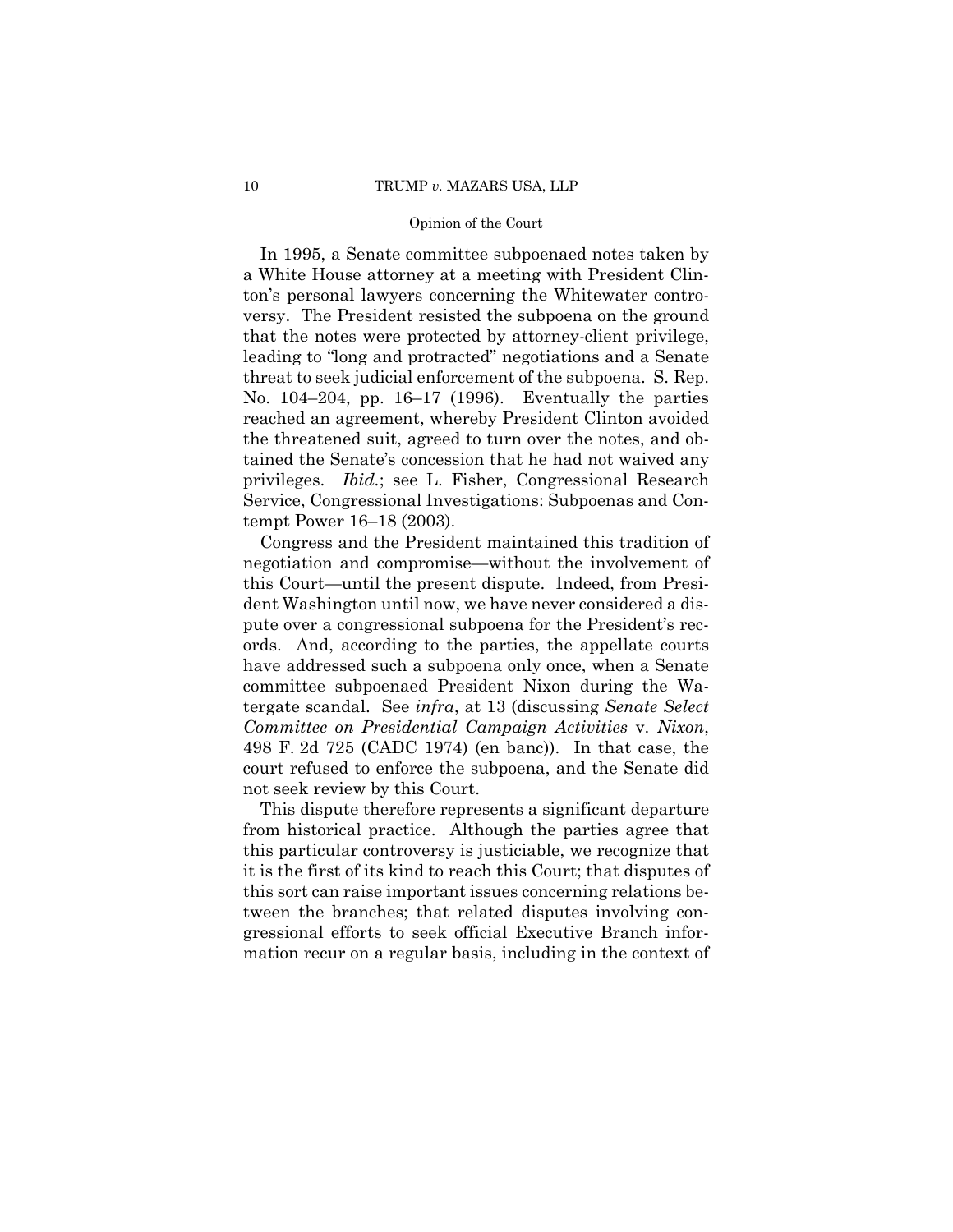In 1995, a Senate committee subpoenaed notes taken by a White House attorney at a meeting with President Clinton's personal lawyers concerning the Whitewater controversy. The President resisted the subpoena on the ground that the notes were protected by attorney-client privilege, leading to "long and protracted" negotiations and a Senate threat to seek judicial enforcement of the subpoena. S. Rep. No. 104–204, pp. 16–17 (1996). Eventually the parties reached an agreement, whereby President Clinton avoided the threatened suit, agreed to turn over the notes, and obtained the Senate's concession that he had not waived any privileges. *Ibid.*; see L. Fisher, Congressional Research Service, Congressional Investigations: Subpoenas and Contempt Power 16–18 (2003).

Congress and the President maintained this tradition of negotiation and compromise—without the involvement of this Court—until the present dispute. Indeed, from President Washington until now, we have never considered a dispute over a congressional subpoena for the President's records. And, according to the parties, the appellate courts have addressed such a subpoena only once, when a Senate committee subpoenaed President Nixon during the Watergate scandal. See *infra*, at 13 (discussing *Senate Select Committee on Presidential Campaign Activities* v. *Nixon*, 498 F. 2d 725 (CADC 1974) (en banc)). In that case, the court refused to enforce the subpoena, and the Senate did not seek review by this Court.

This dispute therefore represents a significant departure from historical practice. Although the parties agree that this particular controversy is justiciable, we recognize that it is the first of its kind to reach this Court; that disputes of this sort can raise important issues concerning relations between the branches; that related disputes involving congressional efforts to seek official Executive Branch information recur on a regular basis, including in the context of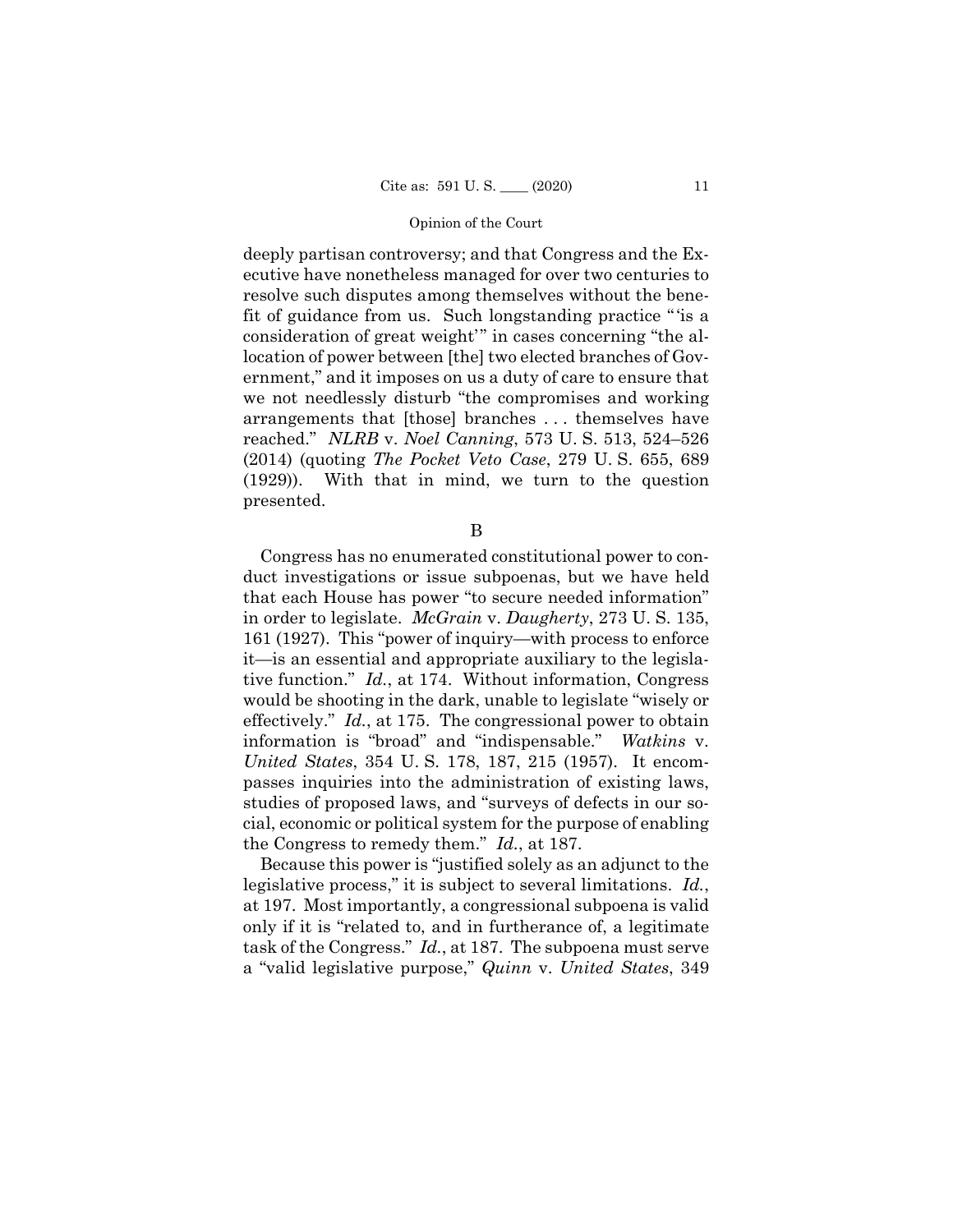deeply partisan controversy; and that Congress and the Executive have nonetheless managed for over two centuries to resolve such disputes among themselves without the benefit of guidance from us. Such longstanding practice " 'is a consideration of great weight'" in cases concerning "the allocation of power between [the] two elected branches of Government," and it imposes on us a duty of care to ensure that we not needlessly disturb "the compromises and working arrangements that [those] branches . . . themselves have reached." *NLRB* v. *Noel Canning*, 573 U. S. 513, 524–526 (2014) (quoting *The Pocket Veto Case*, 279 U. S. 655, 689 (1929)). With that in mind, we turn to the question presented.

B

Congress has no enumerated constitutional power to conduct investigations or issue subpoenas, but we have held that each House has power "to secure needed information" in order to legislate. *McGrain* v. *Daugherty*, 273 U. S. 135, 161 (1927). This "power of inquiry—with process to enforce it—is an essential and appropriate auxiliary to the legislative function." *Id.*, at 174. Without information, Congress would be shooting in the dark, unable to legislate "wisely or effectively." *Id.*, at 175. The congressional power to obtain information is "broad" and "indispensable." *Watkins* v. *United States*, 354 U. S. 178, 187, 215 (1957). It encompasses inquiries into the administration of existing laws, studies of proposed laws, and "surveys of defects in our social, economic or political system for the purpose of enabling the Congress to remedy them." *Id.*, at 187.

Because this power is "justified solely as an adjunct to the legislative process," it is subject to several limitations. *Id.*, at 197. Most importantly, a congressional subpoena is valid only if it is "related to, and in furtherance of, a legitimate task of the Congress." *Id.*, at 187. The subpoena must serve a "valid legislative purpose," *Quinn* v. *United States*, 349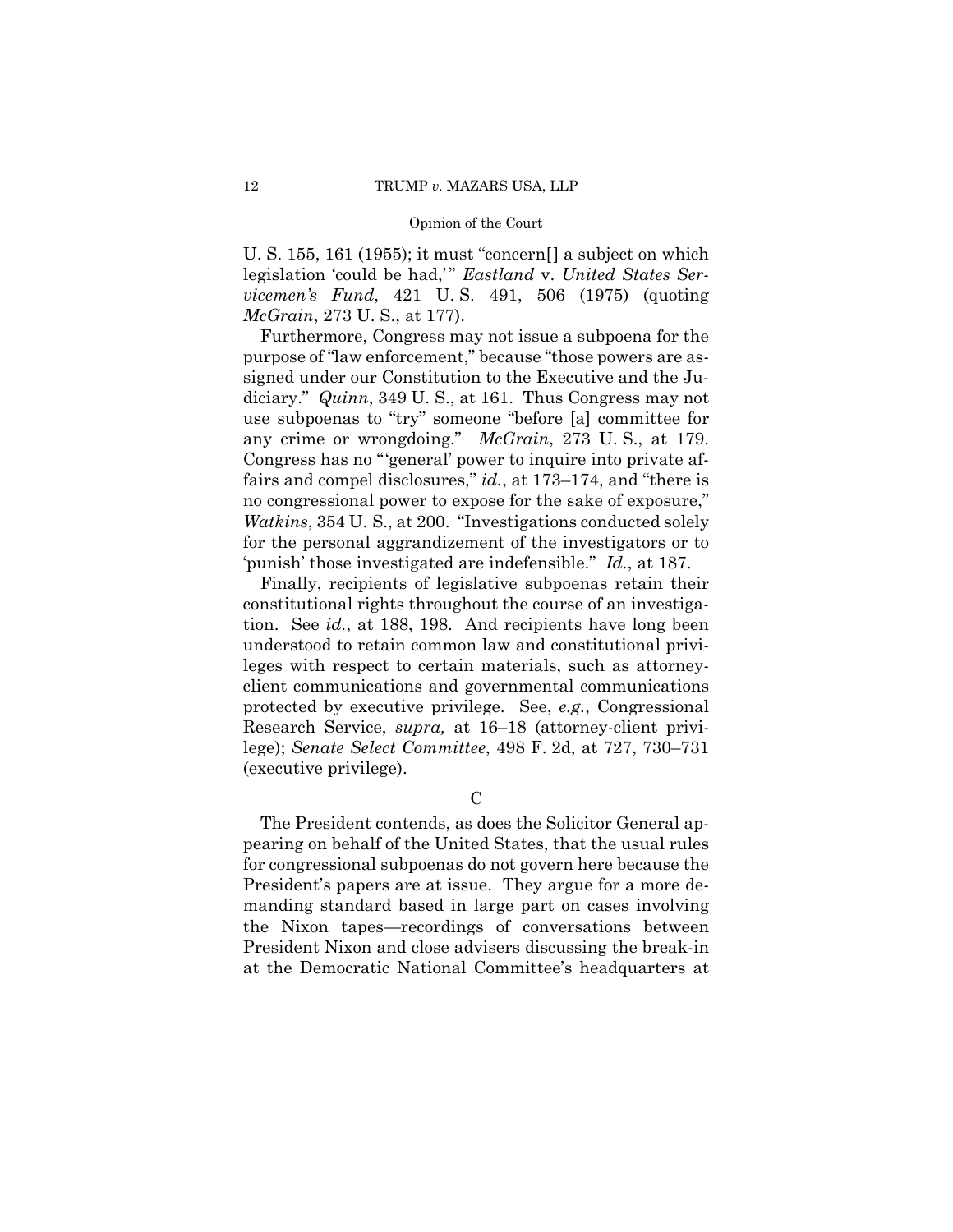U. S. 155, 161 (1955); it must "concern[] a subject on which legislation 'could be had,'" *Eastland* v. *United States Servicemen's Fund*, 421 U. S. 491, 506 (1975) (quoting *McGrain*, 273 U. S., at 177).

Furthermore, Congress may not issue a subpoena for the purpose of "law enforcement," because "those powers are assigned under our Constitution to the Executive and the Judiciary." *Quinn*, 349 U. S., at 161. Thus Congress may not use subpoenas to "try" someone "before [a] committee for any crime or wrongdoing." *McGrain*, 273 U. S., at 179. Congress has no "'general' power to inquire into private affairs and compel disclosures," *id.*, at 173–174, and "there is no congressional power to expose for the sake of exposure," *Watkins*, 354 U. S., at 200. "Investigations conducted solely for the personal aggrandizement of the investigators or to 'punish' those investigated are indefensible." *Id.*, at 187.

Finally, recipients of legislative subpoenas retain their constitutional rights throughout the course of an investigation. See *id.*, at 188, 198. And recipients have long been understood to retain common law and constitutional privileges with respect to certain materials, such as attorneyclient communications and governmental communications protected by executive privilege. See, *e.g.*, Congressional Research Service, *supra,* at 16–18 (attorney-client privilege); *Senate Select Committee*, 498 F. 2d, at 727, 730–731 (executive privilege).

 $\mathcal{C}$ 

The President contends, as does the Solicitor General appearing on behalf of the United States, that the usual rules for congressional subpoenas do not govern here because the President's papers are at issue. They argue for a more demanding standard based in large part on cases involving the Nixon tapes—recordings of conversations between President Nixon and close advisers discussing the break-in at the Democratic National Committee's headquarters at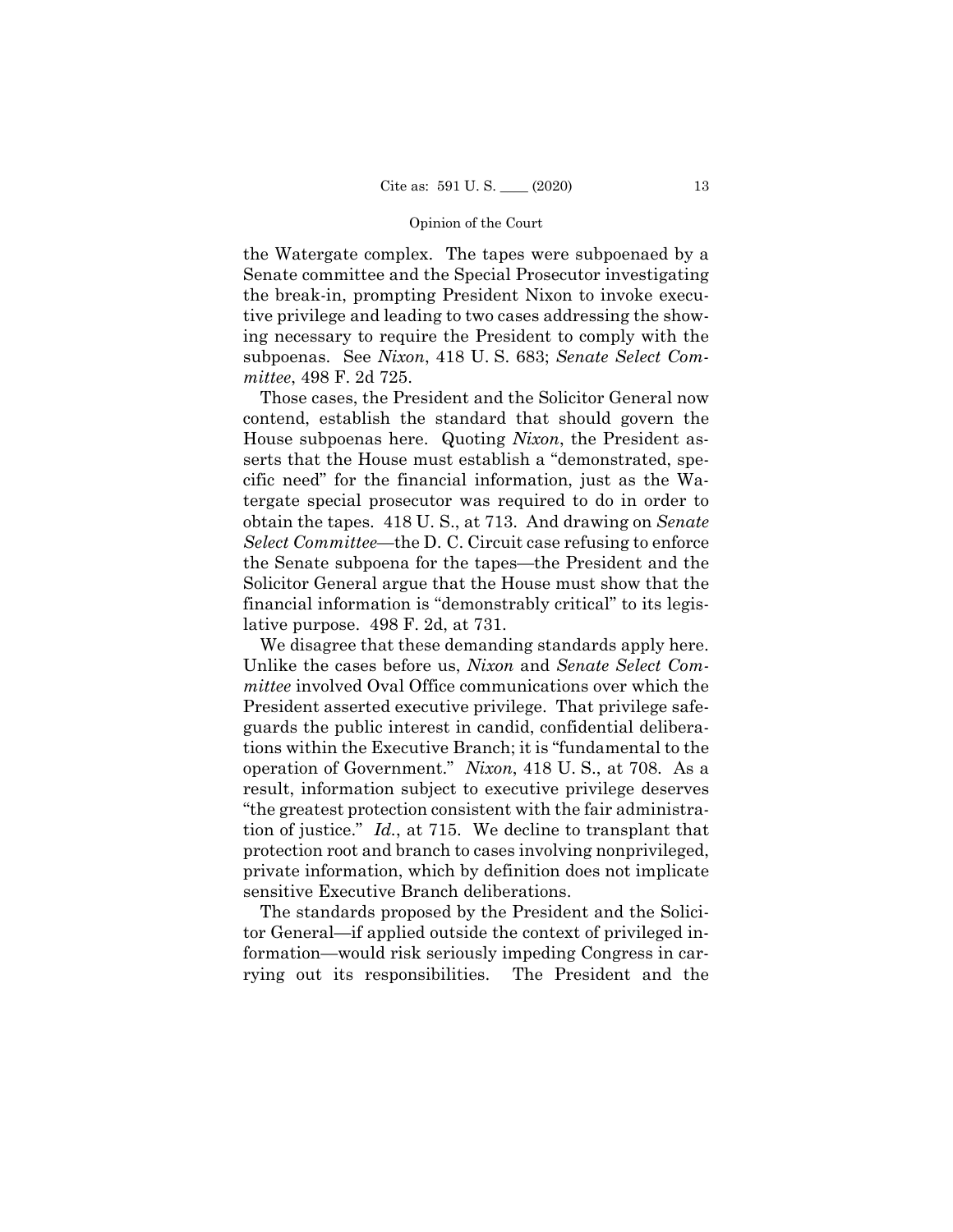the Watergate complex. The tapes were subpoenaed by a Senate committee and the Special Prosecutor investigating the break-in, prompting President Nixon to invoke executive privilege and leading to two cases addressing the showing necessary to require the President to comply with the subpoenas. See *Nixon*, 418 U. S. 683; *Senate Select Committee*, 498 F. 2d 725.

Those cases, the President and the Solicitor General now contend, establish the standard that should govern the House subpoenas here. Quoting *Nixon*, the President asserts that the House must establish a "demonstrated, specific need" for the financial information, just as the Watergate special prosecutor was required to do in order to obtain the tapes. 418 U. S., at 713. And drawing on *Senate Select Committee*—the D. C. Circuit case refusing to enforce the Senate subpoena for the tapes—the President and the Solicitor General argue that the House must show that the financial information is "demonstrably critical" to its legislative purpose. 498 F. 2d, at 731.

We disagree that these demanding standards apply here. Unlike the cases before us, *Nixon* and *Senate Select Committee* involved Oval Office communications over which the President asserted executive privilege. That privilege safeguards the public interest in candid, confidential deliberations within the Executive Branch; it is "fundamental to the operation of Government." *Nixon*, 418 U. S., at 708. As a result, information subject to executive privilege deserves "the greatest protection consistent with the fair administration of justice." *Id.*, at 715. We decline to transplant that protection root and branch to cases involving nonprivileged, private information, which by definition does not implicate sensitive Executive Branch deliberations.

 rying out its responsibilities. The President and the The standards proposed by the President and the Solicitor General—if applied outside the context of privileged information—would risk seriously impeding Congress in car-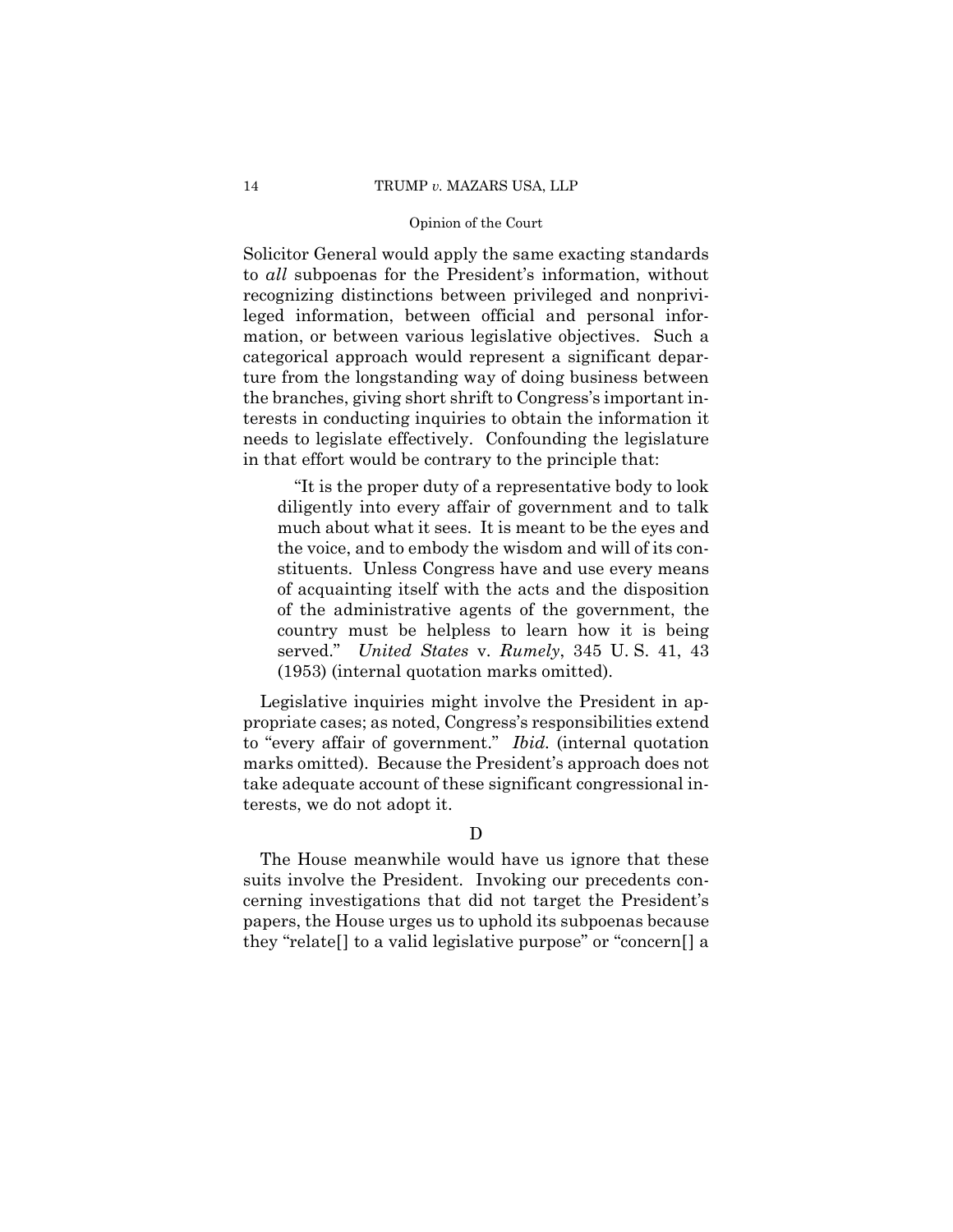Solicitor General would apply the same exacting standards to *all* subpoenas for the President's information, without recognizing distinctions between privileged and nonprivileged information, between official and personal information, or between various legislative objectives. Such a categorical approach would represent a significant departure from the longstanding way of doing business between the branches, giving short shrift to Congress's important interests in conducting inquiries to obtain the information it needs to legislate effectively. Confounding the legislature in that effort would be contrary to the principle that:

"It is the proper duty of a representative body to look diligently into every affair of government and to talk much about what it sees. It is meant to be the eyes and the voice, and to embody the wisdom and will of its constituents. Unless Congress have and use every means of acquainting itself with the acts and the disposition of the administrative agents of the government, the country must be helpless to learn how it is being served." *United States* v. *Rumely*, 345 U. S. 41, 43 (1953) (internal quotation marks omitted).

Legislative inquiries might involve the President in appropriate cases; as noted, Congress's responsibilities extend to "every affair of government." *Ibid.* (internal quotation marks omitted). Because the President's approach does not take adequate account of these significant congressional interests, we do not adopt it.

## D

The House meanwhile would have us ignore that these suits involve the President. Invoking our precedents concerning investigations that did not target the President's papers, the House urges us to uphold its subpoenas because they "relate[] to a valid legislative purpose" or "concern[] a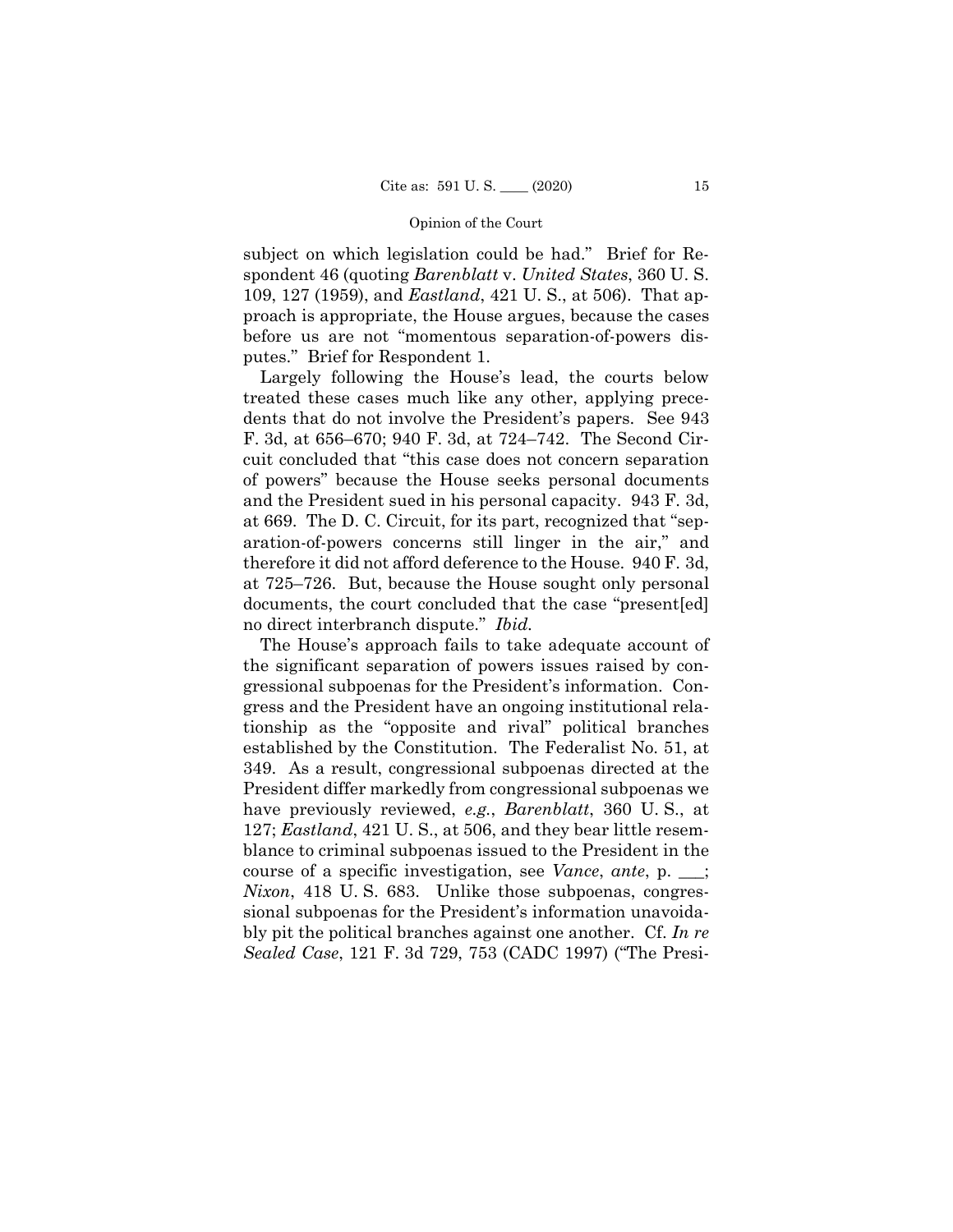subject on which legislation could be had." Brief for Respondent 46 (quoting *Barenblatt* v. *United States*, 360 U. S. 109, 127 (1959), and *Eastland*, 421 U. S., at 506). That approach is appropriate, the House argues, because the cases before us are not "momentous separation-of-powers disputes." Brief for Respondent 1.

Largely following the House's lead, the courts below treated these cases much like any other, applying precedents that do not involve the President's papers. See 943 F. 3d, at 656–670; 940 F. 3d, at 724–742. The Second Circuit concluded that "this case does not concern separation of powers" because the House seeks personal documents and the President sued in his personal capacity. 943 F. 3d, at 669. The D. C. Circuit, for its part, recognized that "separation-of-powers concerns still linger in the air," and therefore it did not afford deference to the House. 940 F. 3d, at 725–726. But, because the House sought only personal documents, the court concluded that the case "present[ed] no direct interbranch dispute." *Ibid.* 

The House's approach fails to take adequate account of the significant separation of powers issues raised by congressional subpoenas for the President's information. Congress and the President have an ongoing institutional relationship as the "opposite and rival" political branches established by the Constitution. The Federalist No. 51, at 349. As a result, congressional subpoenas directed at the President differ markedly from congressional subpoenas we have previously reviewed, *e.g.*, *Barenblatt*, 360 U. S., at 127; *Eastland*, 421 U. S., at 506, and they bear little resemblance to criminal subpoenas issued to the President in the course of a specific investigation, see *Vance*, *ante*, p. \_\_\_; *Nixon*, 418 U. S. 683. Unlike those subpoenas, congressional subpoenas for the President's information unavoidably pit the political branches against one another. Cf. *In re Sealed Case*, 121 F. 3d 729, 753 (CADC 1997) ("The Presi-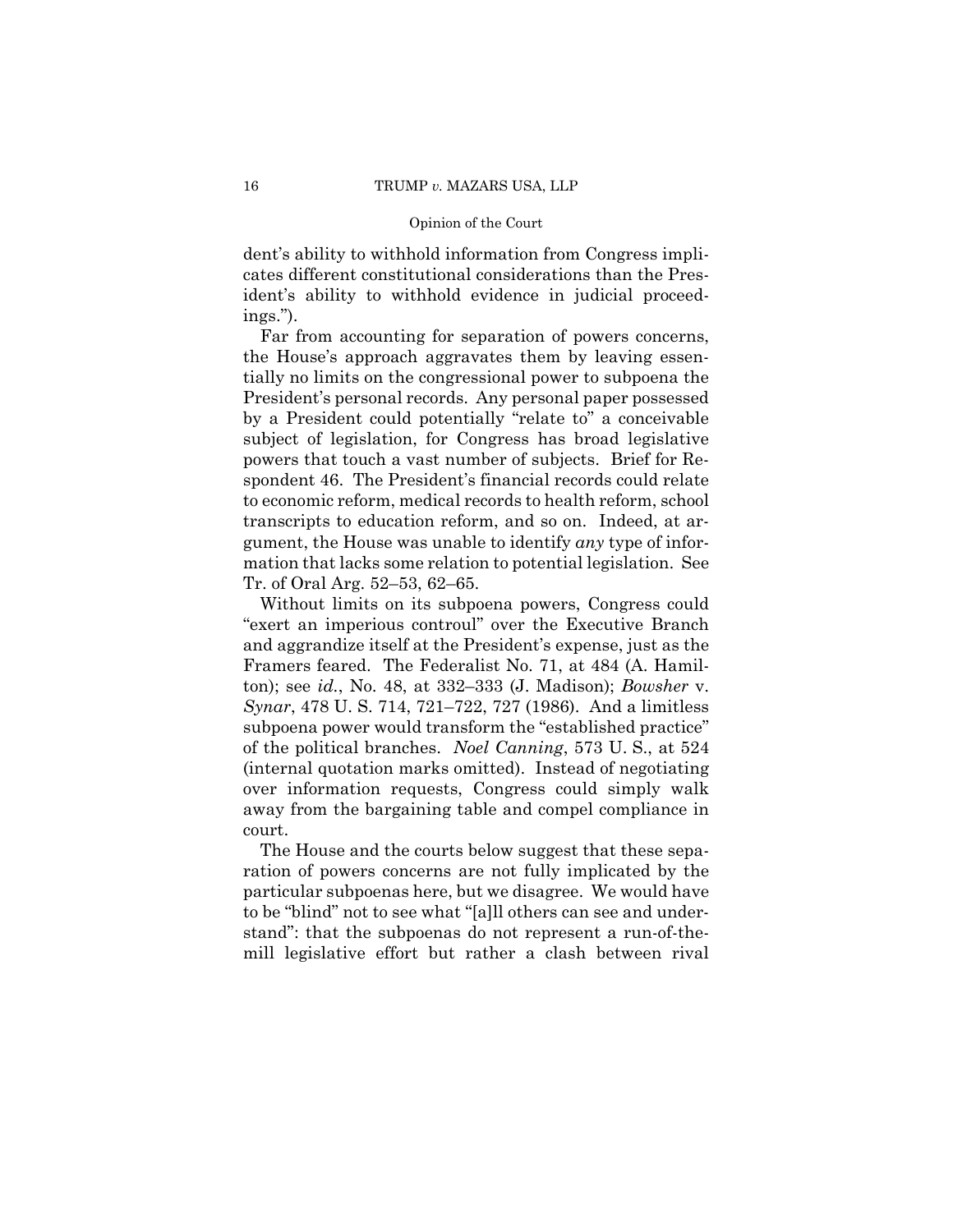dent's ability to withhold information from Congress implicates different constitutional considerations than the President's ability to withhold evidence in judicial proceedings.").

Far from accounting for separation of powers concerns, the House's approach aggravates them by leaving essentially no limits on the congressional power to subpoena the President's personal records. Any personal paper possessed by a President could potentially "relate to" a conceivable subject of legislation, for Congress has broad legislative powers that touch a vast number of subjects. Brief for Respondent 46. The President's financial records could relate to economic reform, medical records to health reform, school transcripts to education reform, and so on. Indeed, at argument, the House was unable to identify *any* type of information that lacks some relation to potential legislation. See Tr. of Oral Arg. 52–53, 62–65.

Without limits on its subpoena powers, Congress could "exert an imperious controul" over the Executive Branch and aggrandize itself at the President's expense, just as the Framers feared. The Federalist No. 71, at 484 (A. Hamilton); see *id.*, No. 48, at 332–333 (J. Madison); *Bowsher* v. *Synar*, 478 U. S. 714, 721–722, 727 (1986). And a limitless subpoena power would transform the "established practice" of the political branches. *Noel Canning*, 573 U. S., at 524 (internal quotation marks omitted). Instead of negotiating over information requests, Congress could simply walk away from the bargaining table and compel compliance in court.

The House and the courts below suggest that these separation of powers concerns are not fully implicated by the particular subpoenas here, but we disagree. We would have to be "blind" not to see what "[a]ll others can see and understand": that the subpoenas do not represent a run-of-themill legislative effort but rather a clash between rival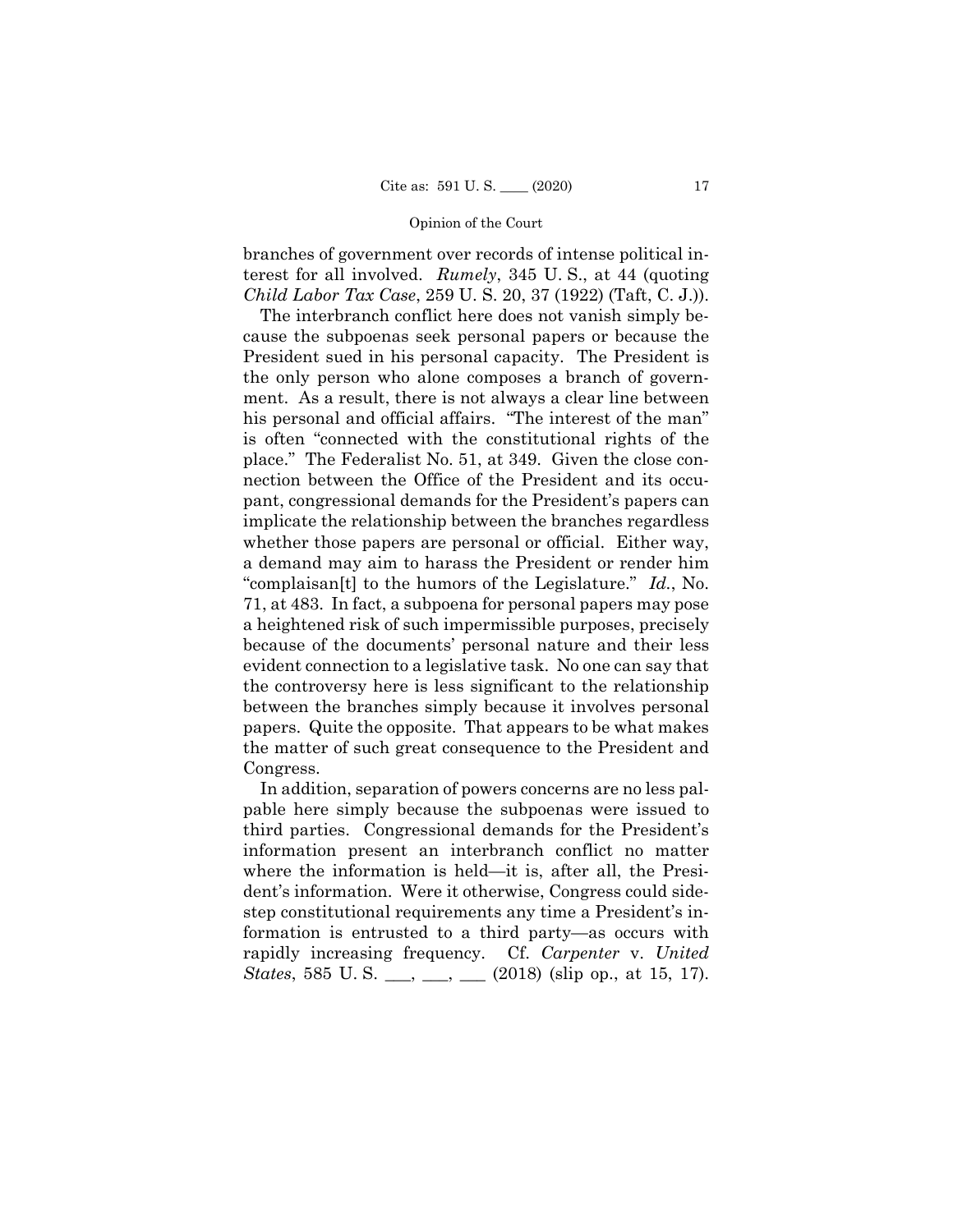terest for all involved. *Rumely*, 345 U. S., at 44 (quoting branches of government over records of intense political in-*Child Labor Tax Case*, 259 U. S. 20, 37 (1922) (Taft, C. J.)).

The interbranch conflict here does not vanish simply because the subpoenas seek personal papers or because the President sued in his personal capacity. The President is the only person who alone composes a branch of government. As a result, there is not always a clear line between his personal and official affairs. "The interest of the man" is often "connected with the constitutional rights of the place." The Federalist No. 51, at 349. Given the close connection between the Office of the President and its occupant, congressional demands for the President's papers can implicate the relationship between the branches regardless whether those papers are personal or official. Either way, a demand may aim to harass the President or render him "complaisan[t] to the humors of the Legislature." *Id.*, No. 71, at 483. In fact, a subpoena for personal papers may pose a heightened risk of such impermissible purposes, precisely because of the documents' personal nature and their less evident connection to a legislative task. No one can say that the controversy here is less significant to the relationship between the branches simply because it involves personal papers. Quite the opposite. That appears to be what makes the matter of such great consequence to the President and Congress.

In addition, separation of powers concerns are no less palpable here simply because the subpoenas were issued to third parties. Congressional demands for the President's information present an interbranch conflict no matter where the information is held—it is, after all, the President's information. Were it otherwise, Congress could sidestep constitutional requirements any time a President's information is entrusted to a third party—as occurs with rapidly increasing frequency. Cf. *Carpenter* v. *United States*, 585 U. S. \_\_\_, \_\_\_, \_\_\_ (2018) (slip op., at 15, 17).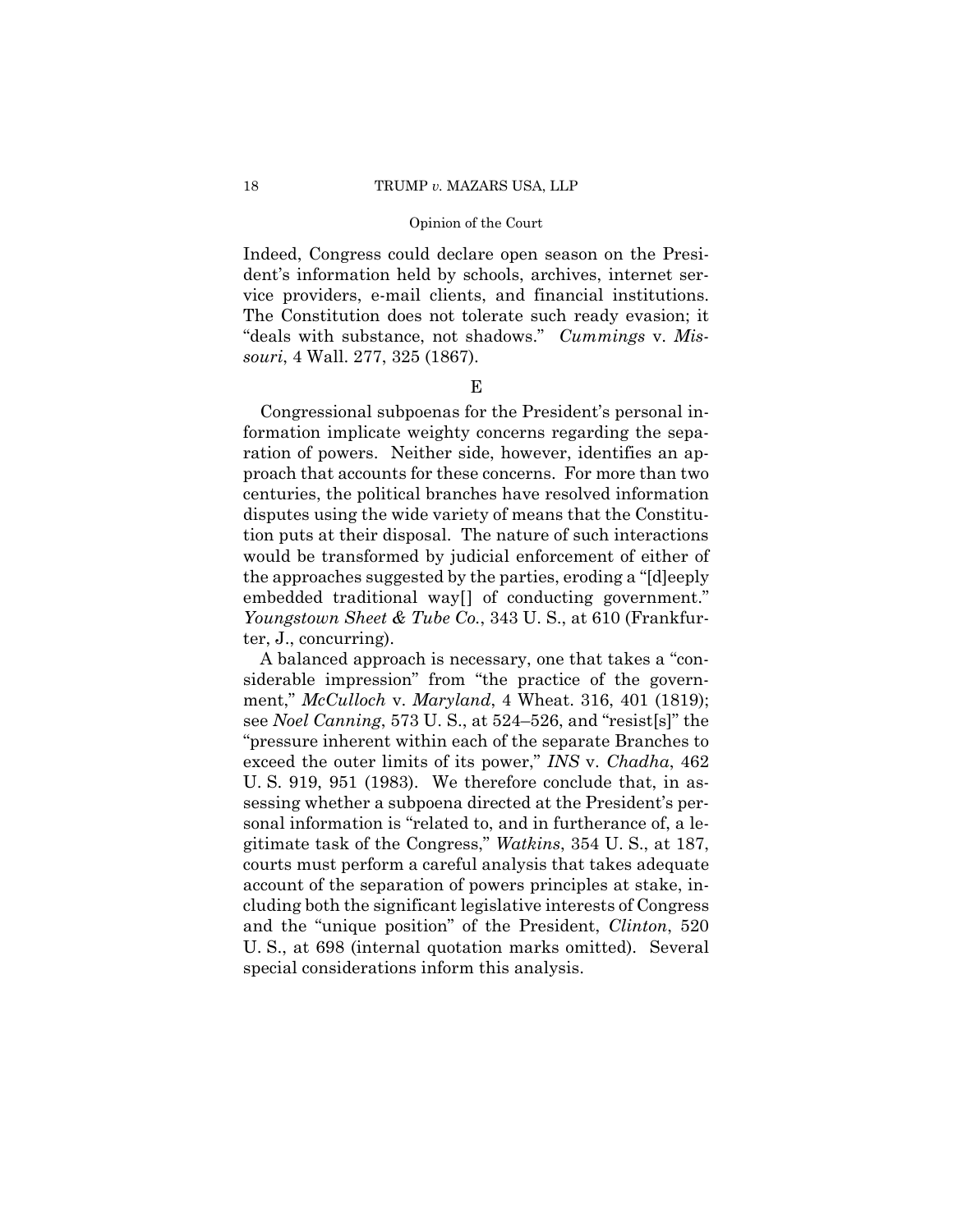Indeed, Congress could declare open season on the President's information held by schools, archives, internet service providers, e-mail clients, and financial institutions. The Constitution does not tolerate such ready evasion; it "deals with substance, not shadows." *Cummings* v. *Missouri*, 4 Wall. 277, 325 (1867).

### E

Congressional subpoenas for the President's personal information implicate weighty concerns regarding the separation of powers. Neither side, however, identifies an approach that accounts for these concerns. For more than two centuries, the political branches have resolved information disputes using the wide variety of means that the Constitution puts at their disposal. The nature of such interactions would be transformed by judicial enforcement of either of the approaches suggested by the parties, eroding a "[d]eeply embedded traditional way[] of conducting government." *Youngstown Sheet & Tube Co.*, 343 U. S., at 610 (Frankfurter, J., concurring).

A balanced approach is necessary, one that takes a "considerable impression" from "the practice of the government," *McCulloch* v. *Maryland*, 4 Wheat. 316, 401 (1819); see *Noel Canning*, 573 U. S., at 524–526, and "resist[s]" the "pressure inherent within each of the separate Branches to exceed the outer limits of its power," *INS* v. *Chadha*, 462 U. S. 919, 951 (1983). We therefore conclude that, in assessing whether a subpoena directed at the President's personal information is "related to, and in furtherance of, a legitimate task of the Congress," *Watkins*, 354 U. S., at 187, courts must perform a careful analysis that takes adequate account of the separation of powers principles at stake, including both the significant legislative interests of Congress and the "unique position" of the President, *Clinton*, 520 U. S., at 698 (internal quotation marks omitted). Several special considerations inform this analysis.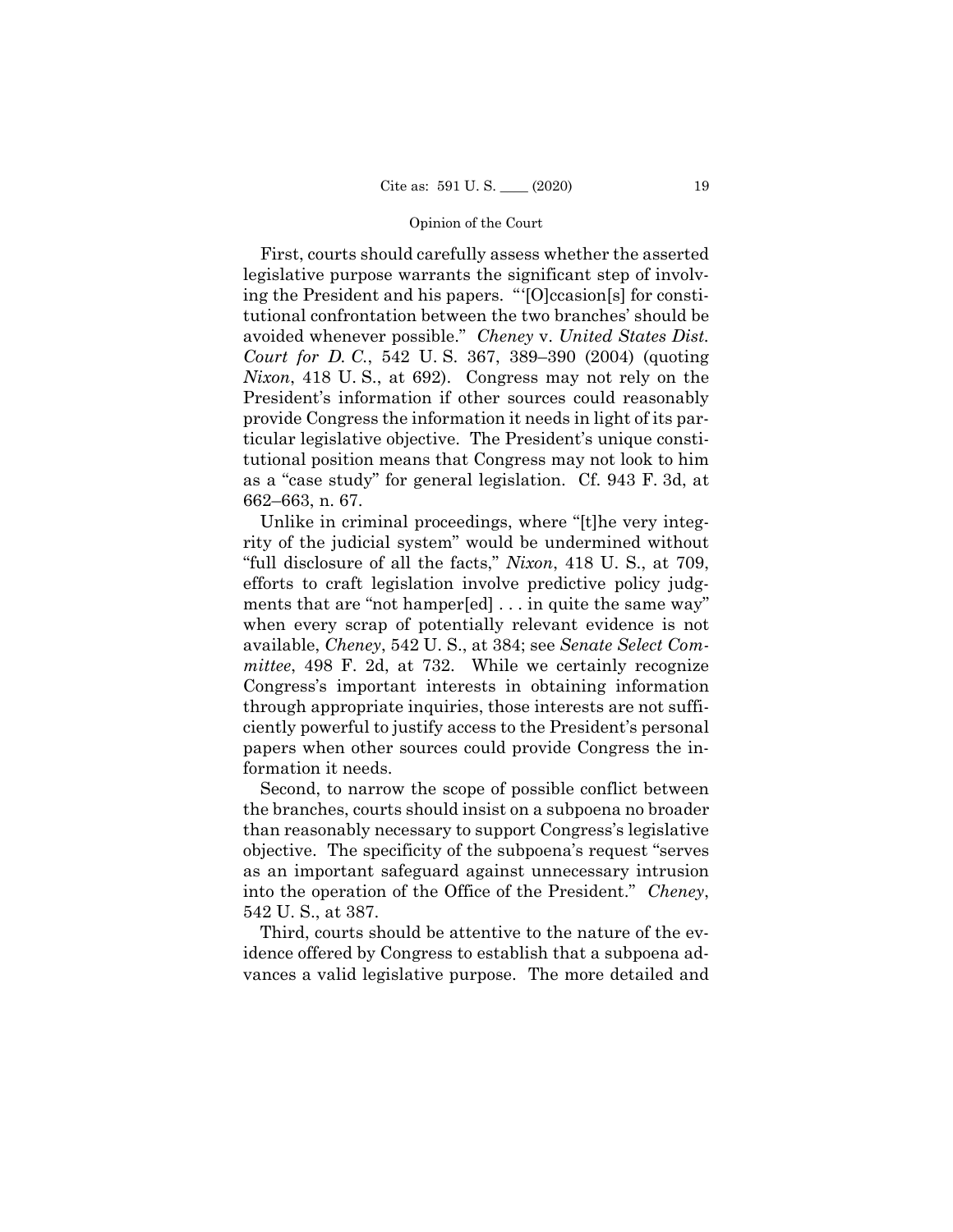First, courts should carefully assess whether the asserted legislative purpose warrants the significant step of involving the President and his papers. "'[O]ccasion[s] for constitutional confrontation between the two branches' should be avoided whenever possible." *Cheney* v. *United States Dist. Court for D. C.*, 542 U. S. 367, 389–390 (2004) (quoting *Nixon*, 418 U. S., at 692). Congress may not rely on the President's information if other sources could reasonably provide Congress the information it needs in light of its particular legislative objective. The President's unique constitutional position means that Congress may not look to him as a "case study" for general legislation. Cf. 943 F. 3d, at 662–663, n. 67.

Unlike in criminal proceedings, where "[t]he very integrity of the judicial system" would be undermined without "full disclosure of all the facts," *Nixon*, 418 U. S., at 709, efforts to craft legislation involve predictive policy judgments that are "not hamper[ed] . . . in quite the same way" when every scrap of potentially relevant evidence is not available, *Cheney*, 542 U. S., at 384; see *Senate Select Committee*, 498 F. 2d, at 732. While we certainly recognize Congress's important interests in obtaining information through appropriate inquiries, those interests are not sufficiently powerful to justify access to the President's personal papers when other sources could provide Congress the information it needs.

Second, to narrow the scope of possible conflict between the branches, courts should insist on a subpoena no broader than reasonably necessary to support Congress's legislative objective. The specificity of the subpoena's request "serves as an important safeguard against unnecessary intrusion into the operation of the Office of the President." *Cheney*, 542 U. S., at 387.

Third, courts should be attentive to the nature of the evidence offered by Congress to establish that a subpoena advances a valid legislative purpose. The more detailed and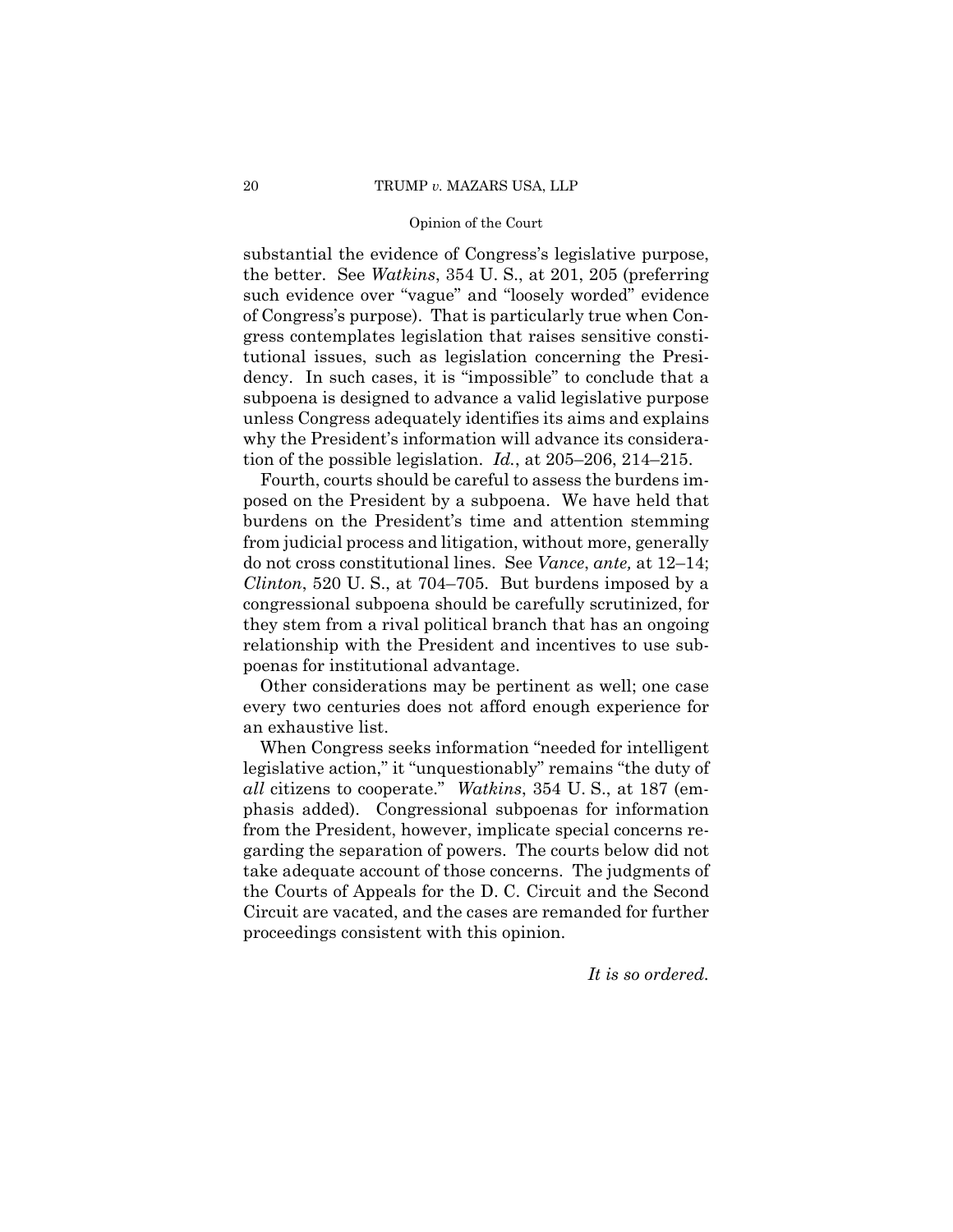substantial the evidence of Congress's legislative purpose, the better. See *Watkins*, 354 U. S., at 201, 205 (preferring such evidence over "vague" and "loosely worded" evidence of Congress's purpose). That is particularly true when Congress contemplates legislation that raises sensitive constitutional issues, such as legislation concerning the Presidency. In such cases, it is "impossible" to conclude that a subpoena is designed to advance a valid legislative purpose unless Congress adequately identifies its aims and explains why the President's information will advance its consideration of the possible legislation. *Id.*, at 205–206, 214–215.

Fourth, courts should be careful to assess the burdens imposed on the President by a subpoena. We have held that burdens on the President's time and attention stemming from judicial process and litigation, without more, generally do not cross constitutional lines. See *Vance*, *ante,* at 12–14; *Clinton*, 520 U. S., at 704–705. But burdens imposed by a congressional subpoena should be carefully scrutinized, for they stem from a rival political branch that has an ongoing relationship with the President and incentives to use subpoenas for institutional advantage.

Other considerations may be pertinent as well; one case every two centuries does not afford enough experience for an exhaustive list.

When Congress seeks information "needed for intelligent legislative action," it "unquestionably" remains "the duty of *all* citizens to cooperate." *Watkins*, 354 U. S., at 187 (emphasis added). Congressional subpoenas for information from the President, however, implicate special concerns regarding the separation of powers. The courts below did not take adequate account of those concerns. The judgments of the Courts of Appeals for the D. C. Circuit and the Second Circuit are vacated, and the cases are remanded for further proceedings consistent with this opinion.

## *It is so ordered.*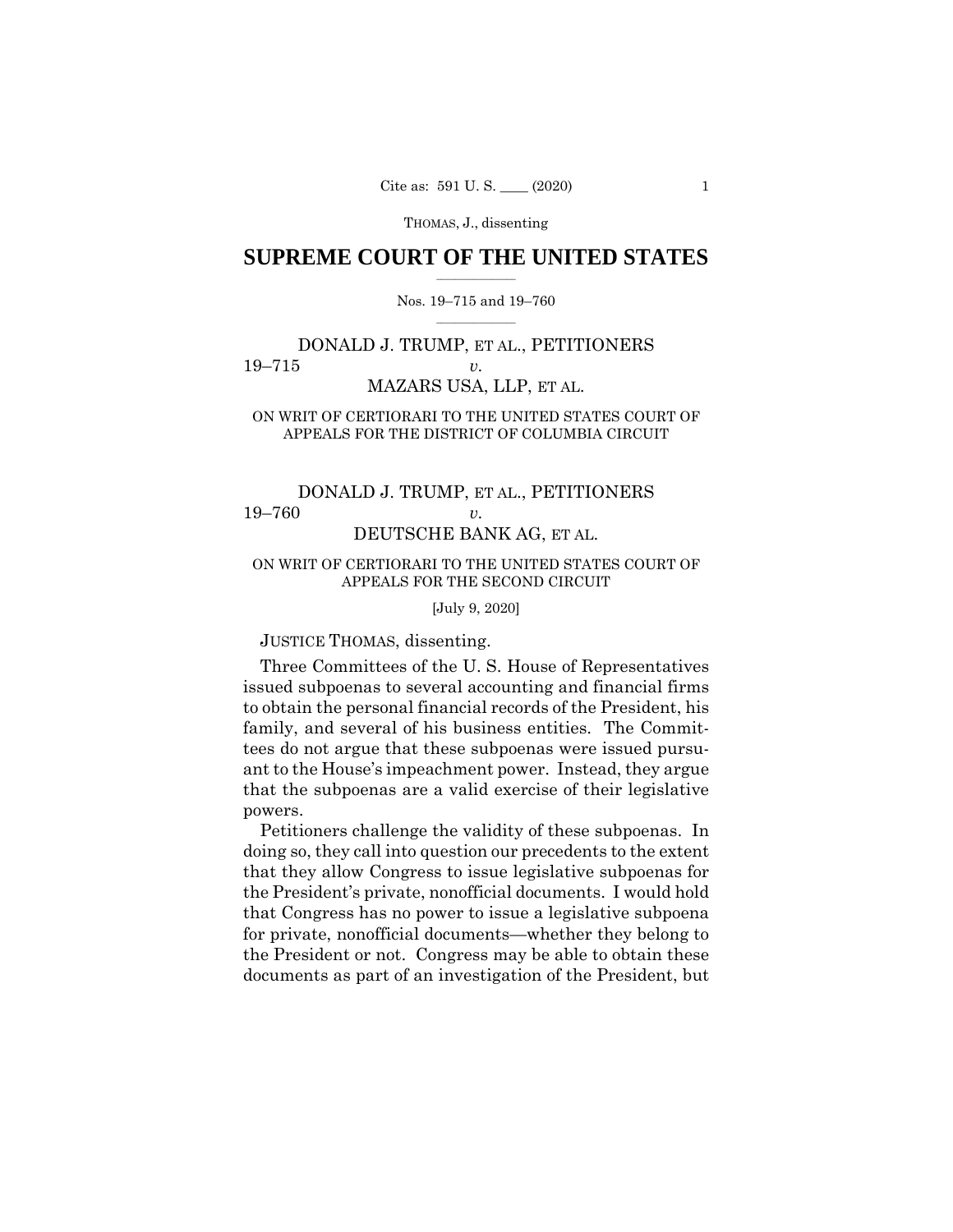## $\frac{1}{2}$  ,  $\frac{1}{2}$  ,  $\frac{1}{2}$  ,  $\frac{1}{2}$  ,  $\frac{1}{2}$  ,  $\frac{1}{2}$  ,  $\frac{1}{2}$ **SUPREME COURT OF THE UNITED STATES**

### $\frac{1}{2}$  ,  $\frac{1}{2}$  ,  $\frac{1}{2}$  ,  $\frac{1}{2}$  ,  $\frac{1}{2}$  ,  $\frac{1}{2}$ Nos. 19–715 and 19–760

## DONALD J. TRUMP, ET AL., PETITIONERS 19–715 *v.*  MAZARS USA, LLP, ET AL.

### ON WRIT OF CERTIORARI TO THE UNITED STATES COURT OF APPEALS FOR THE DISTRICT OF COLUMBIA CIRCUIT

## DONALD J. TRUMP, ET AL., PETITIONERS 19–760 *v.*  DEUTSCHE BANK AG, ET AL.

## ON WRIT OF CERTIORARI TO THE UNITED STATES COURT OF APPEALS FOR THE SECOND CIRCUIT

[July 9, 2020]

## JUSTICE THOMAS, dissenting.

 family, and several of his business entities. The Commit-Three Committees of the U. S. House of Representatives issued subpoenas to several accounting and financial firms to obtain the personal financial records of the President, his tees do not argue that these subpoenas were issued pursuant to the House's impeachment power. Instead, they argue that the subpoenas are a valid exercise of their legislative powers.

Petitioners challenge the validity of these subpoenas. In doing so, they call into question our precedents to the extent that they allow Congress to issue legislative subpoenas for the President's private, nonofficial documents. I would hold that Congress has no power to issue a legislative subpoena for private, nonofficial documents—whether they belong to the President or not. Congress may be able to obtain these documents as part of an investigation of the President, but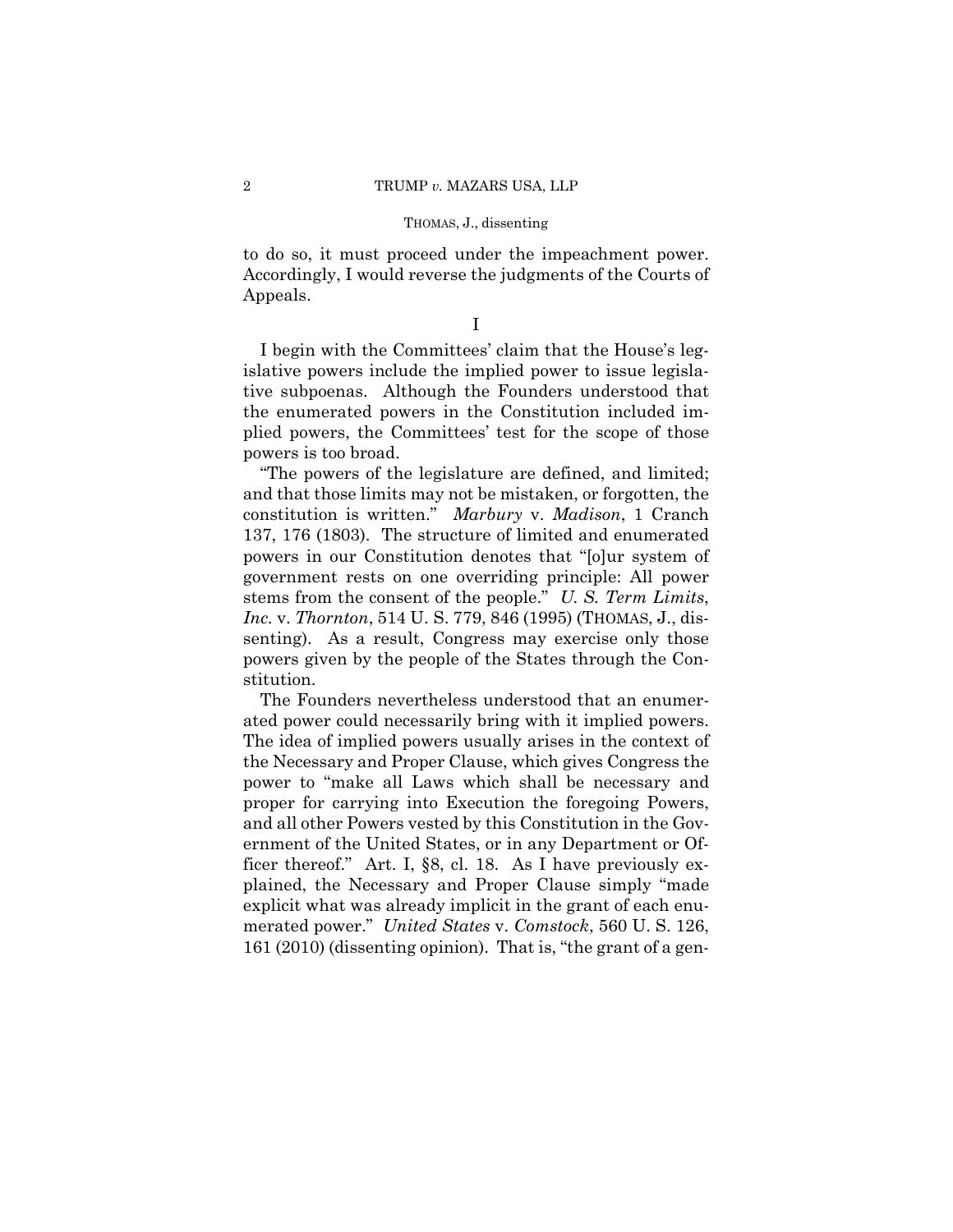to do so, it must proceed under the impeachment power. Accordingly, I would reverse the judgments of the Courts of Appeals.

I

I begin with the Committees' claim that the House's legislative powers include the implied power to issue legislative subpoenas. Although the Founders understood that the enumerated powers in the Constitution included implied powers, the Committees' test for the scope of those powers is too broad.

"The powers of the legislature are defined, and limited; and that those limits may not be mistaken, or forgotten, the constitution is written." *Marbury* v. *Madison*, 1 Cranch 137, 176 (1803). The structure of limited and enumerated powers in our Constitution denotes that "[o]ur system of government rests on one overriding principle: All power stems from the consent of the people." *U. S. Term Limits*, *Inc.* v. *Thornton*, 514 U. S. 779, 846 (1995) (THOMAS, J., dissenting). As a result, Congress may exercise only those powers given by the people of the States through the Constitution.

The Founders nevertheless understood that an enumerated power could necessarily bring with it implied powers. The idea of implied powers usually arises in the context of the Necessary and Proper Clause, which gives Congress the power to "make all Laws which shall be necessary and proper for carrying into Execution the foregoing Powers, and all other Powers vested by this Constitution in the Government of the United States, or in any Department or Officer thereof." Art. I, §8, cl. 18. As I have previously explained, the Necessary and Proper Clause simply "made explicit what was already implicit in the grant of each enumerated power." *United States* v. *Comstock*, 560 U. S. 126, 161 (2010) (dissenting opinion). That is, "the grant of a gen-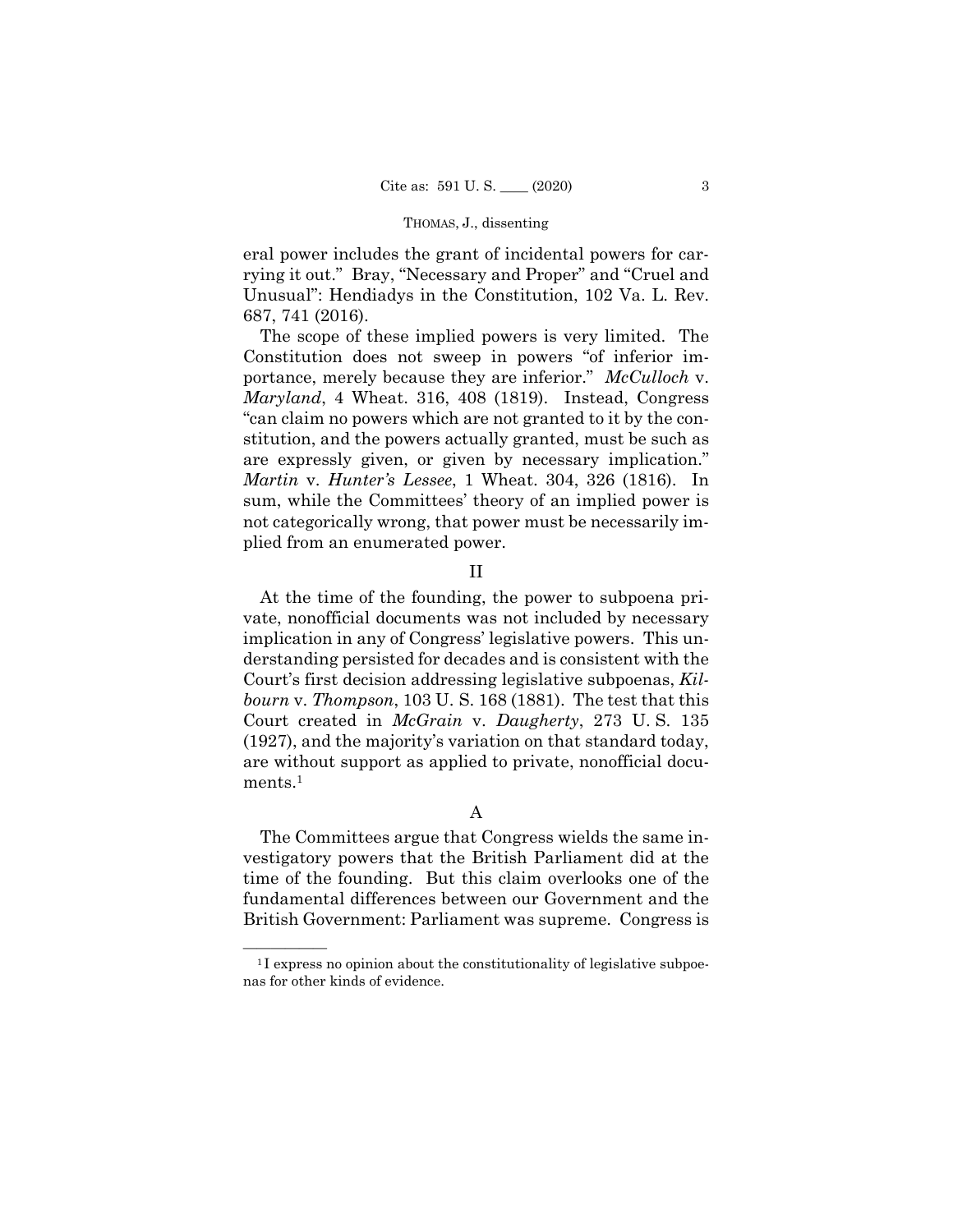eral power includes the grant of incidental powers for carrying it out." Bray, "Necessary and Proper" and "Cruel and Unusual": Hendiadys in the Constitution, 102 Va. L. Rev. 687, 741 (2016).

The scope of these implied powers is very limited. The Constitution does not sweep in powers "of inferior importance, merely because they are inferior." *McCulloch* v. *Maryland*, 4 Wheat. 316, 408 (1819). Instead, Congress "can claim no powers which are not granted to it by the constitution, and the powers actually granted, must be such as are expressly given, or given by necessary implication." *Martin* v. *Hunter's Lessee*, 1 Wheat. 304, 326 (1816). In sum, while the Committees' theory of an implied power is not categorically wrong, that power must be necessarily implied from an enumerated power.

## II

At the time of the founding, the power to subpoena private, nonofficial documents was not included by necessary implication in any of Congress' legislative powers. This understanding persisted for decades and is consistent with the Court's first decision addressing legislative subpoenas, *Kilbourn* v. *Thompson*, 103 U. S. 168 (1881). The test that this Court created in *McGrain* v. *Daugherty*, 273 U. S. 135 (1927), and the majority's variation on that standard today, are without support as applied to private, nonofficial documents.<sup>1</sup>

The Committees argue that Congress wields the same investigatory powers that the British Parliament did at the time of the founding. But this claim overlooks one of the fundamental differences between our Government and the British Government: Parliament was supreme. Congress is

 $1$  I express no opinion about the constitutionality of legislative subpoenas for other kinds of evidence.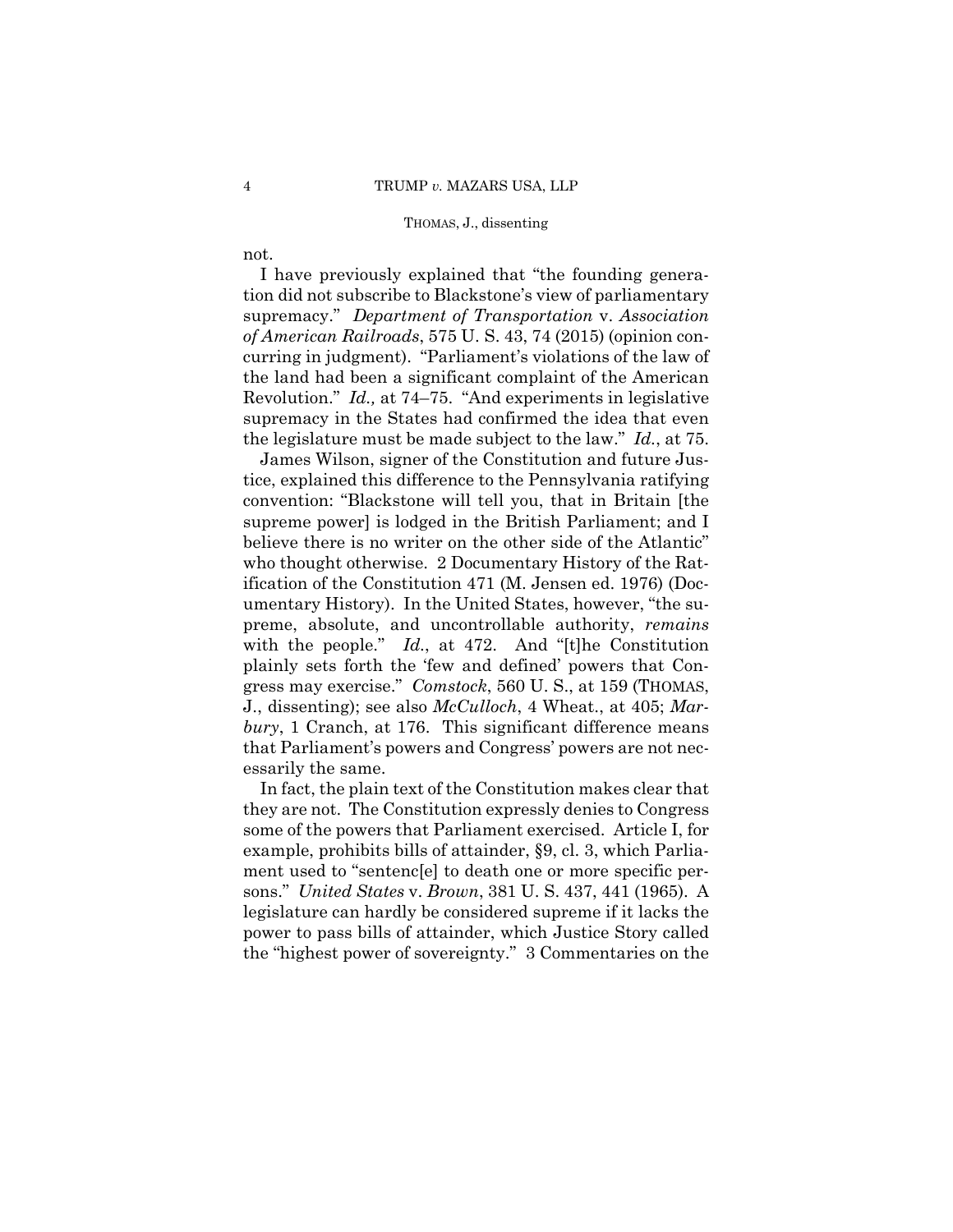not.

I have previously explained that "the founding generation did not subscribe to Blackstone's view of parliamentary supremacy." *Department of Transportation* v. *Association of American Railroads*, 575 U. S. 43, 74 (2015) (opinion concurring in judgment). "Parliament's violations of the law of the land had been a significant complaint of the American Revolution." *Id.,* at 74–75. "And experiments in legislative supremacy in the States had confirmed the idea that even the legislature must be made subject to the law." *Id.*, at 75.

 with the people." *Id.*, at 472. And "[t]he Constitution James Wilson, signer of the Constitution and future Justice, explained this difference to the Pennsylvania ratifying convention: "Blackstone will tell you, that in Britain [the supreme power] is lodged in the British Parliament; and I believe there is no writer on the other side of the Atlantic" who thought otherwise. 2 Documentary History of the Ratification of the Constitution 471 (M. Jensen ed. 1976) (Documentary History). In the United States, however, "the supreme, absolute, and uncontrollable authority, *remains*  plainly sets forth the 'few and defined' powers that Congress may exercise." *Comstock*, 560 U. S., at 159 (THOMAS, J., dissenting); see also *McCulloch*, 4 Wheat., at 405; *Marbury*, 1 Cranch, at 176. This significant difference means that Parliament's powers and Congress' powers are not necessarily the same.

In fact, the plain text of the Constitution makes clear that they are not. The Constitution expressly denies to Congress some of the powers that Parliament exercised. Article I, for example, prohibits bills of attainder, §9, cl. 3, which Parliament used to "sentenc[e] to death one or more specific persons." *United States* v. *Brown*, 381 U. S. 437, 441 (1965). A legislature can hardly be considered supreme if it lacks the power to pass bills of attainder, which Justice Story called the "highest power of sovereignty." 3 Commentaries on the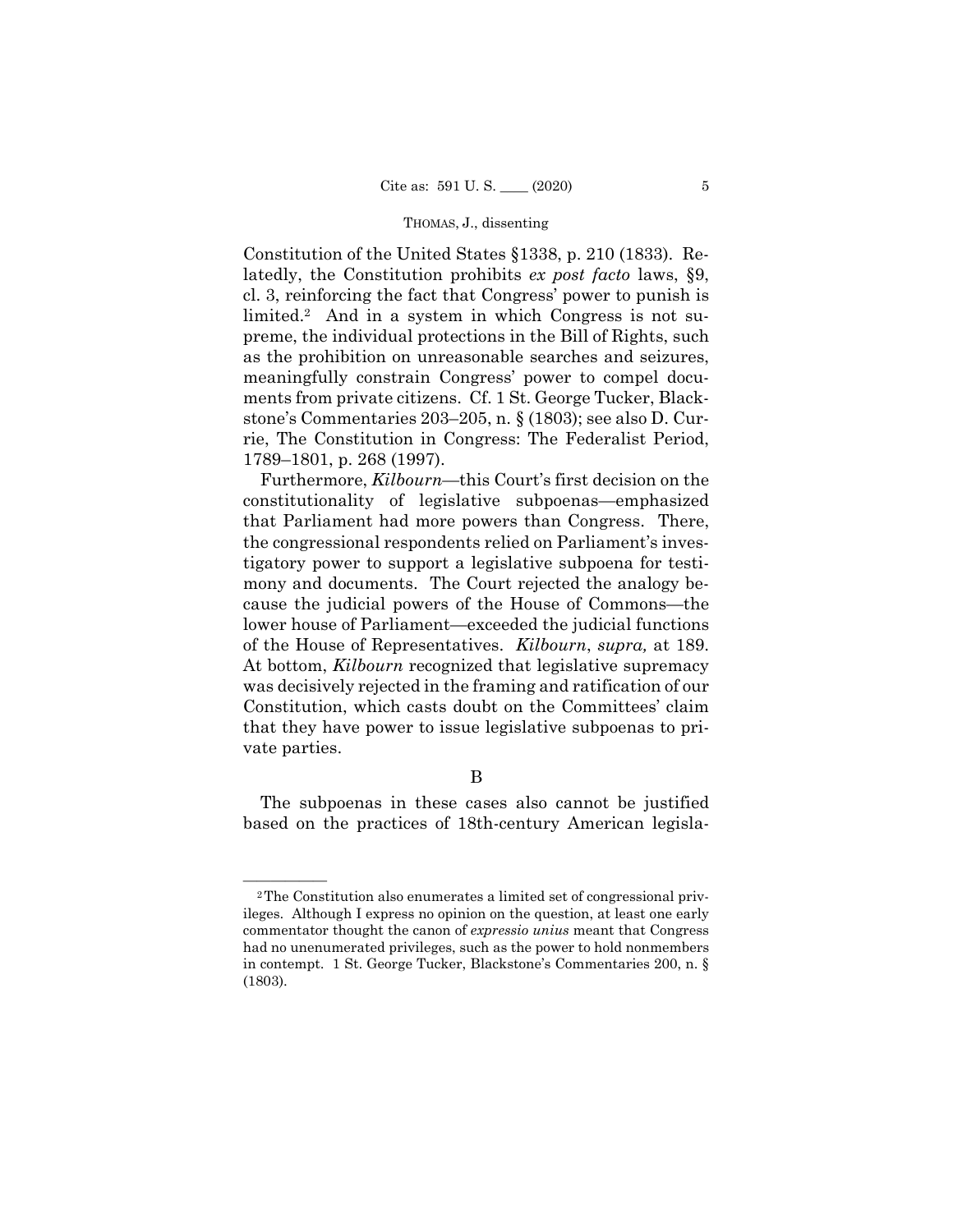Constitution of the United States §1338, p. 210 (1833). Relatedly, the Constitution prohibits *ex post facto* laws, §9, cl. 3, reinforcing the fact that Congress' power to punish is limited.2 And in a system in which Congress is not supreme, the individual protections in the Bill of Rights, such as the prohibition on unreasonable searches and seizures, meaningfully constrain Congress' power to compel documents from private citizens. Cf. 1 St. George Tucker, Blackstone's Commentaries 203–205, n. § (1803); see also D. Currie, The Constitution in Congress: The Federalist Period, 1789–1801, p. 268 (1997).

 Furthermore, *Kilbourn*—this Court's first decision on the constitutionality of legislative subpoenas—emphasized that Parliament had more powers than Congress. There, the congressional respondents relied on Parliament's investigatory power to support a legislative subpoena for testimony and documents. The Court rejected the analogy because the judicial powers of the House of Commons—the lower house of Parliament—exceeded the judicial functions of the House of Representatives. *Kilbourn*, *supra,* at 189. At bottom, *Kilbourn* recognized that legislative supremacy was decisively rejected in the framing and ratification of our Constitution, which casts doubt on the Committees' claim that they have power to issue legislative subpoenas to private parties.

B

The subpoenas in these cases also cannot be justified based on the practices of 18th-century American legisla-

 in contempt. 1 St. George Tucker, Blackstone's Commentaries 200, n. § <sup>2</sup>The Constitution also enumerates a limited set of congressional privileges. Although I express no opinion on the question, at least one early commentator thought the canon of *expressio unius* meant that Congress had no unenumerated privileges, such as the power to hold nonmembers (1803).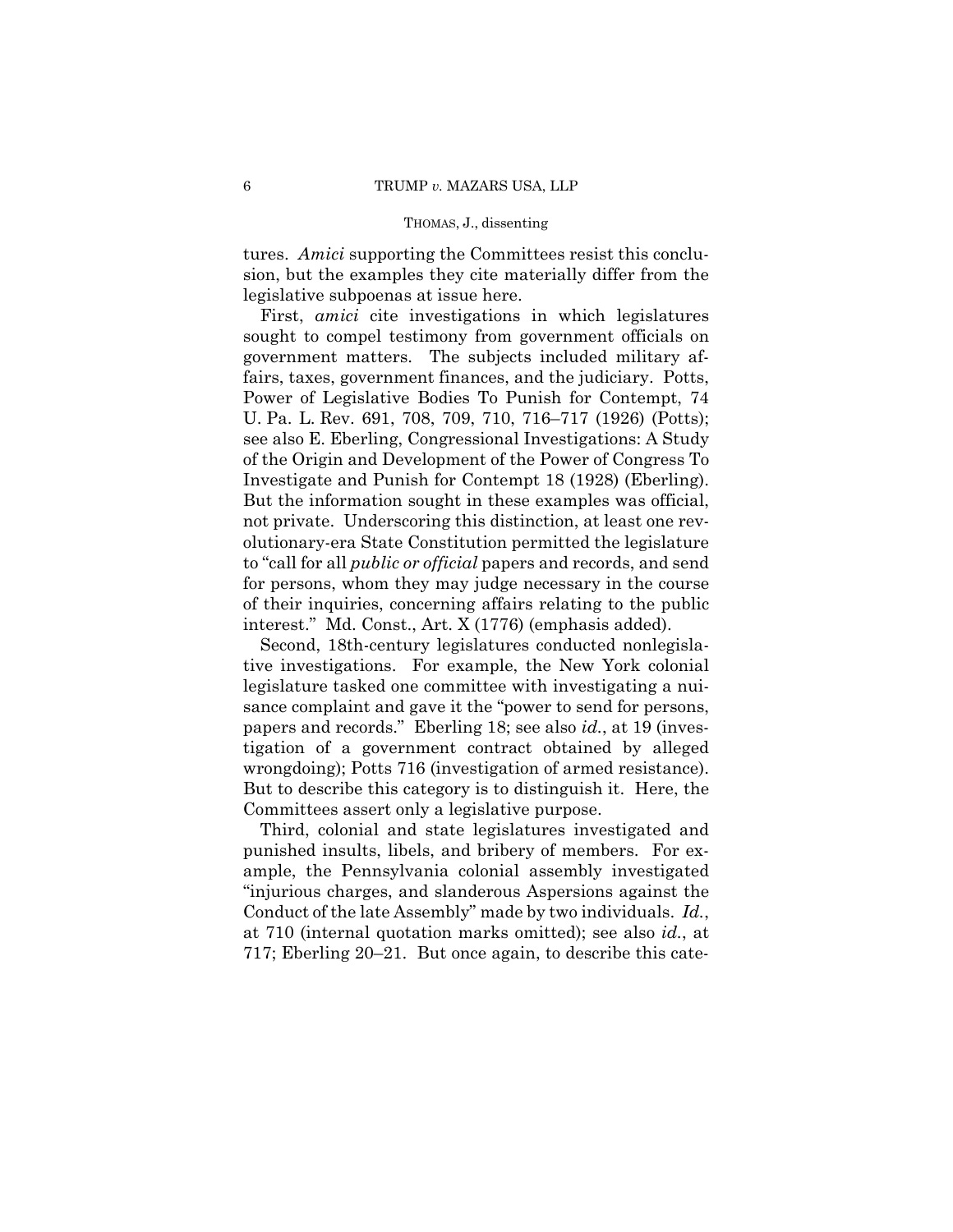tures. *Amici* supporting the Committees resist this conclusion, but the examples they cite materially differ from the legislative subpoenas at issue here.

First, *amici* cite investigations in which legislatures sought to compel testimony from government officials on government matters. The subjects included military affairs, taxes, government finances, and the judiciary. Potts, Power of Legislative Bodies To Punish for Contempt, 74 U. Pa. L. Rev. 691, 708, 709, 710, 716–717 (1926) (Potts); see also E. Eberling, Congressional Investigations: A Study of the Origin and Development of the Power of Congress To Investigate and Punish for Contempt 18 (1928) (Eberling). But the information sought in these examples was official, not private. Underscoring this distinction, at least one revolutionary-era State Constitution permitted the legislature to "call for all *public or official* papers and records, and send for persons, whom they may judge necessary in the course of their inquiries, concerning affairs relating to the public interest." Md. Const., Art. X (1776) (emphasis added).

Second, 18th-century legislatures conducted nonlegislative investigations. For example, the New York colonial legislature tasked one committee with investigating a nuisance complaint and gave it the "power to send for persons, papers and records." Eberling 18; see also *id.*, at 19 (investigation of a government contract obtained by alleged wrongdoing); Potts 716 (investigation of armed resistance). But to describe this category is to distinguish it. Here, the Committees assert only a legislative purpose.

Third, colonial and state legislatures investigated and punished insults, libels, and bribery of members. For example, the Pennsylvania colonial assembly investigated "injurious charges, and slanderous Aspersions against the Conduct of the late Assembly" made by two individuals. *Id.*, at 710 (internal quotation marks omitted); see also *id.*, at 717; Eberling 20–21. But once again, to describe this cate-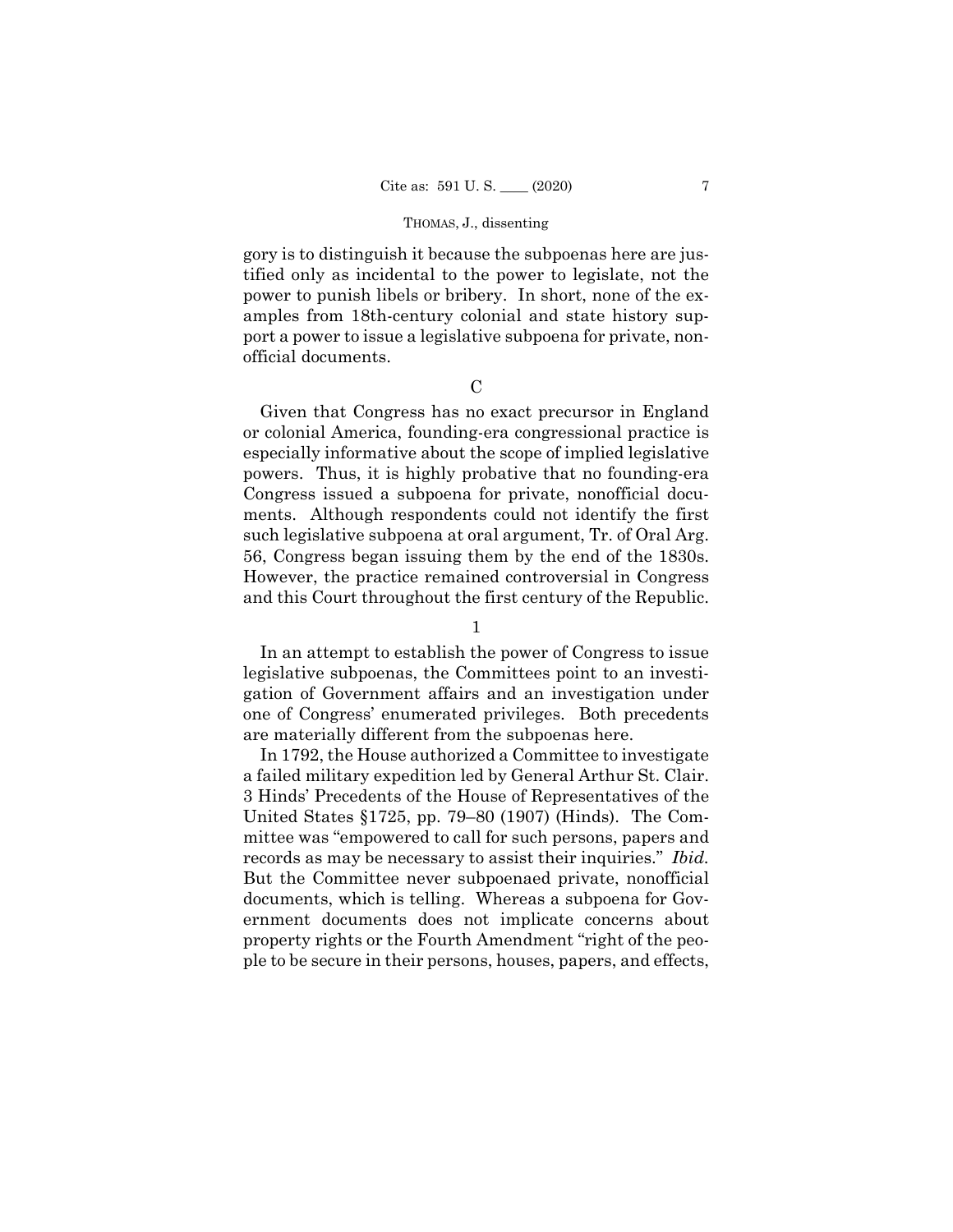gory is to distinguish it because the subpoenas here are justified only as incidental to the power to legislate, not the power to punish libels or bribery. In short, none of the examples from 18th-century colonial and state history support a power to issue a legislative subpoena for private, nonofficial documents.

C

Given that Congress has no exact precursor in England or colonial America, founding-era congressional practice is especially informative about the scope of implied legislative powers. Thus, it is highly probative that no founding-era Congress issued a subpoena for private, nonofficial documents. Although respondents could not identify the first such legislative subpoena at oral argument, Tr. of Oral Arg. 56, Congress began issuing them by the end of the 1830s. However, the practice remained controversial in Congress and this Court throughout the first century of the Republic.

1

In an attempt to establish the power of Congress to issue legislative subpoenas, the Committees point to an investigation of Government affairs and an investigation under one of Congress' enumerated privileges. Both precedents are materially different from the subpoenas here.

In 1792, the House authorized a Committee to investigate a failed military expedition led by General Arthur St. Clair. 3 Hinds' Precedents of the House of Representatives of the United States §1725, pp. 79–80 (1907) (Hinds). The Committee was "empowered to call for such persons, papers and records as may be necessary to assist their inquiries." *Ibid.* But the Committee never subpoenaed private, nonofficial documents, which is telling. Whereas a subpoena for Government documents does not implicate concerns about property rights or the Fourth Amendment "right of the people to be secure in their persons, houses, papers, and effects,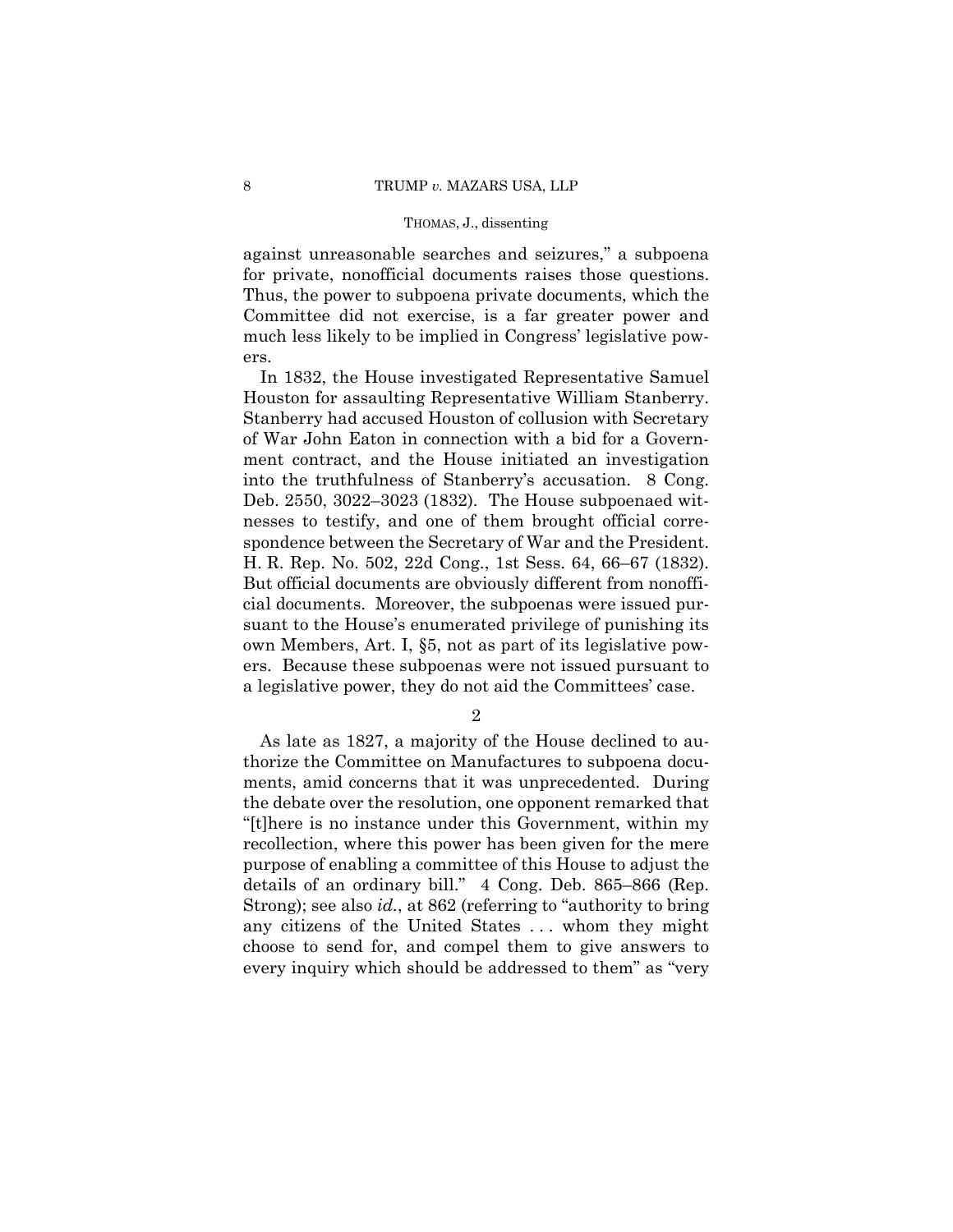against unreasonable searches and seizures," a subpoena for private, nonofficial documents raises those questions. Thus, the power to subpoena private documents, which the Committee did not exercise, is a far greater power and much less likely to be implied in Congress' legislative powers.

 H. R. Rep. No. 502, 22d Cong., 1st Sess. 64, 66–67 (1832). In 1832, the House investigated Representative Samuel Houston for assaulting Representative William Stanberry. Stanberry had accused Houston of collusion with Secretary of War John Eaton in connection with a bid for a Government contract, and the House initiated an investigation into the truthfulness of Stanberry's accusation. 8 Cong. Deb. 2550, 3022–3023 (1832). The House subpoenaed witnesses to testify, and one of them brought official correspondence between the Secretary of War and the President. But official documents are obviously different from nonofficial documents. Moreover, the subpoenas were issued pursuant to the House's enumerated privilege of punishing its own Members, Art. I, §5, not as part of its legislative powers. Because these subpoenas were not issued pursuant to a legislative power, they do not aid the Committees' case.

2

As late as 1827, a majority of the House declined to authorize the Committee on Manufactures to subpoena documents, amid concerns that it was unprecedented. During the debate over the resolution, one opponent remarked that "[t]here is no instance under this Government, within my recollection, where this power has been given for the mere purpose of enabling a committee of this House to adjust the details of an ordinary bill." 4 Cong. Deb. 865–866 (Rep. Strong); see also *id.*, at 862 (referring to "authority to bring" any citizens of the United States . . . whom they might choose to send for, and compel them to give answers to every inquiry which should be addressed to them" as "very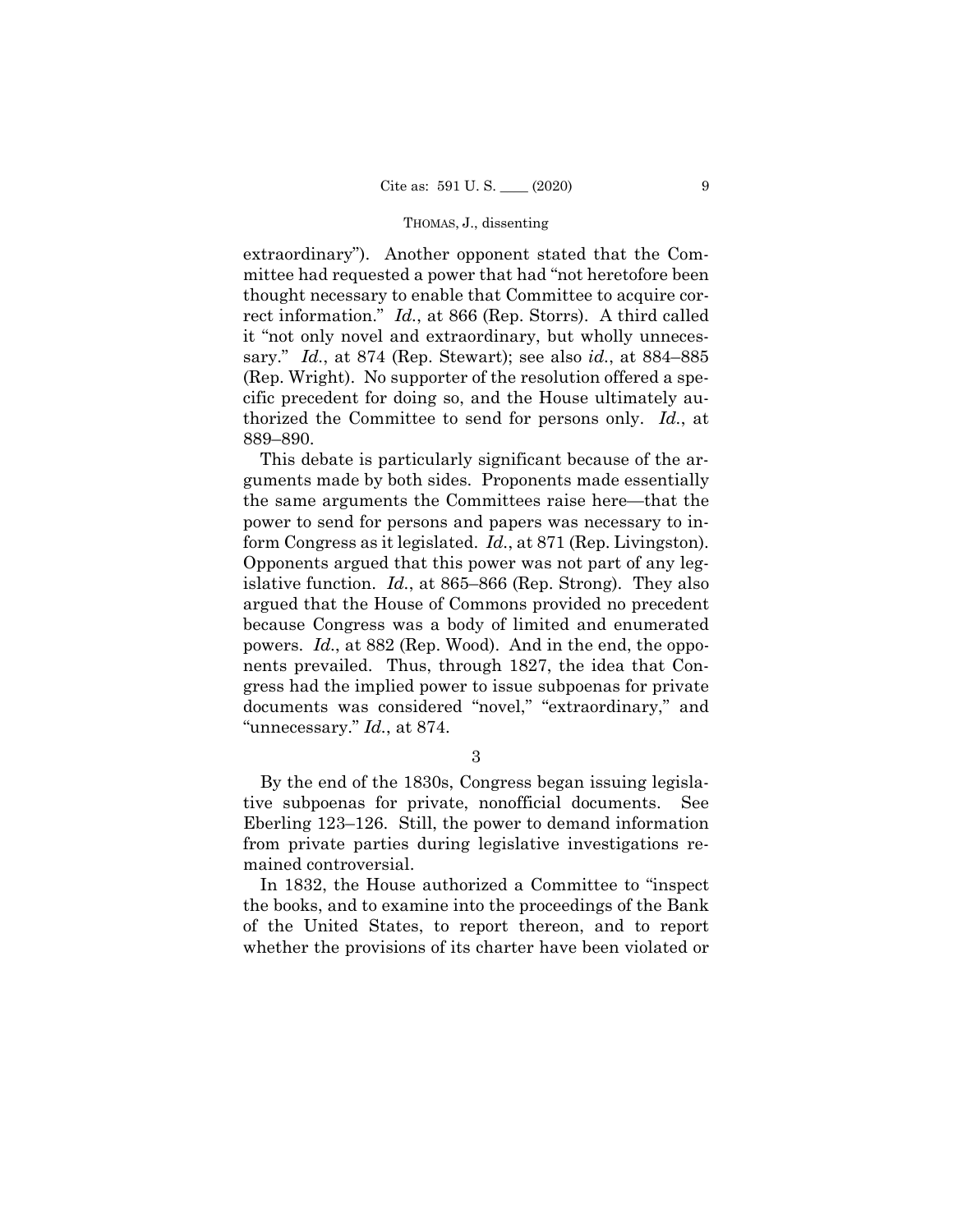extraordinary"). Another opponent stated that the Committee had requested a power that had "not heretofore been thought necessary to enable that Committee to acquire correct information." *Id.*, at 866 (Rep. Storrs). A third called it "not only novel and extraordinary, but wholly unnecessary." *Id.*, at 874 (Rep. Stewart); see also *id.*, at 884–885 (Rep. Wright). No supporter of the resolution offered a specific precedent for doing so, and the House ultimately authorized the Committee to send for persons only. *Id.*, at 889–890.

This debate is particularly significant because of the arguments made by both sides. Proponents made essentially the same arguments the Committees raise here—that the power to send for persons and papers was necessary to inform Congress as it legislated. *Id.*, at 871 (Rep. Livingston). Opponents argued that this power was not part of any legislative function. *Id.*, at 865–866 (Rep. Strong). They also argued that the House of Commons provided no precedent because Congress was a body of limited and enumerated powers. *Id.*, at 882 (Rep. Wood). And in the end, the opponents prevailed. Thus, through 1827, the idea that Congress had the implied power to issue subpoenas for private documents was considered "novel," "extraordinary," and "unnecessary." *Id.*, at 874.

3

By the end of the 1830s, Congress began issuing legislative subpoenas for private, nonofficial documents. See Eberling 123–126. Still, the power to demand information from private parties during legislative investigations remained controversial.

In 1832, the House authorized a Committee to "inspect the books, and to examine into the proceedings of the Bank of the United States, to report thereon, and to report whether the provisions of its charter have been violated or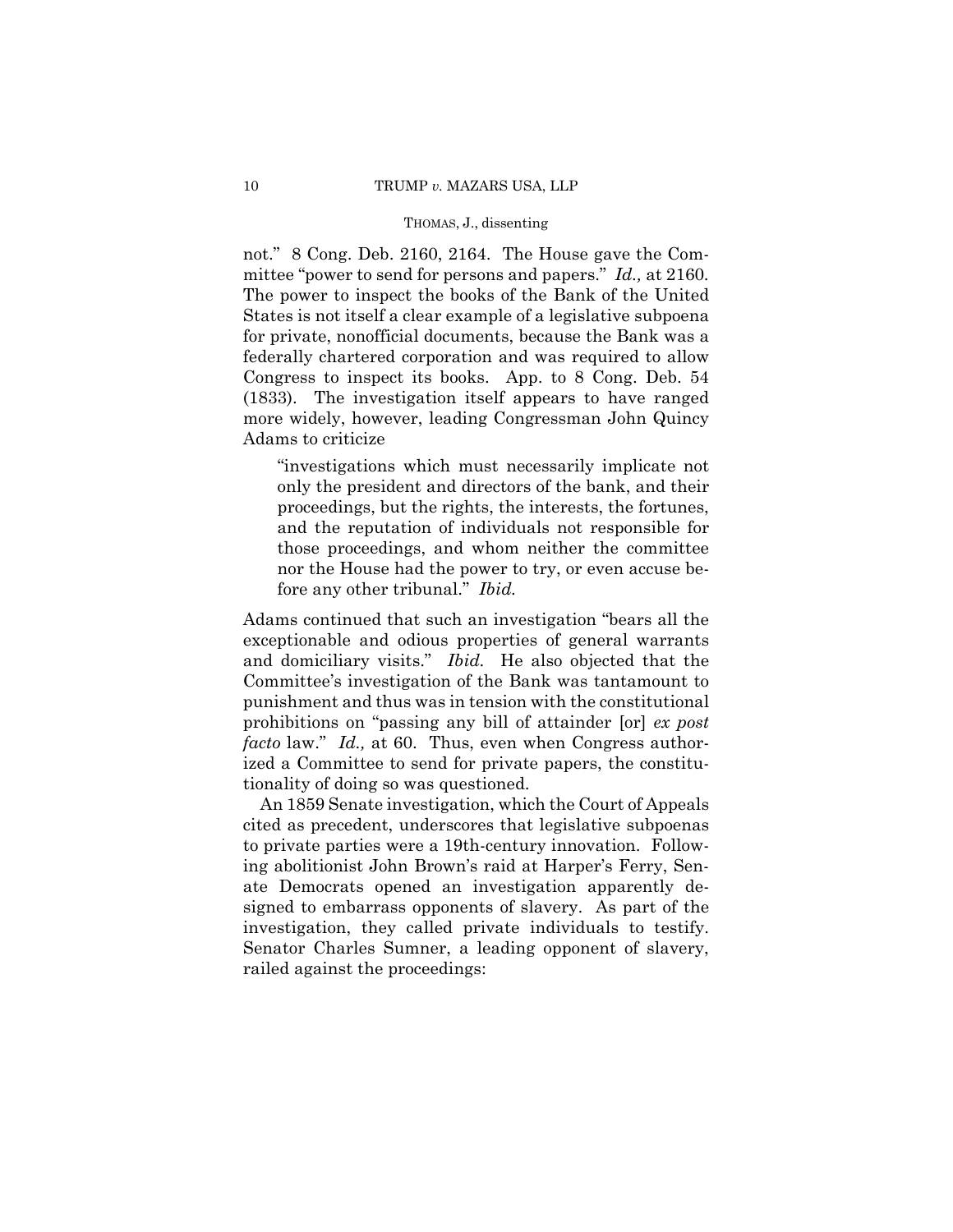not." 8 Cong. Deb. 2160, 2164. The House gave the Committee "power to send for persons and papers." *Id.,* at 2160*.* The power to inspect the books of the Bank of the United States is not itself a clear example of a legislative subpoena for private, nonofficial documents, because the Bank was a federally chartered corporation and was required to allow Congress to inspect its books. App. to 8 Cong. Deb. 54 (1833). The investigation itself appears to have ranged more widely, however, leading Congressman John Quincy Adams to criticize

"investigations which must necessarily implicate not only the president and directors of the bank, and their proceedings, but the rights, the interests, the fortunes, and the reputation of individuals not responsible for those proceedings, and whom neither the committee nor the House had the power to try, or even accuse before any other tribunal." *Ibid.* 

Adams continued that such an investigation "bears all the exceptionable and odious properties of general warrants and domiciliary visits." *Ibid.* He also objected that the Committee's investigation of the Bank was tantamount to punishment and thus was in tension with the constitutional prohibitions on "passing any bill of attainder [or] *ex post facto* law." *Id.,* at 60. Thus, even when Congress authorized a Committee to send for private papers, the constitutionality of doing so was questioned.

An 1859 Senate investigation, which the Court of Appeals cited as precedent, underscores that legislative subpoenas to private parties were a 19th-century innovation. Following abolitionist John Brown's raid at Harper's Ferry, Senate Democrats opened an investigation apparently designed to embarrass opponents of slavery. As part of the investigation, they called private individuals to testify. Senator Charles Sumner, a leading opponent of slavery, railed against the proceedings: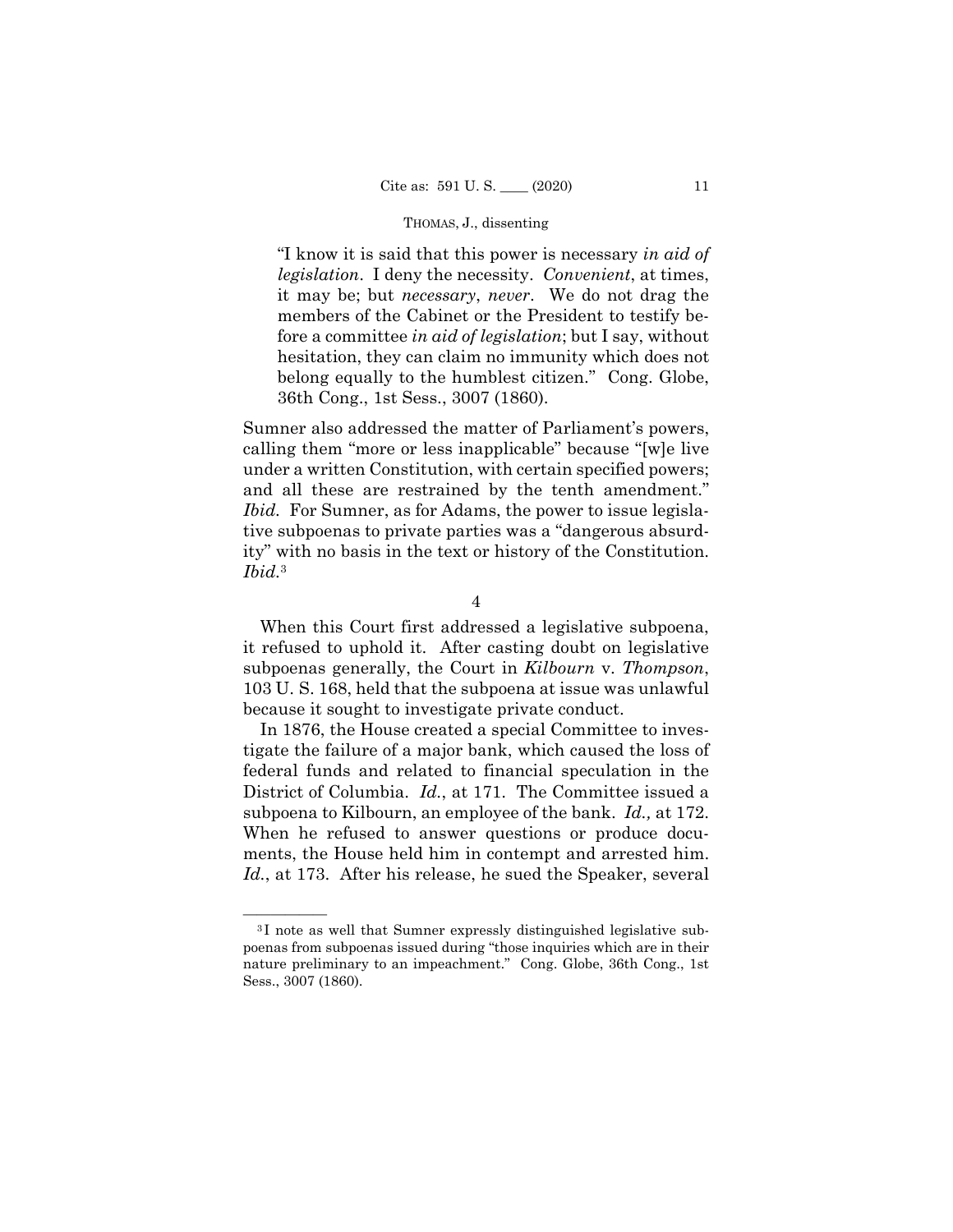"I know it is said that this power is necessary *in aid of legislation*. I deny the necessity. *Convenient*, at times, it may be; but *necessary*, *never*. We do not drag the members of the Cabinet or the President to testify before a committee *in aid of legislation*; but I say, without hesitation, they can claim no immunity which does not belong equally to the humblest citizen." Cong. Globe, 36th Cong., 1st Sess., 3007 (1860).

Sumner also addressed the matter of Parliament's powers, calling them "more or less inapplicable" because "[w]e live under a written Constitution, with certain specified powers; and all these are restrained by the tenth amendment." *Ibid.* For Sumner, as for Adams, the power to issue legislative subpoenas to private parties was a "dangerous absurdity" with no basis in the text or history of the Constitution. *Ibid.*<sup>3</sup>

When this Court first addressed a legislative subpoena, it refused to uphold it. After casting doubt on legislative subpoenas generally, the Court in *Kilbourn* v. *Thompson*, 103 U. S. 168, held that the subpoena at issue was unlawful because it sought to investigate private conduct.

In 1876, the House created a special Committee to investigate the failure of a major bank, which caused the loss of federal funds and related to financial speculation in the District of Columbia. *Id.*, at 171. The Committee issued a subpoena to Kilbourn, an employee of the bank. *Id.,* at 172. When he refused to answer questions or produce documents, the House held him in contempt and arrested him. *Id.*, at 173. After his release, he sued the Speaker, several

<sup>4</sup> 

<sup>&</sup>lt;sup>3</sup>I note as well that Sumner expressly distinguished legislative subpoenas from subpoenas issued during "those inquiries which are in their nature preliminary to an impeachment." Cong. Globe, 36th Cong., 1st Sess., 3007 (1860).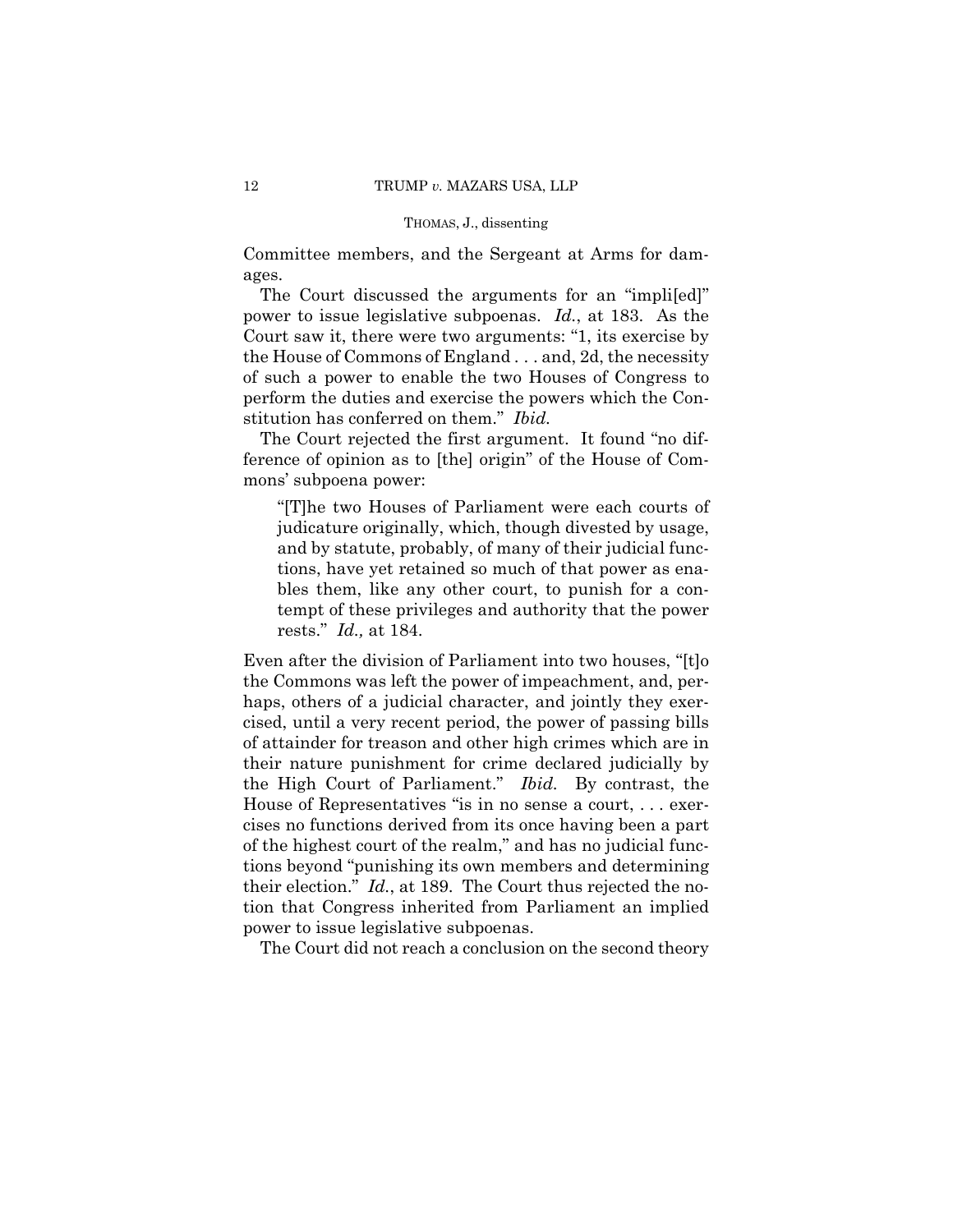Committee members, and the Sergeant at Arms for damages.

The Court discussed the arguments for an "impli[ed]" power to issue legislative subpoenas. *Id.*, at 183. As the Court saw it, there were two arguments: "1, its exercise by the House of Commons of England . . . and, 2d, the necessity of such a power to enable the two Houses of Congress to perform the duties and exercise the powers which the Constitution has conferred on them." *Ibid.* 

The Court rejected the first argument. It found "no difference of opinion as to [the] origin" of the House of Commons' subpoena power:

"[T]he two Houses of Parliament were each courts of judicature originally, which, though divested by usage, and by statute, probably, of many of their judicial functions, have yet retained so much of that power as enables them, like any other court, to punish for a contempt of these privileges and authority that the power rests." *Id.,* at 184.

Even after the division of Parliament into two houses, "[t]o the Commons was left the power of impeachment, and, perhaps, others of a judicial character, and jointly they exercised, until a very recent period, the power of passing bills of attainder for treason and other high crimes which are in their nature punishment for crime declared judicially by the High Court of Parliament." *Ibid.* By contrast, the House of Representatives "is in no sense a court, . . . exercises no functions derived from its once having been a part of the highest court of the realm," and has no judicial functions beyond "punishing its own members and determining their election." *Id.*, at 189. The Court thus rejected the notion that Congress inherited from Parliament an implied power to issue legislative subpoenas.

The Court did not reach a conclusion on the second theory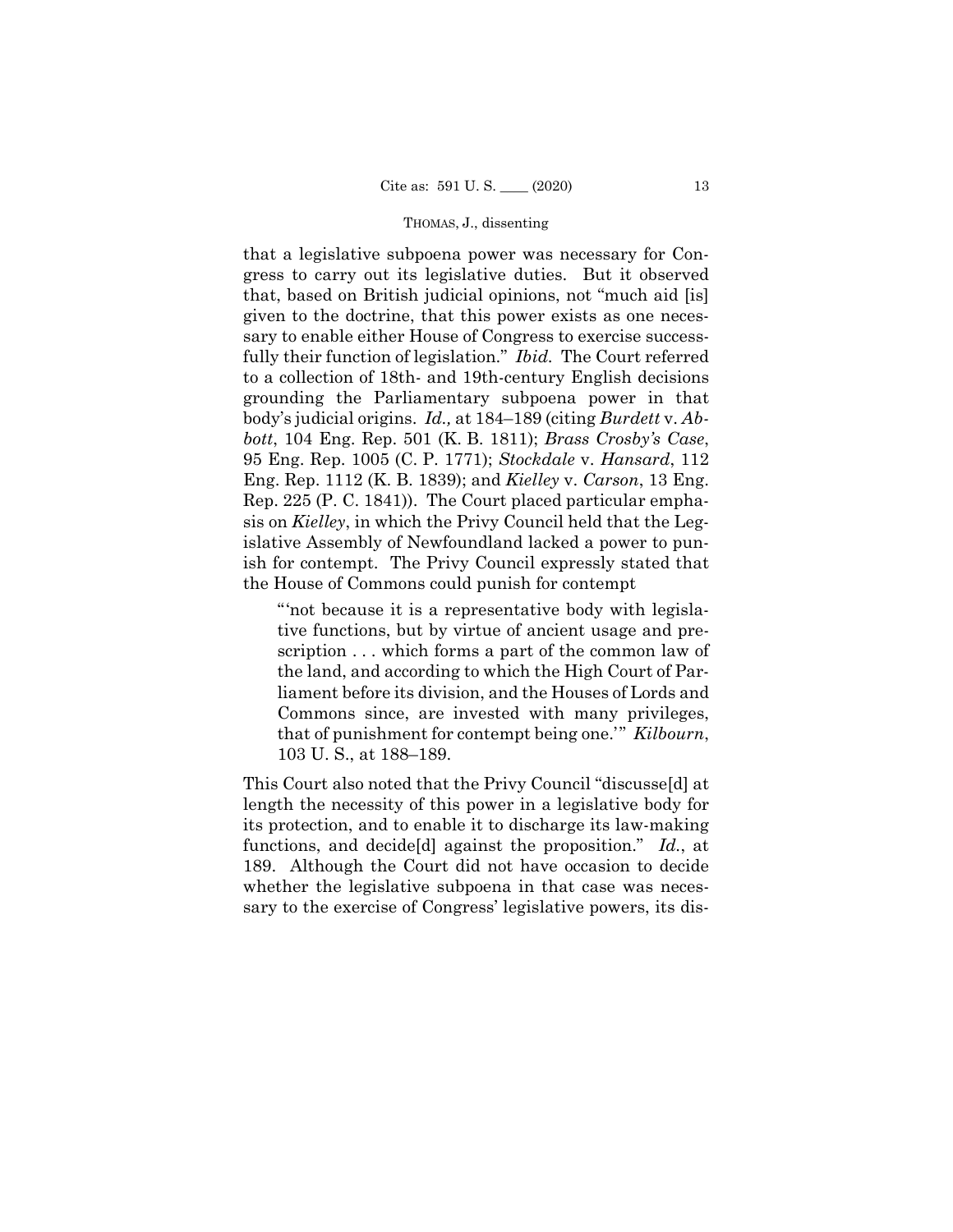that a legislative subpoena power was necessary for Congress to carry out its legislative duties. But it observed that, based on British judicial opinions, not "much aid [is] given to the doctrine, that this power exists as one necessary to enable either House of Congress to exercise successfully their function of legislation." *Ibid.* The Court referred to a collection of 18th- and 19th-century English decisions grounding the Parliamentary subpoena power in that body's judicial origins. *Id.,* at 184–189 (citing *Burdett* v. *Abbott*, 104 Eng. Rep. 501 (K. B. 1811); *Brass Crosby's Case*, 95 Eng. Rep. 1005 (C. P. 1771); *Stockdale* v. *Hansard*, 112 Eng. Rep. 1112 (K. B. 1839); and *Kielley* v. *Carson*, 13 Eng. Rep. 225 (P. C. 1841)). The Court placed particular emphasis on *Kielley*, in which the Privy Council held that the Legislative Assembly of Newfoundland lacked a power to punish for contempt. The Privy Council expressly stated that the House of Commons could punish for contempt

"'not because it is a representative body with legislative functions, but by virtue of ancient usage and prescription . . . which forms a part of the common law of the land, and according to which the High Court of Parliament before its division, and the Houses of Lords and Commons since, are invested with many privileges, that of punishment for contempt being one.'" *Kilbourn*, 103 U. S., at 188–189.

This Court also noted that the Privy Council "discusse[d] at length the necessity of this power in a legislative body for its protection, and to enable it to discharge its law-making functions, and decide[d] against the proposition." *Id.*, at 189. Although the Court did not have occasion to decide whether the legislative subpoena in that case was necessary to the exercise of Congress' legislative powers, its dis-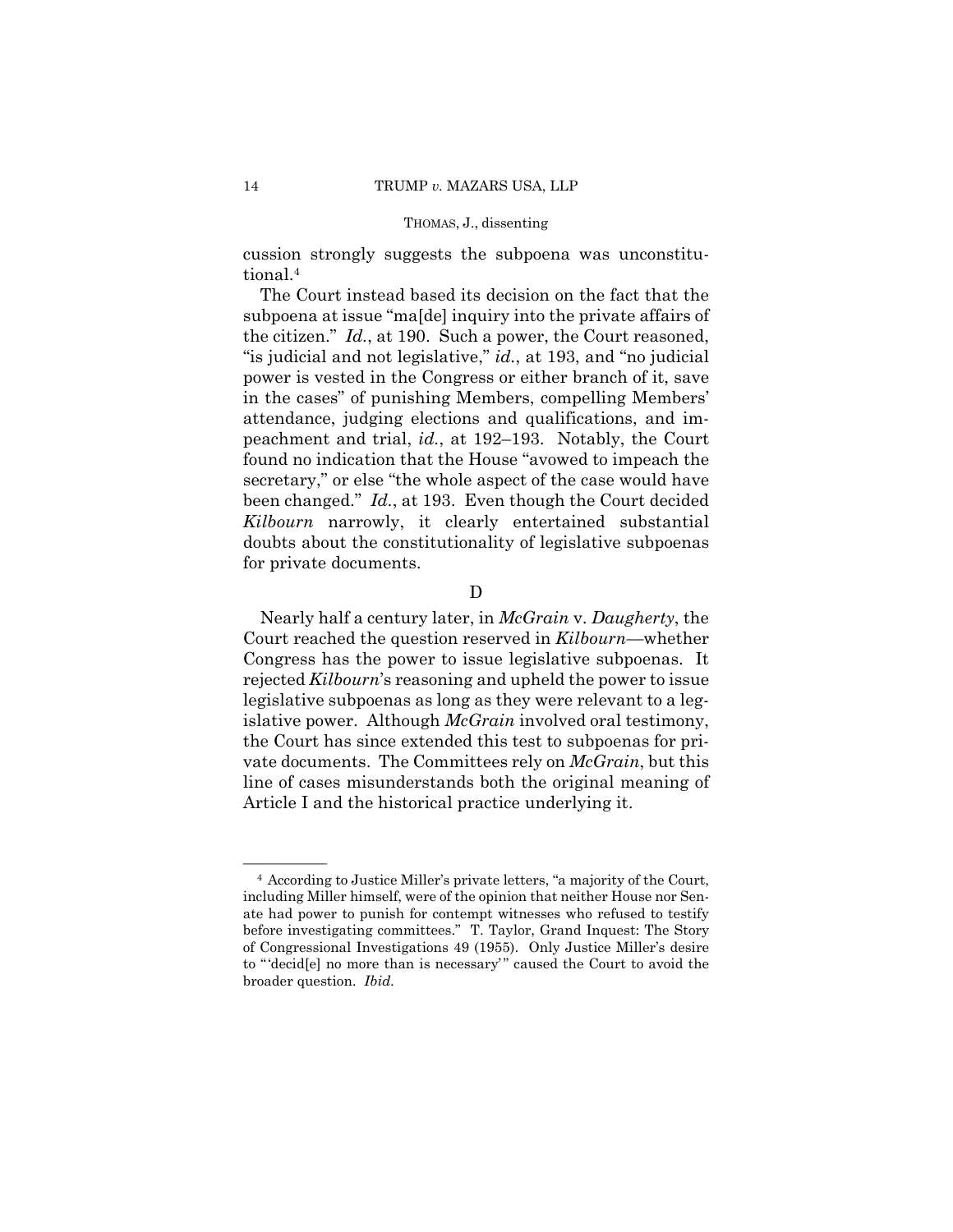cussion strongly suggests the subpoena was unconstitutional.4

The Court instead based its decision on the fact that the subpoena at issue "ma[de] inquiry into the private affairs of the citizen." *Id.*, at 190. Such a power, the Court reasoned, "is judicial and not legislative," *id.*, at 193, and "no judicial power is vested in the Congress or either branch of it, save in the cases" of punishing Members, compelling Members' attendance, judging elections and qualifications, and impeachment and trial, *id.*, at 192–193. Notably, the Court found no indication that the House "avowed to impeach the secretary," or else "the whole aspect of the case would have been changed." *Id.*, at 193. Even though the Court decided *Kilbourn* narrowly, it clearly entertained substantial doubts about the constitutionality of legislative subpoenas for private documents.

Nearly half a century later, in *McGrain* v. *Daugherty*, the Court reached the question reserved in *Kilbourn*—whether Congress has the power to issue legislative subpoenas. It rejected *Kilbourn*'s reasoning and upheld the power to issue legislative subpoenas as long as they were relevant to a legislative power. Although *McGrain* involved oral testimony, the Court has since extended this test to subpoenas for private documents. The Committees rely on *McGrain*, but this line of cases misunderstands both the original meaning of Article I and the historical practice underlying it.

D

<sup>&</sup>lt;sup>4</sup> According to Justice Miller's private letters, "a majority of the Court, including Miller himself, were of the opinion that neither House nor Senate had power to punish for contempt witnesses who refused to testify before investigating committees." T. Taylor, Grand Inquest: The Story of Congressional Investigations 49 (1955). Only Justice Miller's desire to " 'decid[e] no more than is necessary' " caused the Court to avoid the broader question. *Ibid.*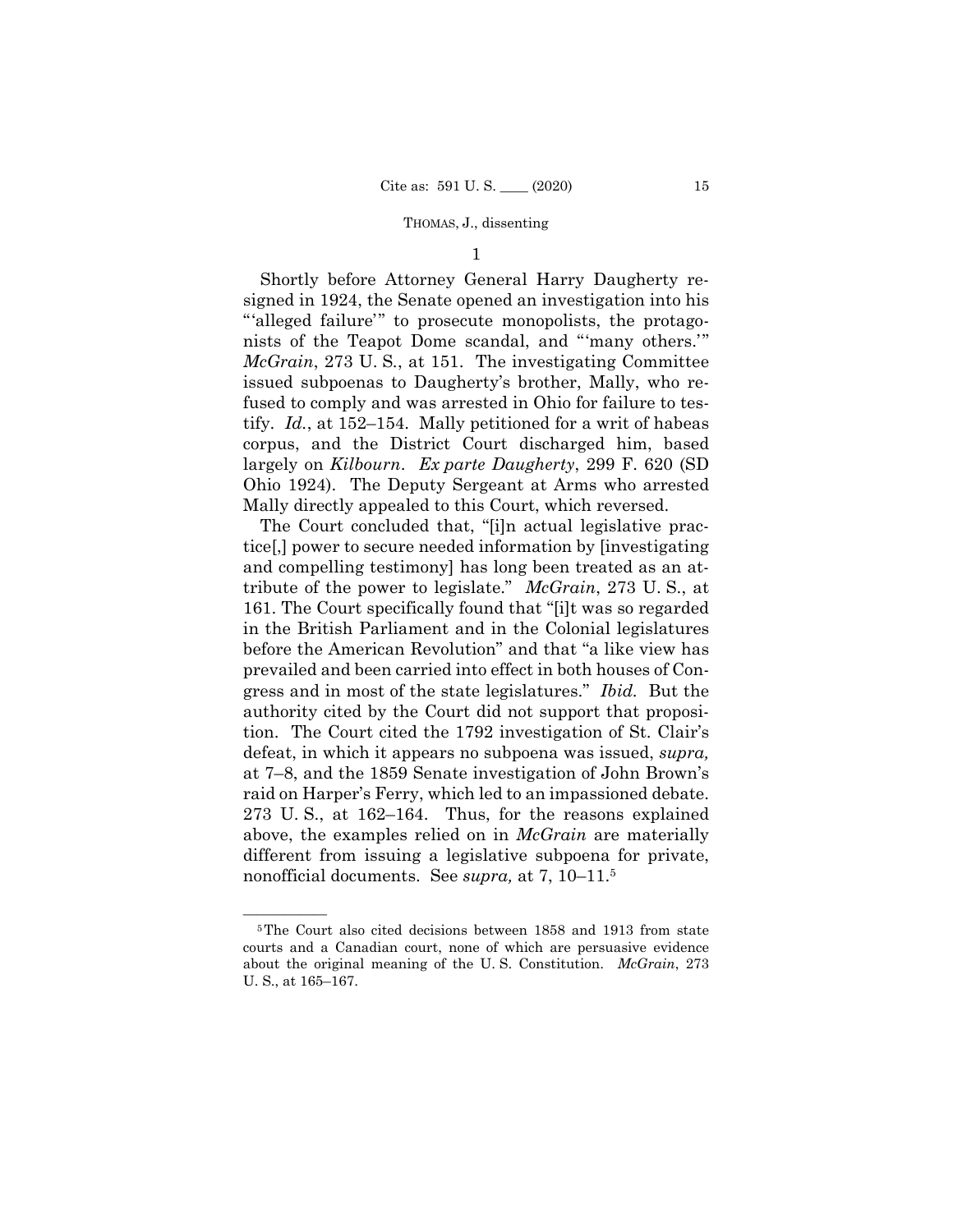1

Shortly before Attorney General Harry Daugherty resigned in 1924, the Senate opened an investigation into his "'alleged failure'" to prosecute monopolists, the protagonists of the Teapot Dome scandal, and "'many others.'" *McGrain*, 273 U. S*.*, at 151. The investigating Committee issued subpoenas to Daugherty's brother, Mally, who refused to comply and was arrested in Ohio for failure to testify. *Id.*, at 152–154. Mally petitioned for a writ of habeas corpus, and the District Court discharged him, based largely on *Kilbourn*. *Ex parte Daugherty*, 299 F. 620 (SD Ohio 1924). The Deputy Sergeant at Arms who arrested Mally directly appealed to this Court, which reversed.

The Court concluded that, "[i]n actual legislative practice[,] power to secure needed information by [investigating and compelling testimony] has long been treated as an attribute of the power to legislate." *McGrain*, 273 U. S., at 161. The Court specifically found that "[i]t was so regarded in the British Parliament and in the Colonial legislatures before the American Revolution" and that "a like view has prevailed and been carried into effect in both houses of Congress and in most of the state legislatures." *Ibid.* But the authority cited by the Court did not support that proposition. The Court cited the 1792 investigation of St. Clair's defeat, in which it appears no subpoena was issued, *supra,* at 7–8, and the 1859 Senate investigation of John Brown's raid on Harper's Ferry, which led to an impassioned debate. 273 U. S., at 162–164. Thus, for the reasons explained above, the examples relied on in *McGrain* are materially different from issuing a legislative subpoena for private, nonofficial documents. See *supra,* at 7, 10–11.5

 about the original meaning of the U. S. Constitution. *McGrain*, 273  $5$ The Court also cited decisions between 1858 and 1913 from state courts and a Canadian court, none of which are persuasive evidence U. S., at 165–167.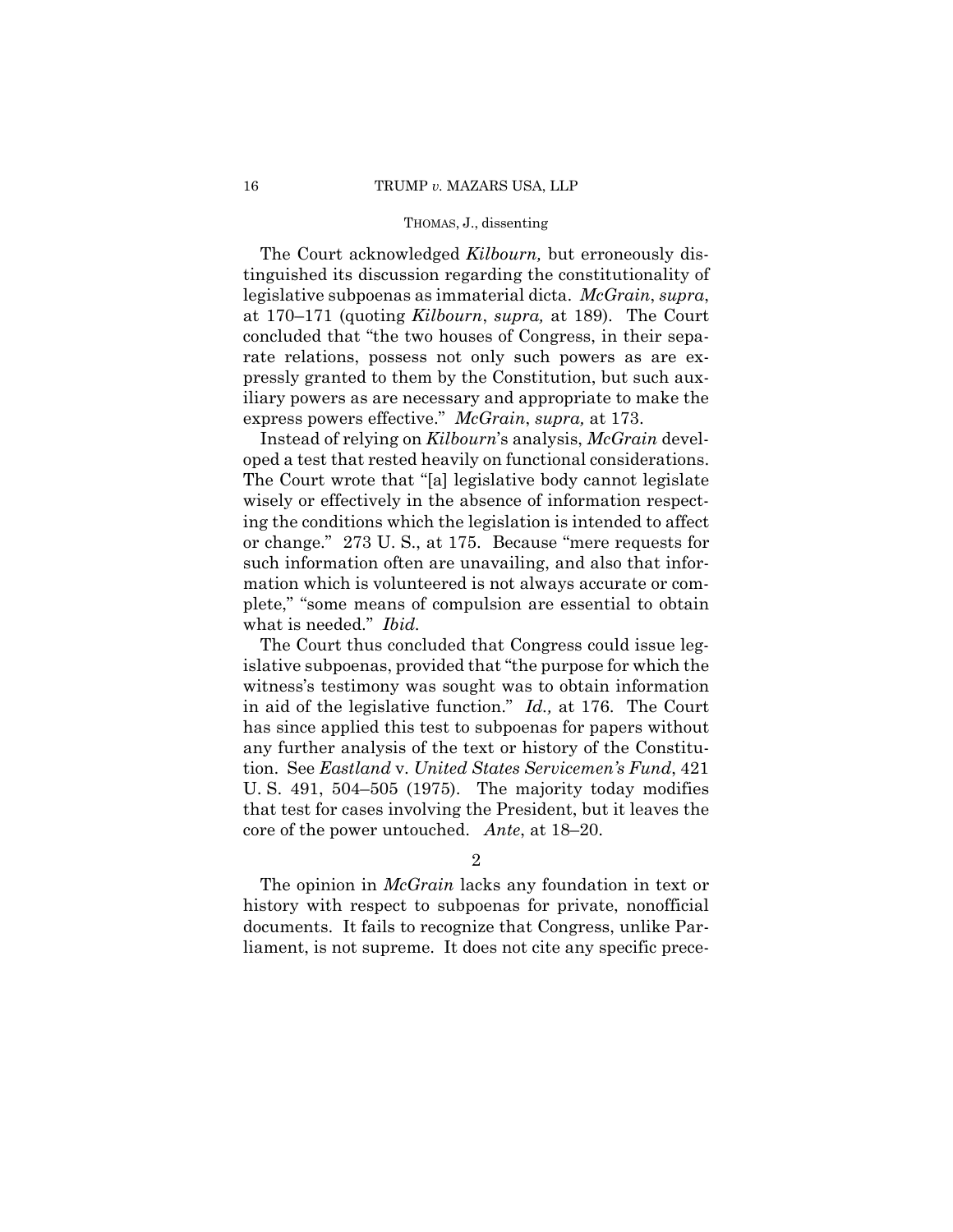The Court acknowledged *Kilbourn,* but erroneously distinguished its discussion regarding the constitutionality of legislative subpoenas as immaterial dicta. *McGrain*, *supra*, at 170–171 (quoting *Kilbourn*, *supra,* at 189). The Court concluded that "the two houses of Congress, in their separate relations, possess not only such powers as are expressly granted to them by the Constitution, but such auxiliary powers as are necessary and appropriate to make the express powers effective." *McGrain*, *supra,* at 173.

 oped a test that rested heavily on functional considerations. Instead of relying on *Kilbourn*'s analysis, *McGrain* devel-The Court wrote that "[a] legislative body cannot legislate wisely or effectively in the absence of information respecting the conditions which the legislation is intended to affect or change." 273 U. S., at 175. Because "mere requests for such information often are unavailing, and also that information which is volunteered is not always accurate or complete," "some means of compulsion are essential to obtain what is needed." *Ibid.* 

The Court thus concluded that Congress could issue legislative subpoenas, provided that "the purpose for which the witness's testimony was sought was to obtain information in aid of the legislative function." *Id.,* at 176. The Court has since applied this test to subpoenas for papers without any further analysis of the text or history of the Constitution. See *Eastland* v. *United States Servicemen's Fund*, 421 U. S. 491, 504–505 (1975). The majority today modifies that test for cases involving the President, but it leaves the core of the power untouched. *Ante*, at 18–20.

2

The opinion in *McGrain* lacks any foundation in text or history with respect to subpoenas for private, nonofficial documents. It fails to recognize that Congress, unlike Parliament, is not supreme. It does not cite any specific prece-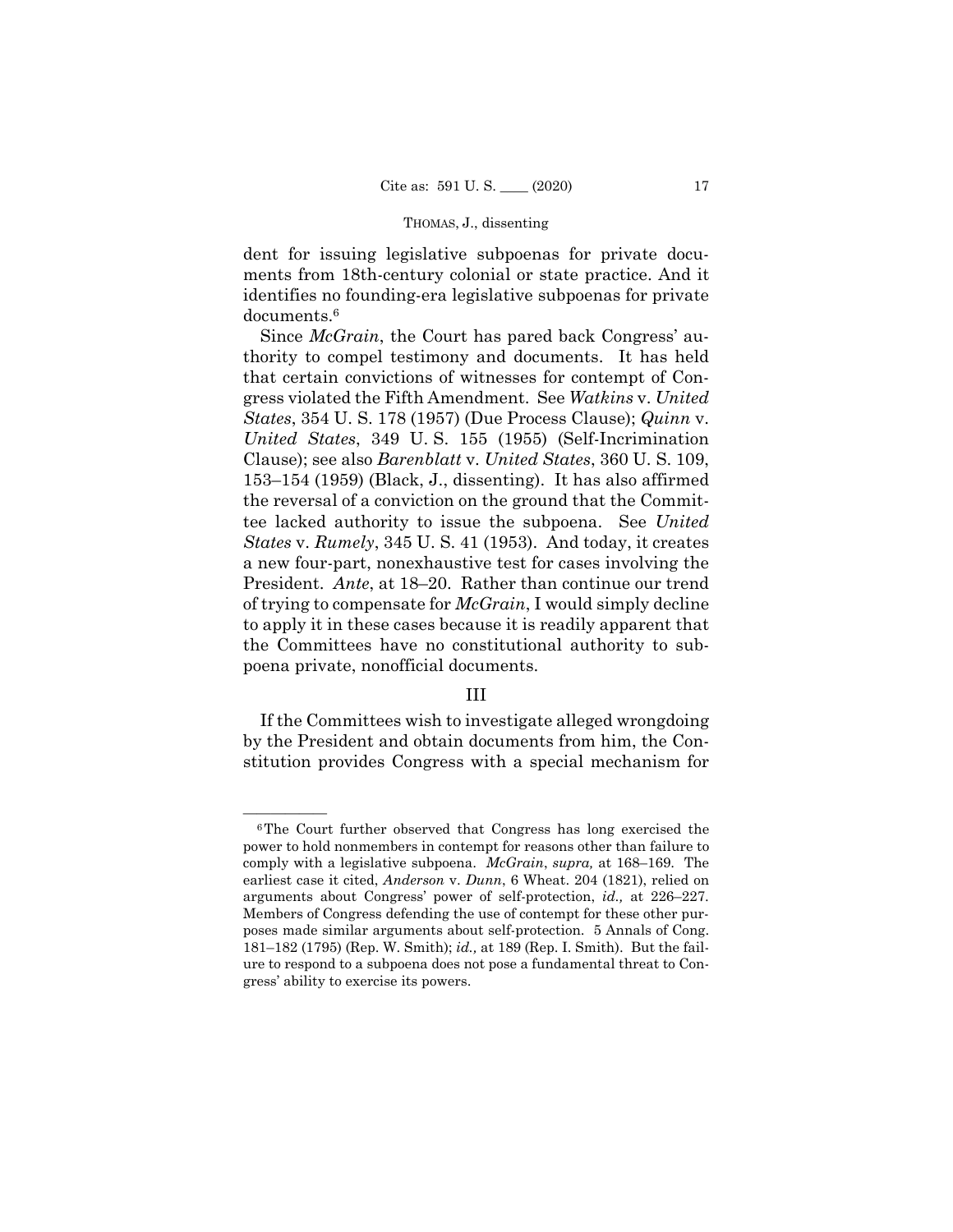dent for issuing legislative subpoenas for private documents from 18th-century colonial or state practice. And it identifies no founding-era legislative subpoenas for private documents.<sup>6</sup>

 Since *McGrain*, the Court has pared back Congress' authority to compel testimony and documents. It has held that certain convictions of witnesses for contempt of Congress violated the Fifth Amendment. See *Watkins* v. *United States*, 354 U. S. 178 (1957) (Due Process Clause); *Quinn* v. *United States*, 349 U. S. 155 (1955) (Self-Incrimination Clause); see also *Barenblatt* v. *United States*, 360 U. S. 109, 153–154 (1959) (Black, J., dissenting). It has also affirmed the reversal of a conviction on the ground that the Committee lacked authority to issue the subpoena. See *United States* v. *Rumely*, 345 U. S. 41 (1953). And today, it creates a new four-part, nonexhaustive test for cases involving the President. *Ante*, at 18–20. Rather than continue our trend of trying to compensate for *McGrain*, I would simply decline to apply it in these cases because it is readily apparent that the Committees have no constitutional authority to subpoena private, nonofficial documents.

## III

If the Committees wish to investigate alleged wrongdoing by the President and obtain documents from him, the Constitution provides Congress with a special mechanism for

arguments about Congress' power of self-protection, id., at 226-227.  $6$ The Court further observed that Congress has long exercised the power to hold nonmembers in contempt for reasons other than failure to comply with a legislative subpoena. *McGrain*, *supra,* at 168–169. The earliest case it cited, *Anderson* v. *Dunn*, 6 Wheat. 204 (1821), relied on Members of Congress defending the use of contempt for these other purposes made similar arguments about self-protection. 5 Annals of Cong. 181–182 (1795) (Rep. W. Smith); *id.,* at 189 (Rep. I. Smith). But the failure to respond to a subpoena does not pose a fundamental threat to Congress' ability to exercise its powers.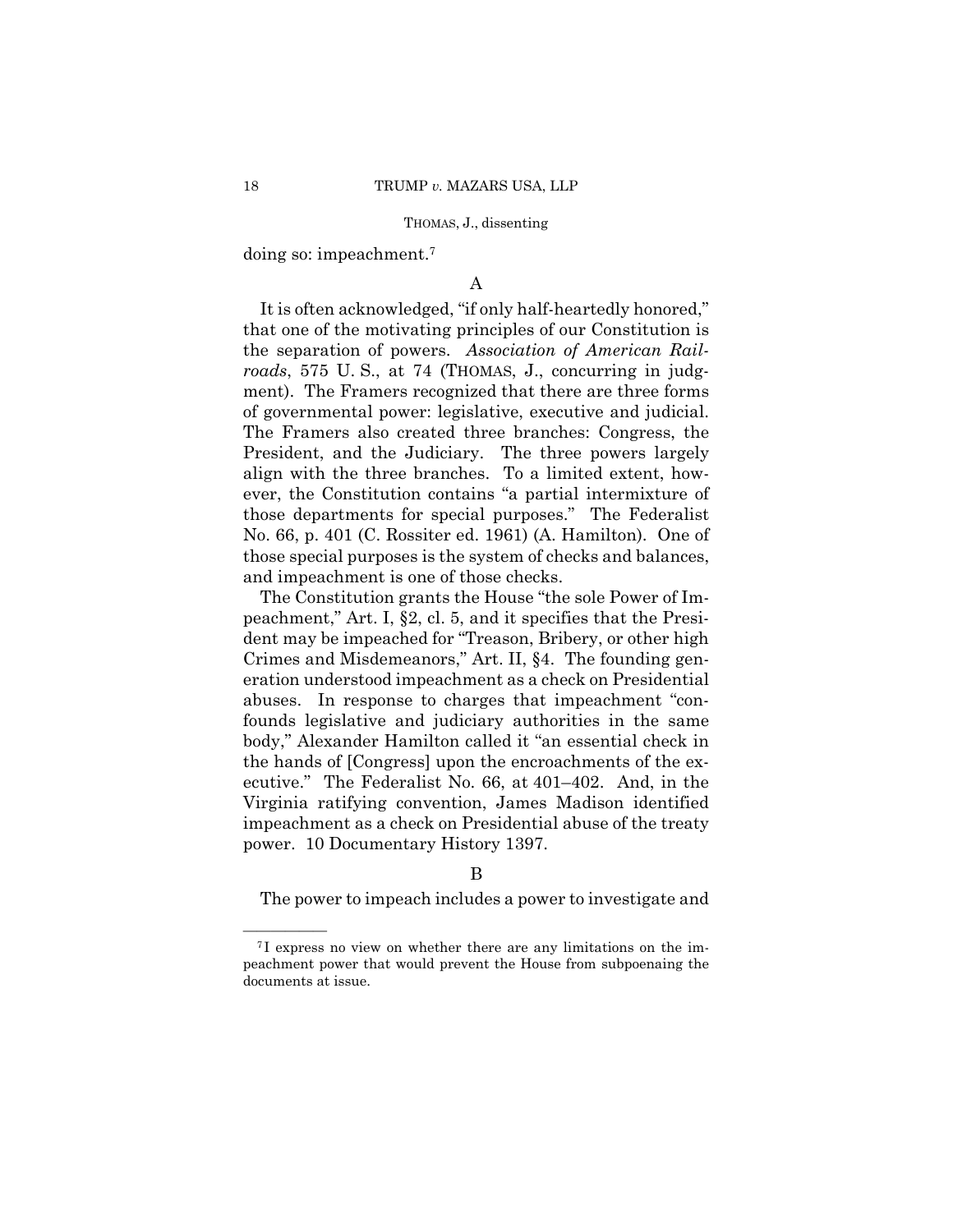doing so: impeachment.7

## A

 of governmental power: legislative, executive and judicial. It is often acknowledged, "if only half-heartedly honored," that one of the motivating principles of our Constitution is the separation of powers. *Association of American Railroads*, 575 U. S., at 74 (THOMAS, J., concurring in judgment). The Framers recognized that there are three forms The Framers also created three branches: Congress, the President, and the Judiciary. The three powers largely align with the three branches. To a limited extent, however, the Constitution contains "a partial intermixture of those departments for special purposes." The Federalist No. 66, p. 401 (C. Rossiter ed. 1961) (A. Hamilton). One of those special purposes is the system of checks and balances, and impeachment is one of those checks.

The Constitution grants the House "the sole Power of Impeachment," Art. I, §2, cl. 5, and it specifies that the President may be impeached for "Treason, Bribery, or other high Crimes and Misdemeanors," Art. II, §4. The founding generation understood impeachment as a check on Presidential abuses. In response to charges that impeachment "confounds legislative and judiciary authorities in the same body," Alexander Hamilton called it "an essential check in the hands of [Congress] upon the encroachments of the executive." The Federalist No. 66, at 401–402. And, in the Virginia ratifying convention, James Madison identified impeachment as a check on Presidential abuse of the treaty power. 10 Documentary History 1397.

### B

The power to impeach includes a power to investigate and

<sup>&</sup>lt;sup>7</sup>I express no view on whether there are any limitations on the impeachment power that would prevent the House from subpoenaing the documents at issue.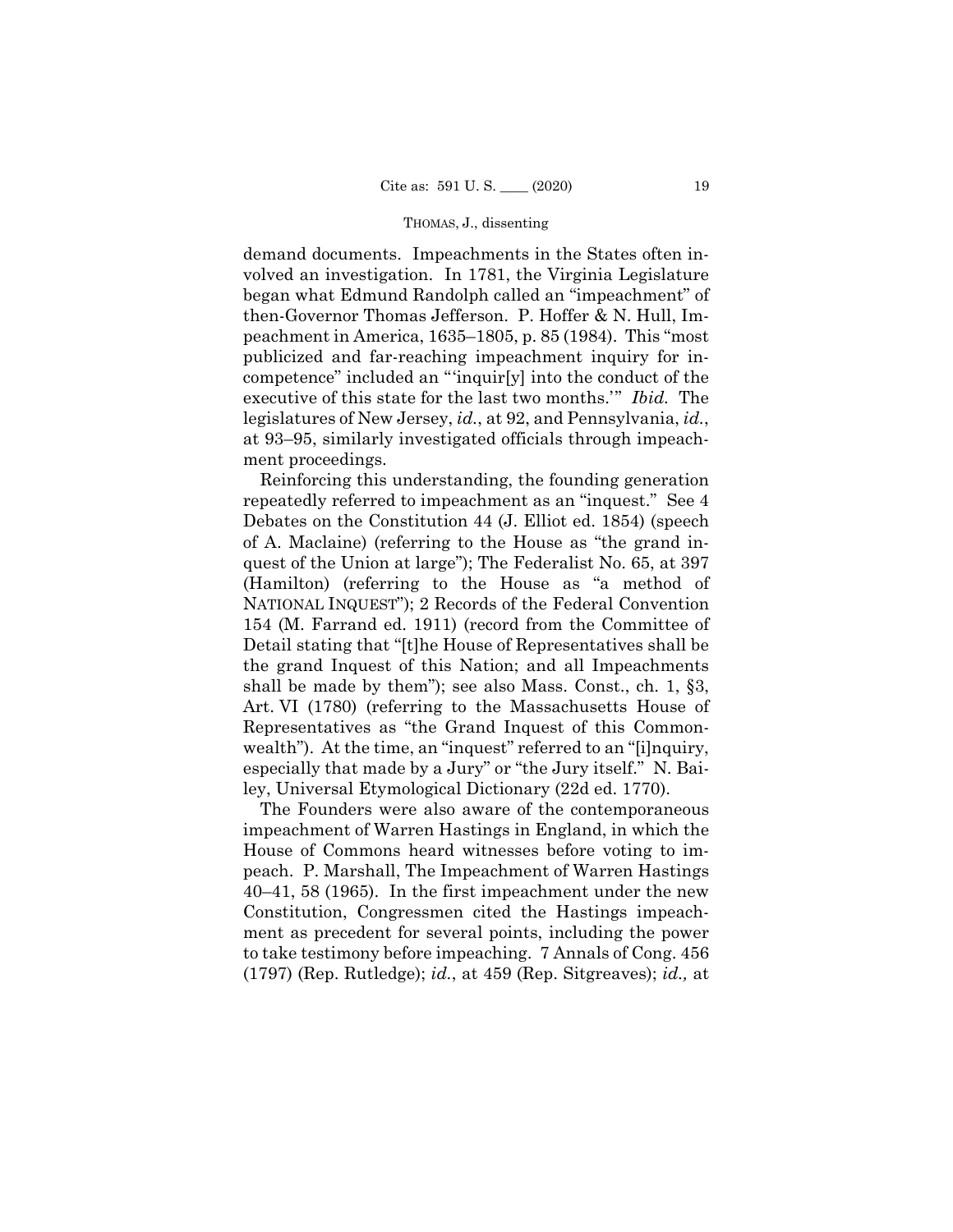demand documents. Impeachments in the States often involved an investigation. In 1781, the Virginia Legislature began what Edmund Randolph called an "impeachment" of then-Governor Thomas Jefferson. P. Hoffer & N. Hull, Impeachment in America, 1635–1805, p. 85 (1984). This "most publicized and far-reaching impeachment inquiry for incompetence" included an "'inquir[y] into the conduct of the executive of this state for the last two months.'" *Ibid.* The legislatures of New Jersey, *id.*, at 92, and Pennsylvania, *id.*, at 93–95, similarly investigated officials through impeachment proceedings.

Reinforcing this understanding, the founding generation repeatedly referred to impeachment as an "inquest." See 4 Debates on the Constitution 44 (J. Elliot ed. 1854) (speech of A. Maclaine) (referring to the House as "the grand inquest of the Union at large"); The Federalist No. 65, at 397 (Hamilton) (referring to the House as "a method of NATIONAL INQUEST"); 2 Records of the Federal Convention 154 (M. Farrand ed. 1911) (record from the Committee of Detail stating that "[t]he House of Representatives shall be the grand Inquest of this Nation; and all Impeachments shall be made by them"); see also Mass. Const., ch. 1, §3, Art. VI (1780) (referring to the Massachusetts House of Representatives as "the Grand Inquest of this Commonwealth"). At the time, an "inquest" referred to an "[i]nquiry, especially that made by a Jury" or "the Jury itself." N. Bailey, Universal Etymological Dictionary (22d ed. 1770).

The Founders were also aware of the contemporaneous impeachment of Warren Hastings in England, in which the House of Commons heard witnesses before voting to impeach. P. Marshall, The Impeachment of Warren Hastings 40–41, 58 (1965). In the first impeachment under the new Constitution, Congressmen cited the Hastings impeachment as precedent for several points, including the power to take testimony before impeaching. 7 Annals of Cong. 456 (1797) (Rep. Rutledge); *id.*, at 459 (Rep. Sitgreaves); *id.,* at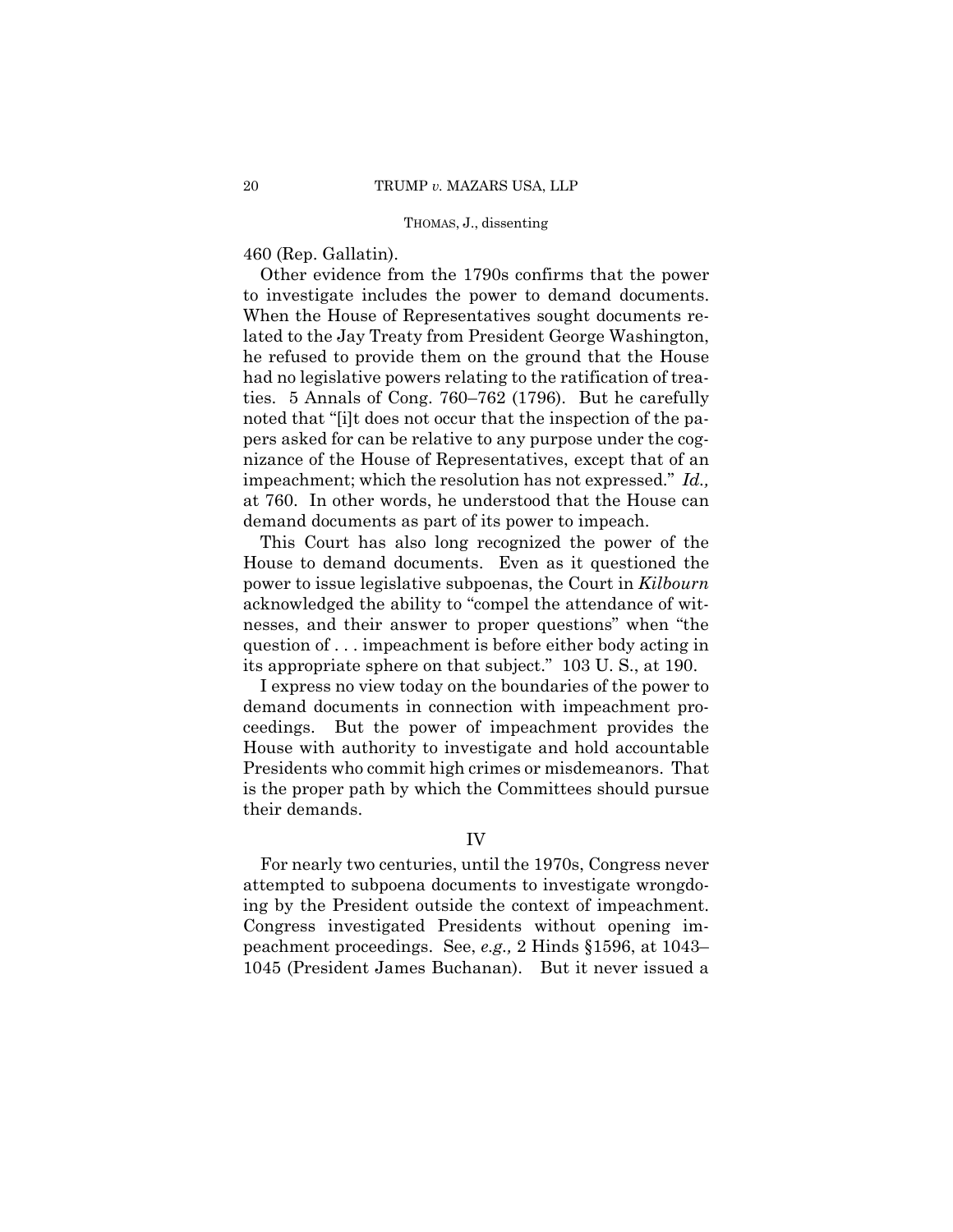460 (Rep. Gallatin).

Other evidence from the 1790s confirms that the power to investigate includes the power to demand documents. When the House of Representatives sought documents related to the Jay Treaty from President George Washington, he refused to provide them on the ground that the House had no legislative powers relating to the ratification of treaties. 5 Annals of Cong. 760–762 (1796). But he carefully noted that "[i]t does not occur that the inspection of the papers asked for can be relative to any purpose under the cognizance of the House of Representatives, except that of an impeachment; which the resolution has not expressed." *Id.,*  at 760. In other words, he understood that the House can demand documents as part of its power to impeach.

This Court has also long recognized the power of the House to demand documents. Even as it questioned the power to issue legislative subpoenas, the Court in *Kilbourn*  acknowledged the ability to "compel the attendance of witnesses, and their answer to proper questions" when "the question of . . . impeachment is before either body acting in its appropriate sphere on that subject." 103 U. S., at 190.

I express no view today on the boundaries of the power to demand documents in connection with impeachment proceedings. But the power of impeachment provides the House with authority to investigate and hold accountable Presidents who commit high crimes or misdemeanors. That is the proper path by which the Committees should pursue their demands.

## IV

For nearly two centuries, until the 1970s, Congress never attempted to subpoena documents to investigate wrongdoing by the President outside the context of impeachment. Congress investigated Presidents without opening impeachment proceedings. See, *e.g.,* 2 Hinds §1596, at 1043– 1045 (President James Buchanan). But it never issued a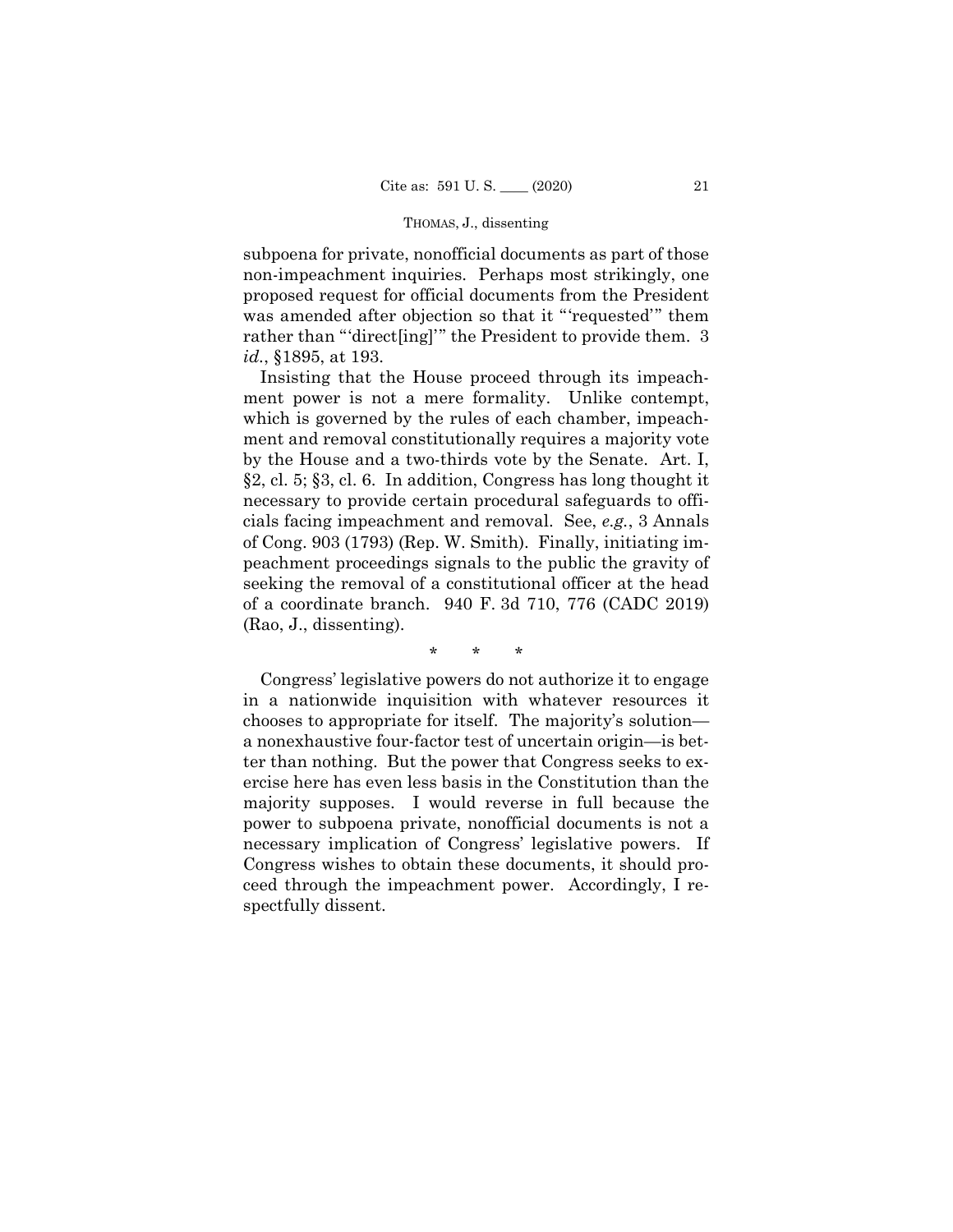subpoena for private, nonofficial documents as part of those non-impeachment inquiries. Perhaps most strikingly, one proposed request for official documents from the President was amended after objection so that it "'requested'" them rather than "'direct[ing]'" the President to provide them. 3 *id.*, §1895, at 193.

Insisting that the House proceed through its impeachment power is not a mere formality. Unlike contempt, which is governed by the rules of each chamber, impeachment and removal constitutionally requires a majority vote by the House and a two-thirds vote by the Senate. Art. I, §2, cl. 5; §3, cl. 6. In addition, Congress has long thought it necessary to provide certain procedural safeguards to officials facing impeachment and removal. See, *e.g.*, 3 Annals of Cong. 903 (1793) (Rep. W. Smith). Finally, initiating impeachment proceedings signals to the public the gravity of seeking the removal of a constitutional officer at the head of a coordinate branch. 940 F. 3d 710, 776 (CADC 2019) (Rao, J., dissenting).

\* \* \*

Congress' legislative powers do not authorize it to engage in a nationwide inquisition with whatever resources it chooses to appropriate for itself. The majority's solution a nonexhaustive four-factor test of uncertain origin—is better than nothing. But the power that Congress seeks to exercise here has even less basis in the Constitution than the majority supposes. I would reverse in full because the power to subpoena private, nonofficial documents is not a necessary implication of Congress' legislative powers. If Congress wishes to obtain these documents, it should proceed through the impeachment power. Accordingly, I respectfully dissent.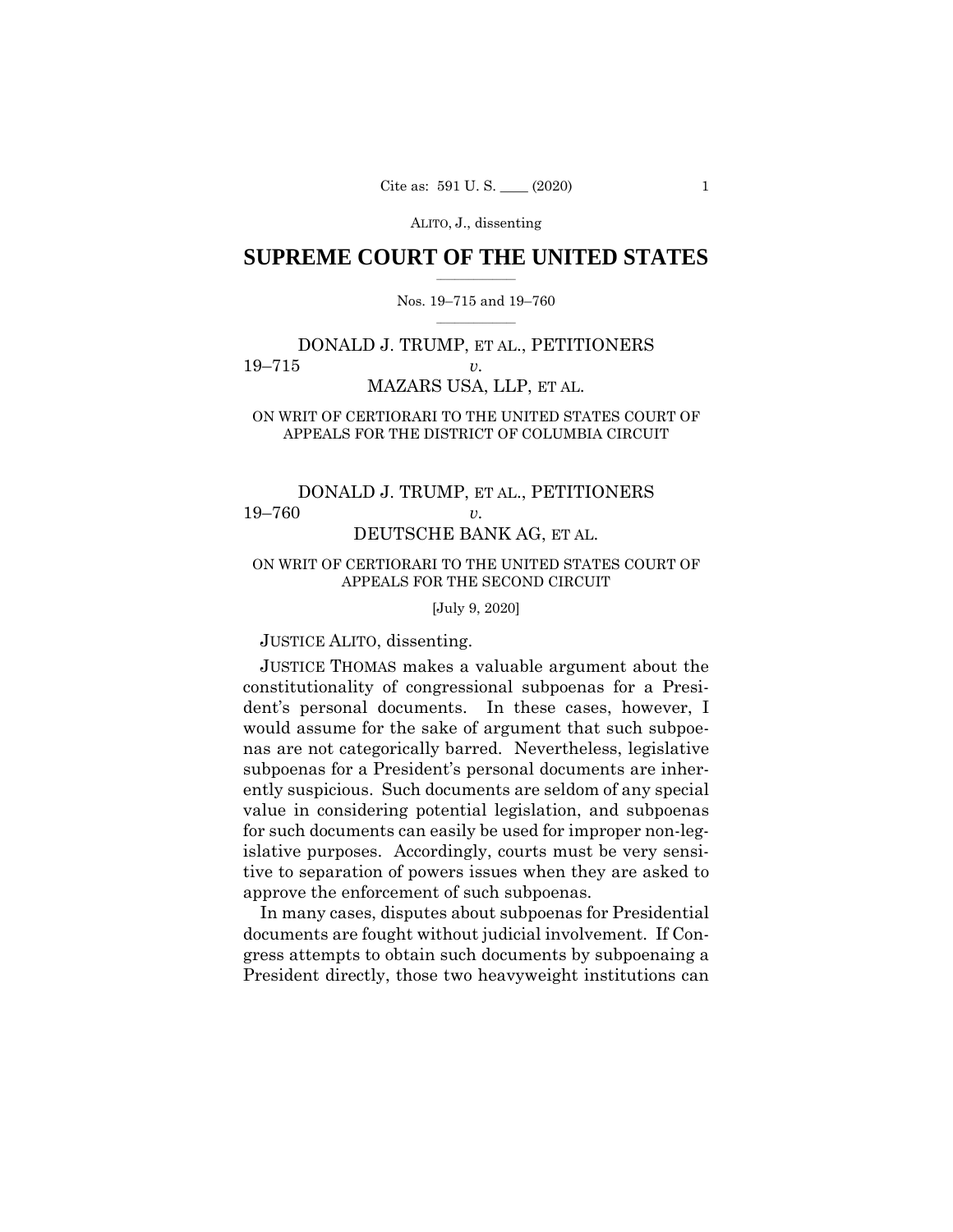ALITO, J., dissenting

## $\frac{1}{2}$  ,  $\frac{1}{2}$  ,  $\frac{1}{2}$  ,  $\frac{1}{2}$  ,  $\frac{1}{2}$  ,  $\frac{1}{2}$  ,  $\frac{1}{2}$ **SUPREME COURT OF THE UNITED STATES**

### $\frac{1}{2}$  ,  $\frac{1}{2}$  ,  $\frac{1}{2}$  ,  $\frac{1}{2}$  ,  $\frac{1}{2}$  ,  $\frac{1}{2}$ Nos. 19–715 and 19–760

## DONALD J. TRUMP, ET AL., PETITIONERS 19–715 *v.* MAZARS USA, LLP, ET AL.

### ON WRIT OF CERTIORARI TO THE UNITED STATES COURT OF APPEALS FOR THE DISTRICT OF COLUMBIA CIRCUIT

## DONALD J. TRUMP, ET AL., PETITIONERS 19–760 *v.* DEUTSCHE BANK AG, ET AL.

## ON WRIT OF CERTIORARI TO THE UNITED STATES COURT OF APPEALS FOR THE SECOND CIRCUIT

[July 9, 2020]

## JUSTICE ALITO, dissenting.

 nas are not categorically barred. Nevertheless, legislative JUSTICE THOMAS makes a valuable argument about the constitutionality of congressional subpoenas for a President's personal documents. In these cases, however, I would assume for the sake of argument that such subpoesubpoenas for a President's personal documents are inherently suspicious. Such documents are seldom of any special value in considering potential legislation, and subpoenas for such documents can easily be used for improper non-legislative purposes. Accordingly, courts must be very sensitive to separation of powers issues when they are asked to approve the enforcement of such subpoenas.

In many cases, disputes about subpoenas for Presidential documents are fought without judicial involvement. If Congress attempts to obtain such documents by subpoenaing a President directly, those two heavyweight institutions can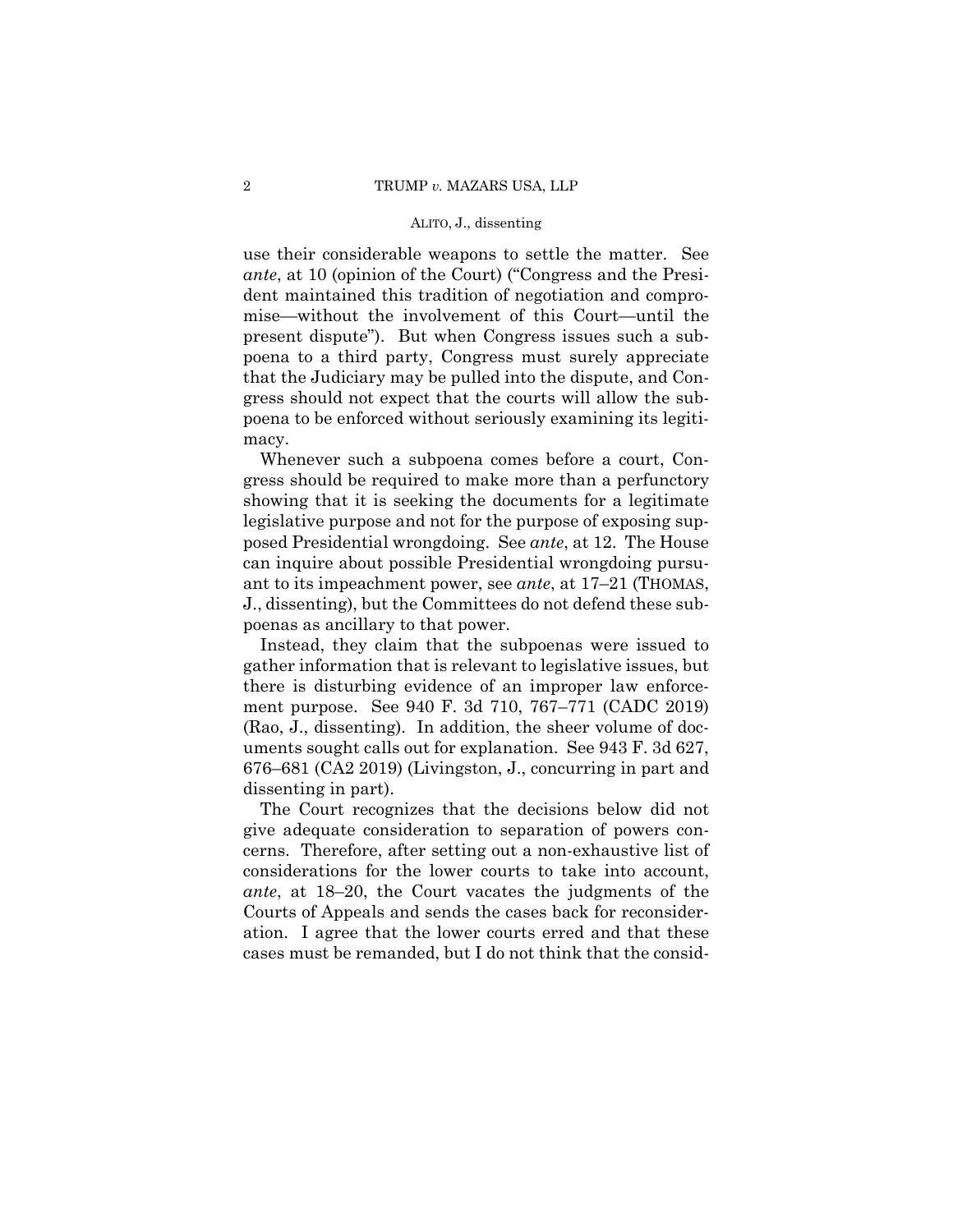### ALITO, J., dissenting

use their considerable weapons to settle the matter. See *ante*, at 10 (opinion of the Court) ("Congress and the President maintained this tradition of negotiation and compromise—without the involvement of this Court—until the present dispute"). But when Congress issues such a subpoena to a third party, Congress must surely appreciate that the Judiciary may be pulled into the dispute, and Congress should not expect that the courts will allow the subpoena to be enforced without seriously examining its legitimacy.

Whenever such a subpoena comes before a court, Congress should be required to make more than a perfunctory showing that it is seeking the documents for a legitimate legislative purpose and not for the purpose of exposing supposed Presidential wrongdoing. See *ante*, at 12. The House can inquire about possible Presidential wrongdoing pursuant to its impeachment power, see *ante*, at 17–21 (THOMAS, J., dissenting), but the Committees do not defend these subpoenas as ancillary to that power.

Instead, they claim that the subpoenas were issued to gather information that is relevant to legislative issues, but there is disturbing evidence of an improper law enforcement purpose. See 940 F. 3d 710, 767–771 (CADC 2019) (Rao, J., dissenting). In addition, the sheer volume of documents sought calls out for explanation. See 943 F. 3d 627, 676–681 (CA2 2019) (Livingston, J., concurring in part and dissenting in part).

The Court recognizes that the decisions below did not give adequate consideration to separation of powers concerns. Therefore, after setting out a non-exhaustive list of considerations for the lower courts to take into account, *ante*, at 18–20, the Court vacates the judgments of the Courts of Appeals and sends the cases back for reconsideration. I agree that the lower courts erred and that these cases must be remanded, but I do not think that the consid-